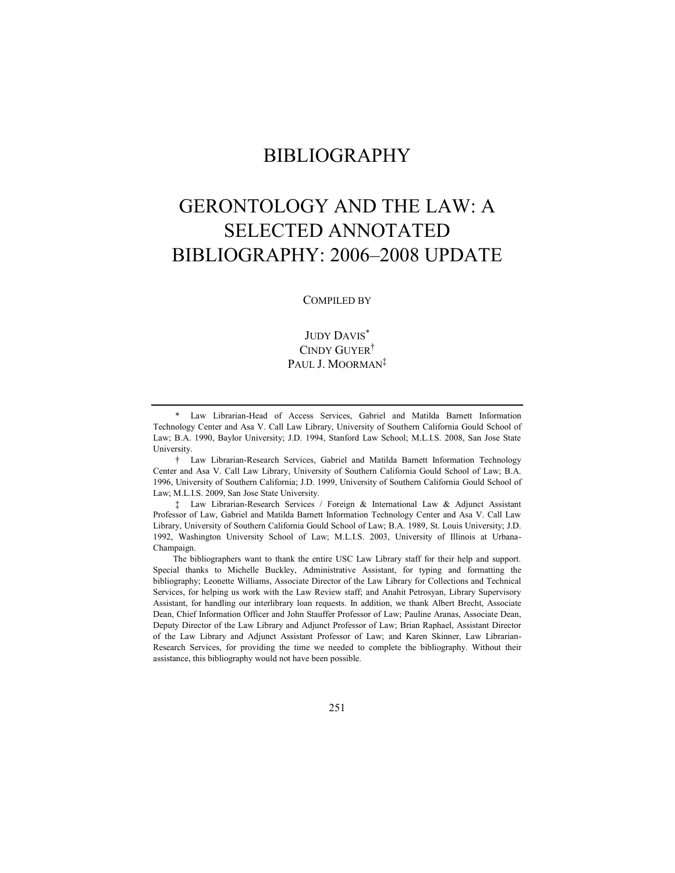# BIBLIOGRAPHY

# GERONTOLOGY AND THE LAW: A SELECTED ANNOTATED BIBLIOGRAPHY: 2006–2008 UPDATE

#### COMPILED BY

JUDY DAVIS\* CINDY GUYER† PAUL J. MOORMAN<sup>‡</sup>

† Law Librarian-Research Services, Gabriel and Matilda Barnett Information Technology Center and Asa V. Call Law Library, University of Southern California Gould School of Law; B.A. 1996, University of Southern California; J.D. 1999, University of Southern California Gould School of Law; M.L.I.S. 2009, San Jose State University.

‡ Law Librarian-Research Services / Foreign & International Law & Adjunct Assistant Professor of Law, Gabriel and Matilda Barnett Information Technology Center and Asa V. Call Law Library, University of Southern California Gould School of Law; B.A. 1989, St. Louis University; J.D. 1992, Washington University School of Law; M.L.I.S. 2003, University of Illinois at Urbana-Champaign.

The bibliographers want to thank the entire USC Law Library staff for their help and support. Special thanks to Michelle Buckley, Administrative Assistant, for typing and formatting the bibliography; Leonette Williams, Associate Director of the Law Library for Collections and Technical Services, for helping us work with the Law Review staff; and Anahit Petrosyan, Library Supervisory Assistant, for handling our interlibrary loan requests. In addition, we thank Albert Brecht, Associate Dean, Chief Information Officer and John Stauffer Professor of Law; Pauline Aranas, Associate Dean, Deputy Director of the Law Library and Adjunct Professor of Law; Brian Raphael, Assistant Director of the Law Library and Adjunct Assistant Professor of Law; and Karen Skinner, Law Librarian-Research Services, for providing the time we needed to complete the bibliography. Without their assistance, this bibliography would not have been possible.

<sup>\*</sup> Law Librarian-Head of Access Services, Gabriel and Matilda Barnett Information Technology Center and Asa V. Call Law Library, University of Southern California Gould School of Law; B.A. 1990, Baylor University; J.D. 1994, Stanford Law School; M.L.I.S. 2008, San Jose State University.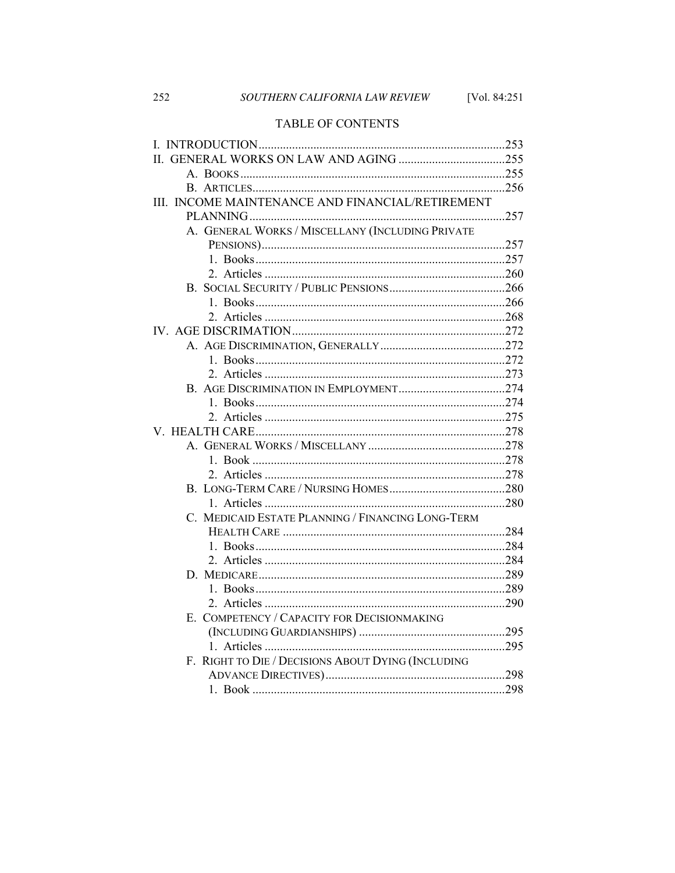# TABLE OF CONTENTS

| III. INCOME MAINTENANCE AND FINANCIAL/RETIREMENT   |  |
|----------------------------------------------------|--|
|                                                    |  |
| A. GENERAL WORKS / MISCELLANY (INCLUDING PRIVATE   |  |
|                                                    |  |
|                                                    |  |
|                                                    |  |
|                                                    |  |
|                                                    |  |
|                                                    |  |
|                                                    |  |
|                                                    |  |
|                                                    |  |
|                                                    |  |
|                                                    |  |
|                                                    |  |
|                                                    |  |
|                                                    |  |
|                                                    |  |
|                                                    |  |
|                                                    |  |
|                                                    |  |
|                                                    |  |
| C. MEDICAID ESTATE PLANNING / FINANCING LONG-TERM  |  |
|                                                    |  |
|                                                    |  |
|                                                    |  |
|                                                    |  |
|                                                    |  |
|                                                    |  |
| E. COMPETENCY / CAPACITY FOR DECISIONMAKING        |  |
|                                                    |  |
|                                                    |  |
| F. RIGHT TO DIE / DECISIONS ABOUT DYING (INCLUDING |  |
|                                                    |  |
|                                                    |  |

252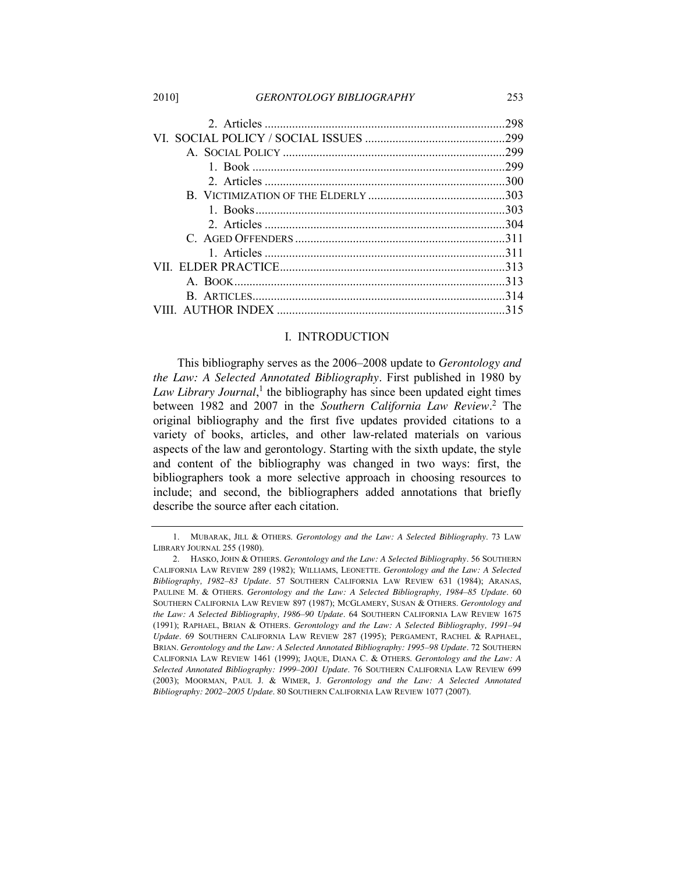2010] *GERONTOLOGY BIBLIOGRAPHY* 253

| 299 |
|-----|
|     |
|     |
|     |
|     |
|     |
|     |
|     |
|     |
|     |
|     |
|     |

#### <span id="page-2-0"></span>I. INTRODUCTION

This bibliography serves as the 2006–2008 update to *Gerontology and the Law: A Selected Annotated Bibliography*. First published in 1980 by Law Library Journal,<sup>1</sup> the bibliography has since been updated eight times between 1982 and 2007 in the *Southern California Law Review*. <sup>2</sup> The original bibliography and the first five updates provided citations to a variety of books, articles, and other law-related materials on various aspects of the law and gerontology. Starting with the sixth update, the style and content of the bibliography was changed in two ways: first, the bibliographers took a more selective approach in choosing resources to include; and second, the bibliographers added annotations that briefly describe the source after each citation.

<sup>1.</sup> MUBARAK, JILL & OTHERS. *Gerontology and the Law: A Selected Bibliography*. 73 LAW LIBRARY JOURNAL 255 (1980).

<sup>2.</sup> HASKO, JOHN & OTHERS. *Gerontology and the Law: A Selected Bibliography*. 56 SOUTHERN CALIFORNIA LAW REVIEW 289 (1982); WILLIAMS, LEONETTE. *Gerontology and the Law: A Selected Bibliography, 1982–83 Update*. 57 SOUTHERN CALIFORNIA LAW REVIEW 631 (1984); ARANAS, PAULINE M. & OTHERS. *Gerontology and the Law: A Selected Bibliography, 1984–85 Update*. 60 SOUTHERN CALIFORNIA LAW REVIEW 897 (1987); MCGLAMERY, SUSAN & OTHERS. *Gerontology and the Law: A Selected Bibliography, 1986–90 Update*. 64 SOUTHERN CALIFORNIA LAW REVIEW 1675 (1991); RAPHAEL, BRIAN & OTHERS. *Gerontology and the Law: A Selected Bibliography, 1991–94 Update*. 69 SOUTHERN CALIFORNIA LAW REVIEW 287 (1995); PERGAMENT, RACHEL & RAPHAEL, BRIAN. *Gerontology and the Law: A Selected Annotated Bibliography: 1995–98 Update*. 72 SOUTHERN CALIFORNIA LAW REVIEW 1461 (1999); JAQUE, DIANA C. & OTHERS. *Gerontology and the Law: A Selected Annotated Bibliography: 1999–2001 Update*. 76 SOUTHERN CALIFORNIA LAW REVIEW 699 (2003); MOORMAN, PAUL J. & WIMER, J. *Gerontology and the Law: A Selected Annotated Bibliography: 2002–2005 Update*. 80 SOUTHERN CALIFORNIA LAW REVIEW 1077 (2007).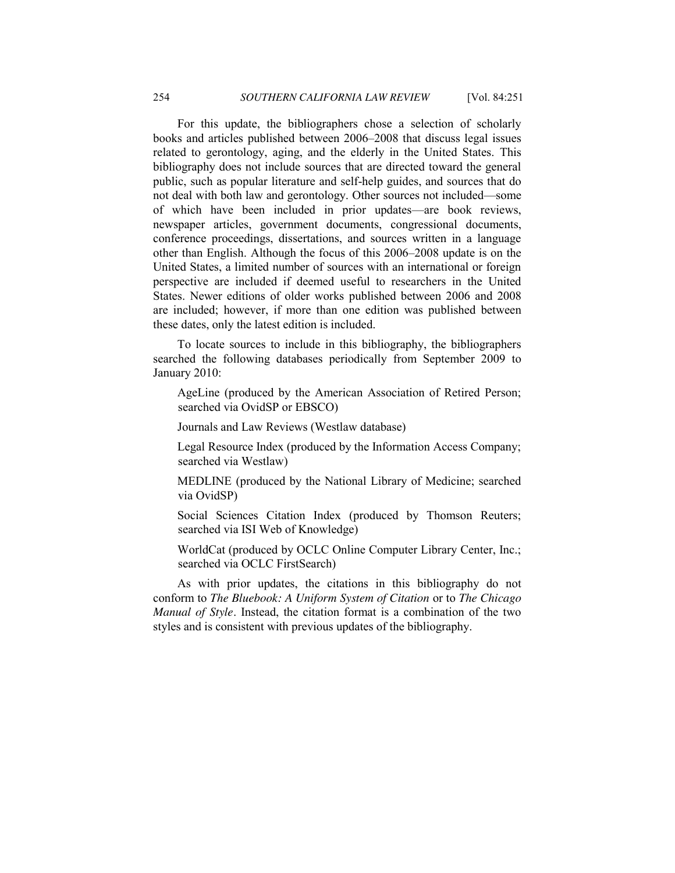For this update, the bibliographers chose a selection of scholarly books and articles published between 2006–2008 that discuss legal issues related to gerontology, aging, and the elderly in the United States. This bibliography does not include sources that are directed toward the general public, such as popular literature and self-help guides, and sources that do not deal with both law and gerontology. Other sources not included—some of which have been included in prior updates—are book reviews, newspaper articles, government documents, congressional documents, conference proceedings, dissertations, and sources written in a language other than English. Although the focus of this 2006–2008 update is on the United States, a limited number of sources with an international or foreign perspective are included if deemed useful to researchers in the United States. Newer editions of older works published between 2006 and 2008 are included; however, if more than one edition was published between these dates, only the latest edition is included.

To locate sources to include in this bibliography, the bibliographers searched the following databases periodically from September 2009 to January 2010:

AgeLine (produced by the American Association of Retired Person; searched via OvidSP or EBSCO)

Journals and Law Reviews (Westlaw database)

Legal Resource Index (produced by the Information Access Company; searched via Westlaw)

MEDLINE (produced by the National Library of Medicine; searched via OvidSP)

Social Sciences Citation Index (produced by Thomson Reuters; searched via ISI Web of Knowledge)

WorldCat (produced by OCLC Online Computer Library Center, Inc.; searched via OCLC FirstSearch)

<span id="page-3-0"></span>As with prior updates, the citations in this bibliography do not conform to *The Bluebook: A Uniform System of Citation* or to *The Chicago Manual of Style*. Instead, the citation format is a combination of the two styles and is consistent with previous updates of the bibliography.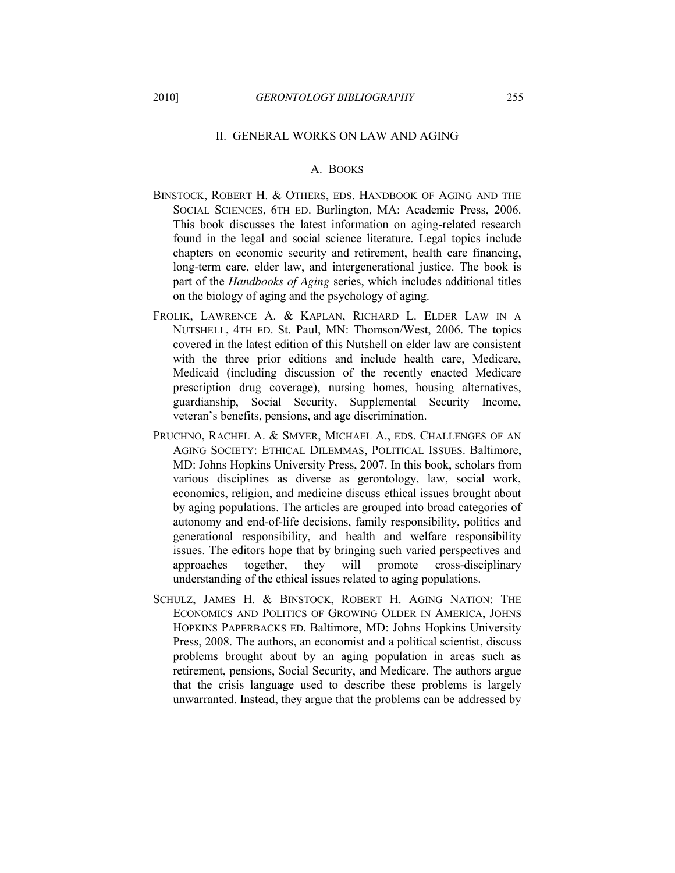#### II. GENERAL WORKS ON LAW AND AGING

# A. BOOKS

- <span id="page-4-0"></span>BINSTOCK, ROBERT H. & OTHERS, EDS. HANDBOOK OF AGING AND THE SOCIAL SCIENCES, 6TH ED. Burlington, MA: Academic Press, 2006. This book discusses the latest information on aging-related research found in the legal and social science literature. Legal topics include chapters on economic security and retirement, health care financing, long-term care, elder law, and intergenerational justice. The book is part of the *Handbooks of Aging* series, which includes additional titles on the biology of aging and the psychology of aging.
- FROLIK, LAWRENCE A. & KAPLAN, RICHARD L. ELDER LAW IN A NUTSHELL, 4TH ED. St. Paul, MN: Thomson/West, 2006. The topics covered in the latest edition of this Nutshell on elder law are consistent with the three prior editions and include health care, Medicare, Medicaid (including discussion of the recently enacted Medicare prescription drug coverage), nursing homes, housing alternatives, guardianship, Social Security, Supplemental Security Income, veteran's benefits, pensions, and age discrimination.
- PRUCHNO, RACHEL A. & SMYER, MICHAEL A., EDS. CHALLENGES OF AN AGING SOCIETY: ETHICAL DILEMMAS, POLITICAL ISSUES. Baltimore, MD: Johns Hopkins University Press, 2007. In this book, scholars from various disciplines as diverse as gerontology, law, social work, economics, religion, and medicine discuss ethical issues brought about by aging populations. The articles are grouped into broad categories of autonomy and end-of-life decisions, family responsibility, politics and generational responsibility, and health and welfare responsibility issues. The editors hope that by bringing such varied perspectives and approaches together, they will promote cross-disciplinary understanding of the ethical issues related to aging populations.
- SCHULZ, JAMES H. & BINSTOCK, ROBERT H. AGING NATION: THE ECONOMICS AND POLITICS OF GROWING OLDER IN AMERICA, JOHNS HOPKINS PAPERBACKS ED. Baltimore, MD: Johns Hopkins University Press, 2008. The authors, an economist and a political scientist, discuss problems brought about by an aging population in areas such as retirement, pensions, Social Security, and Medicare. The authors argue that the crisis language used to describe these problems is largely unwarranted. Instead, they argue that the problems can be addressed by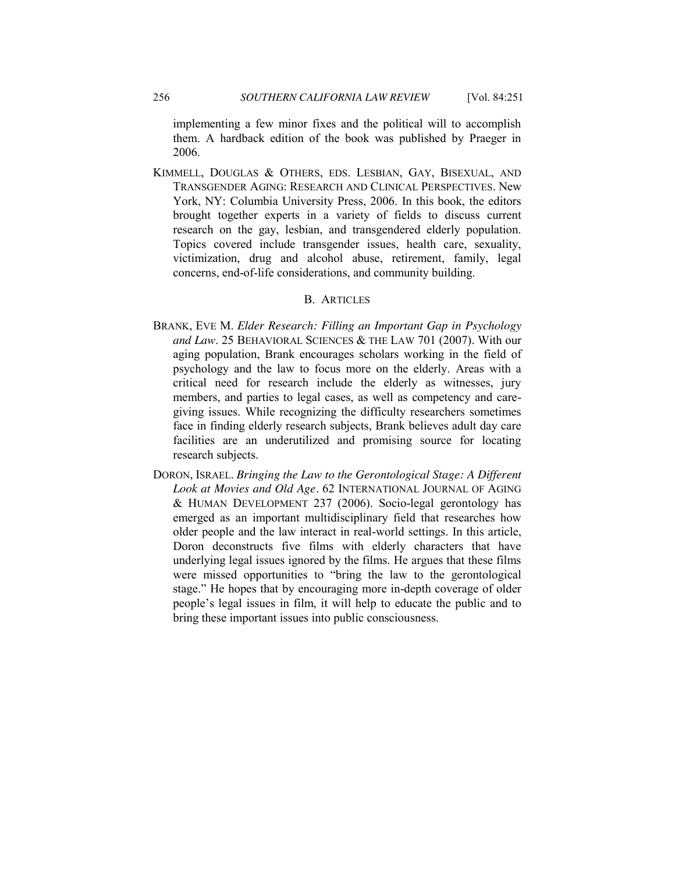KIMMELL, DOUGLAS & OTHERS, EDS. LESBIAN, GAY, BISEXUAL, AND TRANSGENDER AGING: RESEARCH AND CLINICAL PERSPECTIVES. New York, NY: Columbia University Press, 2006. In this book, the editors brought together experts in a variety of fields to discuss current research on the gay, lesbian, and transgendered elderly population. Topics covered include transgender issues, health care, sexuality, victimization, drug and alcohol abuse, retirement, family, legal concerns, end-of-life considerations, and community building.

#### B. ARTICLES

- <span id="page-5-0"></span>BRANK, EVE M. *Elder Research: Filling an Important Gap in Psychology and Law*. 25 BEHAVIORAL SCIENCES & THE LAW 701 (2007). With our aging population, Brank encourages scholars working in the field of psychology and the law to focus more on the elderly. Areas with a critical need for research include the elderly as witnesses, jury members, and parties to legal cases, as well as competency and caregiving issues. While recognizing the difficulty researchers sometimes face in finding elderly research subjects, Brank believes adult day care facilities are an underutilized and promising source for locating research subjects.
- <span id="page-5-1"></span>DORON, ISRAEL. *Bringing the Law to the Gerontological Stage: A Different Look at Movies and Old Age.* 62 INTERNATIONAL JOURNAL OF AGING & HUMAN DEVELOPMENT 237 (2006). Socio-legal gerontology has emerged as an important multidisciplinary field that researches how older people and the law interact in real-world settings. In this article, Doron deconstructs five films with elderly characters that have underlying legal issues ignored by the films. He argues that these films were missed opportunities to "bring the law to the gerontological stage." He hopes that by encouraging more in-depth coverage of older people's legal issues in film, it will help to educate the public and to bring these important issues into public consciousness.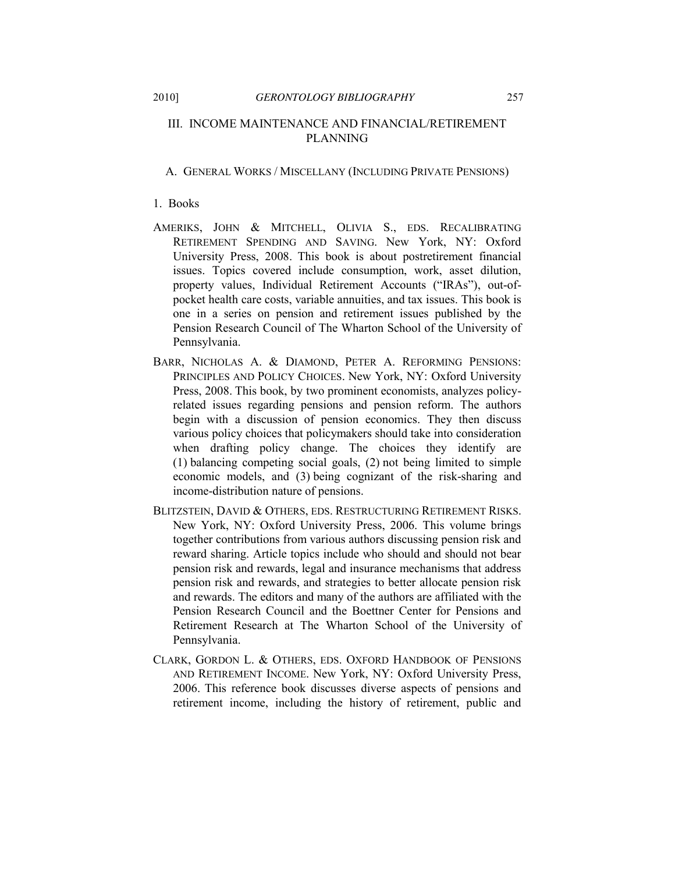#### III. INCOME MAINTENANCE AND FINANCIAL/RETIREMENT PLANNING

#### <span id="page-6-0"></span>A. GENERAL WORKS / MISCELLANY (INCLUDING PRIVATE PENSIONS)

#### <span id="page-6-1"></span>1. Books

- AMERIKS, JOHN & MITCHELL, OLIVIA S., EDS. RECALIBRATING RETIREMENT SPENDING AND SAVING. New York, NY: Oxford University Press, 2008. This book is about postretirement financial issues. Topics covered include consumption, work, asset dilution, property values, Individual Retirement Accounts ("IRAs"), out-ofpocket health care costs, variable annuities, and tax issues. This book is one in a series on pension and retirement issues published by the Pension Research Council of The Wharton School of the University of Pennsylvania.
- BARR, NICHOLAS A. & DIAMOND, PETER A. REFORMING PENSIONS: PRINCIPLES AND POLICY CHOICES. New York, NY: Oxford University Press, 2008. This book, by two prominent economists, analyzes policyrelated issues regarding pensions and pension reform. The authors begin with a discussion of pension economics. They then discuss various policy choices that policymakers should take into consideration when drafting policy change. The choices they identify are (1) balancing competing social goals, (2) not being limited to simple economic models, and (3) being cognizant of the risk-sharing and income-distribution nature of pensions.
- BLITZSTEIN, DAVID & OTHERS, EDS. RESTRUCTURING RETIREMENT RISKS. New York, NY: Oxford University Press, 2006. This volume brings together contributions from various authors discussing pension risk and reward sharing. Article topics include who should and should not bear pension risk and rewards, legal and insurance mechanisms that address pension risk and rewards, and strategies to better allocate pension risk and rewards. The editors and many of the authors are affiliated with the Pension Research Council and the Boettner Center for Pensions and Retirement Research at The Wharton School of the University of Pennsylvania.
- CLARK, GORDON L. & OTHERS, EDS. OXFORD HANDBOOK OF PENSIONS AND RETIREMENT INCOME. New York, NY: Oxford University Press, 2006. This reference book discusses diverse aspects of pensions and retirement income, including the history of retirement, public and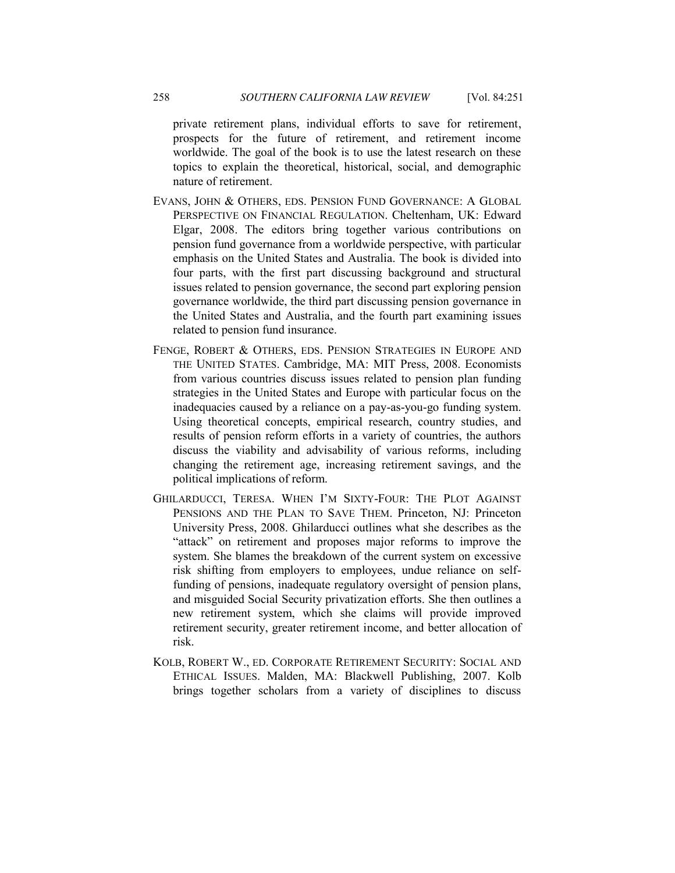private retirement plans, individual efforts to save for retirement, prospects for the future of retirement, and retirement income worldwide. The goal of the book is to use the latest research on these topics to explain the theoretical, historical, social, and demographic nature of retirement.

- EVANS, JOHN & OTHERS, EDS. PENSION FUND GOVERNANCE: A GLOBAL PERSPECTIVE ON FINANCIAL REGULATION. Cheltenham, UK: Edward Elgar, 2008. The editors bring together various contributions on pension fund governance from a worldwide perspective, with particular emphasis on the United States and Australia. The book is divided into four parts, with the first part discussing background and structural issues related to pension governance, the second part exploring pension governance worldwide, the third part discussing pension governance in the United States and Australia, and the fourth part examining issues related to pension fund insurance.
- FENGE, ROBERT & OTHERS, EDS. PENSION STRATEGIES IN EUROPE AND THE UNITED STATES. Cambridge, MA: MIT Press, 2008. Economists from various countries discuss issues related to pension plan funding strategies in the United States and Europe with particular focus on the inadequacies caused by a reliance on a pay-as-you-go funding system. Using theoretical concepts, empirical research, country studies, and results of pension reform efforts in a variety of countries, the authors discuss the viability and advisability of various reforms, including changing the retirement age, increasing retirement savings, and the political implications of reform.
- GHILARDUCCI, TERESA. WHEN I'M SIXTY-FOUR: THE PLOT AGAINST PENSIONS AND THE PLAN TO SAVE THEM. Princeton, NJ: Princeton University Press, 2008. Ghilarducci outlines what she describes as the "attack" on retirement and proposes major reforms to improve the system. She blames the breakdown of the current system on excessive risk shifting from employers to employees, undue reliance on selffunding of pensions, inadequate regulatory oversight of pension plans, and misguided Social Security privatization efforts. She then outlines a new retirement system, which she claims will provide improved retirement security, greater retirement income, and better allocation of risk.
- KOLB, ROBERT W., ED. CORPORATE RETIREMENT SECURITY: SOCIAL AND ETHICAL ISSUES. Malden, MA: Blackwell Publishing, 2007. Kolb brings together scholars from a variety of disciplines to discuss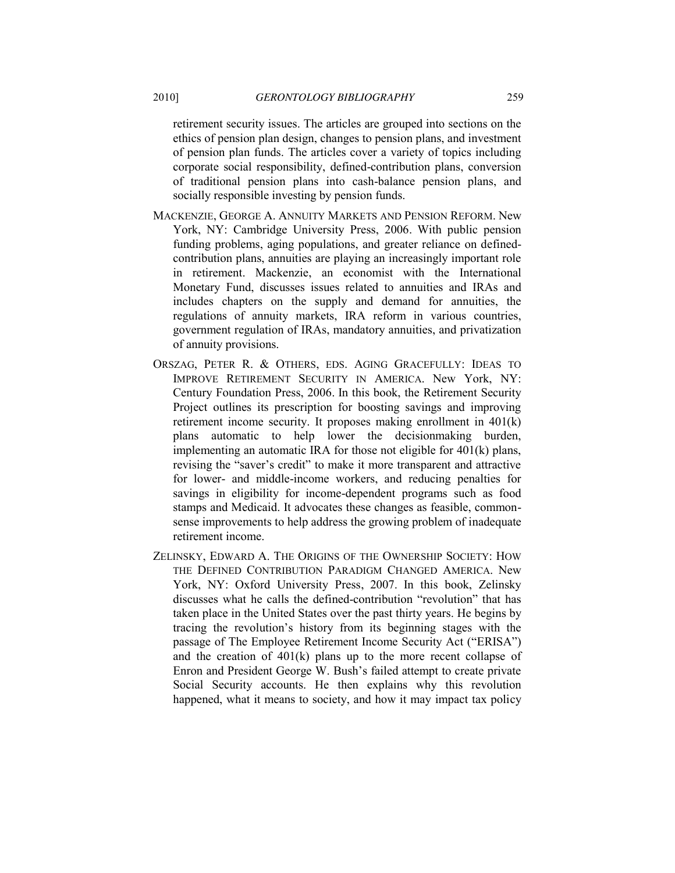retirement security issues. The articles are grouped into sections on the ethics of pension plan design, changes to pension plans, and investment of pension plan funds. The articles cover a variety of topics including corporate social responsibility, defined-contribution plans, conversion of traditional pension plans into cash-balance pension plans, and socially responsible investing by pension funds.

- MACKENZIE, GEORGE A. ANNUITY MARKETS AND PENSION REFORM. New York, NY: Cambridge University Press, 2006. With public pension funding problems, aging populations, and greater reliance on definedcontribution plans, annuities are playing an increasingly important role in retirement. Mackenzie, an economist with the International Monetary Fund, discusses issues related to annuities and IRAs and includes chapters on the supply and demand for annuities, the regulations of annuity markets, IRA reform in various countries, government regulation of IRAs, mandatory annuities, and privatization of annuity provisions.
- ORSZAG, PETER R. & OTHERS, EDS. AGING GRACEFULLY: IDEAS TO IMPROVE RETIREMENT SECURITY IN AMERICA. New York, NY: Century Foundation Press, 2006. In this book, the Retirement Security Project outlines its prescription for boosting savings and improving retirement income security. It proposes making enrollment in 401(k) plans automatic to help lower the decisionmaking burden, implementing an automatic IRA for those not eligible for 401(k) plans, revising the "saver's credit" to make it more transparent and attractive for lower- and middle-income workers, and reducing penalties for savings in eligibility for income-dependent programs such as food stamps and Medicaid. It advocates these changes as feasible, commonsense improvements to help address the growing problem of inadequate retirement income.
- ZELINSKY, EDWARD A. THE ORIGINS OF THE OWNERSHIP SOCIETY: HOW THE DEFINED CONTRIBUTION PARADIGM CHANGED AMERICA. New York, NY: Oxford University Press, 2007. In this book, Zelinsky discusses what he calls the defined-contribution "revolution" that has taken place in the United States over the past thirty years. He begins by tracing the revolution's history from its beginning stages with the passage of The Employee Retirement Income Security Act ("ERISA") and the creation of 401(k) plans up to the more recent collapse of Enron and President George W. Bush's failed attempt to create private Social Security accounts. He then explains why this revolution happened, what it means to society, and how it may impact tax policy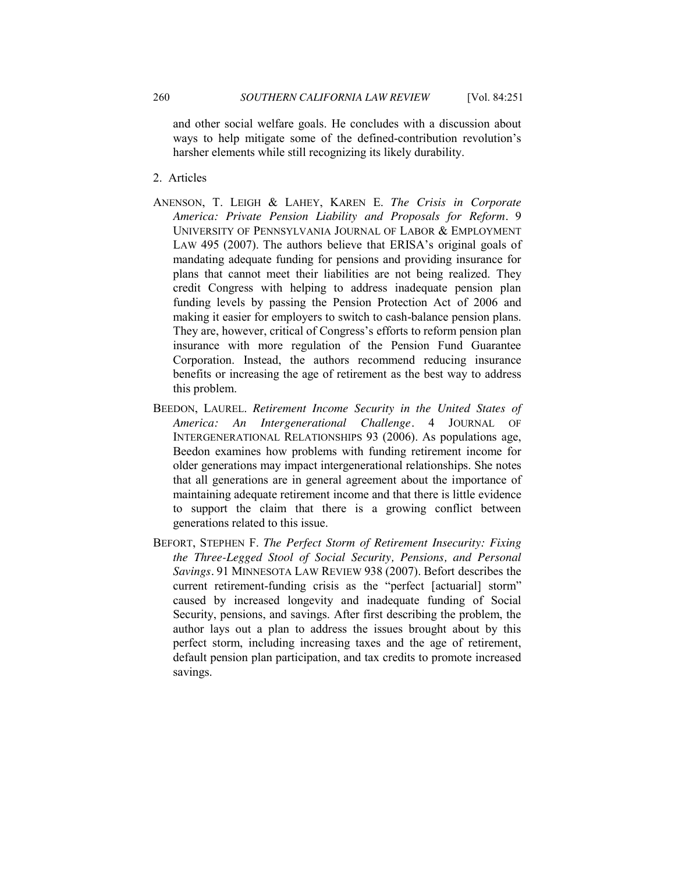and other social welfare goals. He concludes with a discussion about ways to help mitigate some of the defined-contribution revolution's harsher elements while still recognizing its likely durability.

- <span id="page-9-0"></span>2. Articles
- ANENSON, T. LEIGH & LAHEY, KAREN E. *The Crisis in Corporate America: Private Pension Liability and Proposals for Reform.* 9 UNIVERSITY OF PENNSYLVANIA JOURNAL OF LABOR & EMPLOYMENT LAW 495 (2007). The authors believe that ERISA's original goals of mandating adequate funding for pensions and providing insurance for plans that cannot meet their liabilities are not being realized. They credit Congress with helping to address inadequate pension plan funding levels by passing the Pension Protection Act of 2006 and making it easier for employers to switch to cash-balance pension plans. They are, however, critical of Congress's efforts to reform pension plan insurance with more regulation of the Pension Fund Guarantee Corporation. Instead, the authors recommend reducing insurance benefits or increasing the age of retirement as the best way to address this problem.
- BEEDON, LAUREL. *Retirement Income Security in the United States of America: An Intergenerational Challenge.* 4 JOURNAL OF INTERGENERATIONAL RELATIONSHIPS 93 (2006). As populations age, Beedon examines how problems with funding retirement income for older generations may impact intergenerational relationships. She notes that all generations are in general agreement about the importance of maintaining adequate retirement income and that there is little evidence to support the claim that there is a growing conflict between generations related to this issue.
- BEFORT, STEPHEN F. *The Perfect Storm of Retirement Insecurity: Fixing the Three-Legged Stool of Social Security, Pensions, and Personal Savings.* 91 MINNESOTA LAW REVIEW 938 (2007). Befort describes the current retirement-funding crisis as the "perfect [actuarial] storm" caused by increased longevity and inadequate funding of Social Security, pensions, and savings. After first describing the problem, the author lays out a plan to address the issues brought about by this perfect storm, including increasing taxes and the age of retirement, default pension plan participation, and tax credits to promote increased savings.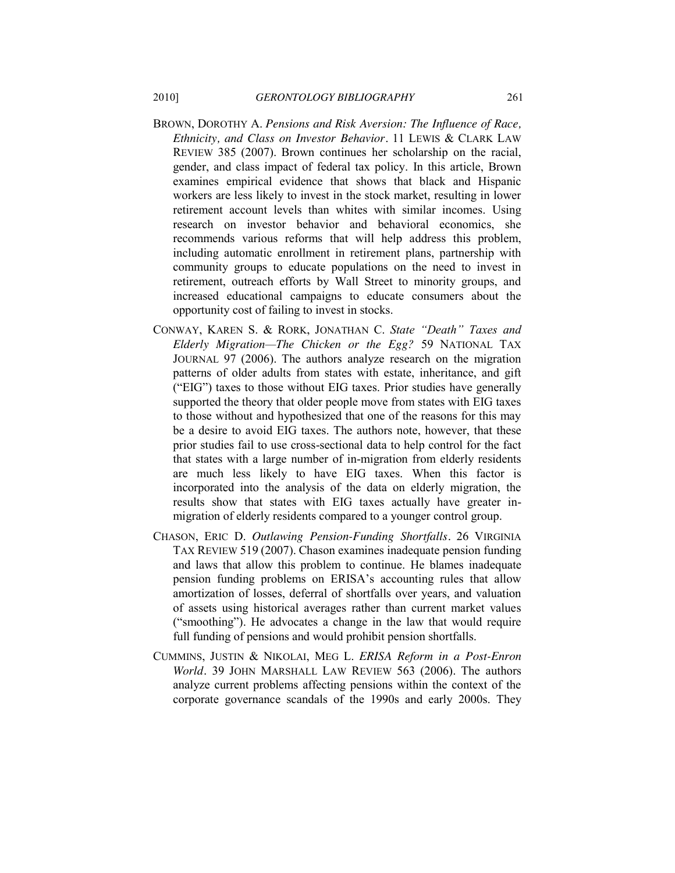- BROWN, DOROTHY A. *Pensions and Risk Aversion: The Influence of Race, Ethnicity, and Class on Investor Behavior.* 11 LEWIS & CLARK LAW REVIEW 385 (2007). Brown continues her scholarship on the racial, gender, and class impact of federal tax policy. In this article, Brown examines empirical evidence that shows that black and Hispanic workers are less likely to invest in the stock market, resulting in lower retirement account levels than whites with similar incomes. Using research on investor behavior and behavioral economics, she recommends various reforms that will help address this problem, including automatic enrollment in retirement plans, partnership with community groups to educate populations on the need to invest in retirement, outreach efforts by Wall Street to minority groups, and increased educational campaigns to educate consumers about the opportunity cost of failing to invest in stocks.
- CONWAY, KAREN S. & RORK, JONATHAN C. State "Death" Taxes and *Elderly Migration—The Chicken or the Egg?* 59 NATIONAL TAX JOURNAL 97 (2006). The authors analyze research on the migration patterns of older adults from states with estate, inheritance, and gift ("EIG") taxes to those without EIG taxes. Prior studies have generally supported the theory that older people move from states with EIG taxes to those without and hypothesized that one of the reasons for this may be a desire to avoid EIG taxes. The authors note, however, that these prior studies fail to use cross-sectional data to help control for the fact that states with a large number of in-migration from elderly residents are much less likely to have EIG taxes. When this factor is incorporated into the analysis of the data on elderly migration, the results show that states with EIG taxes actually have greater inmigration of elderly residents compared to a younger control group.
- CHASON, ERIC D. *Outlawing Pension-Funding Shortfalls.* 26 VIRGINIA TAX REVIEW 519 (2007). Chason examines inadequate pension funding and laws that allow this problem to continue. He blames inadequate pension funding problems on ERISA's accounting rules that allow amortization of losses, deferral of shortfalls over years, and valuation of assets using historical averages rather than current market values ("smoothing"). He advocates a change in the law that would require full funding of pensions and would prohibit pension shortfalls.
- CUMMINS, JUSTIN & NIKOLAI, MEG L. *ERISA Reform in a Post-Enron World.* 39 JOHN MARSHALL LAW REVIEW 563 (2006). The authors analyze current problems affecting pensions within the context of the corporate governance scandals of the 1990s and early 2000s. They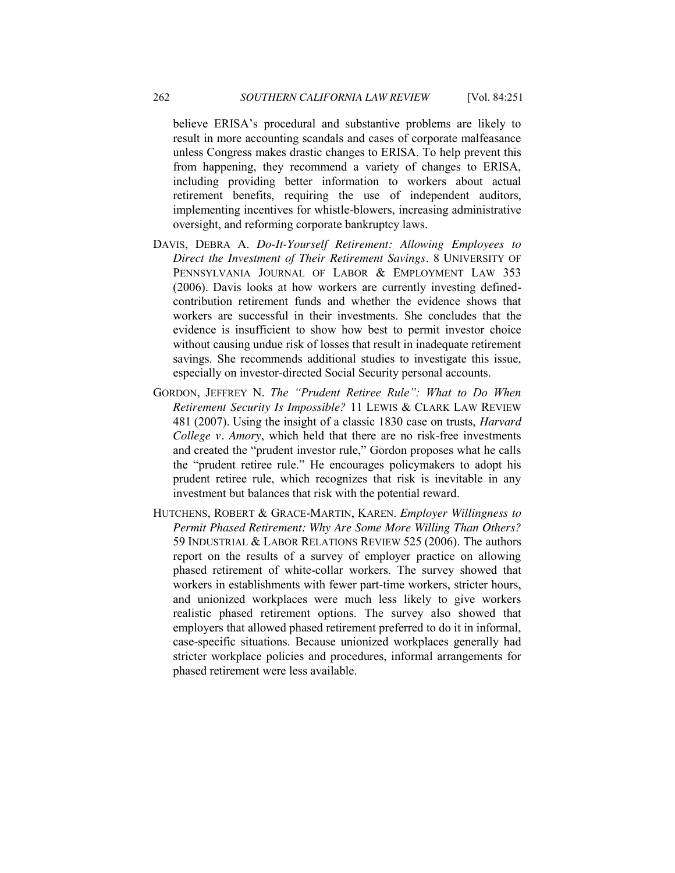believe ERISA's procedural and substantive problems are likely to result in more accounting scandals and cases of corporate malfeasance unless Congress makes drastic changes to ERISA. To help prevent this from happening, they recommend a variety of changes to ERISA, including providing better information to workers about actual retirement benefits, requiring the use of independent auditors, implementing incentives for whistle-blowers, increasing administrative oversight, and reforming corporate bankruptcy laws.

- DAVIS, DEBRA A. *Do-It-Yourself Retirement: Allowing Employees to Direct the Investment of Their Retirement Savings.* 8 UNIVERSITY OF PENNSYLVANIA JOURNAL OF LABOR & EMPLOYMENT LAW 353 (2006). Davis looks at how workers are currently investing definedcontribution retirement funds and whether the evidence shows that workers are successful in their investments. She concludes that the evidence is insufficient to show how best to permit investor choice without causing undue risk of losses that result in inadequate retirement savings. She recommends additional studies to investigate this issue, especially on investor-directed Social Security personal accounts.
- GORDON, JEFFREY N. *The "Prudent Retiree Rule": What to Do When Retirement Security Is Impossible?* 11 LEWIS & CLARK LAW REVIEW 481 (2007). Using the insight of a classic 1830 case on trusts, *Harvard College v. Amory*, which held that there are no risk-free investments and created the "prudent investor rule," Gordon proposes what he calls the "prudent retiree rule." He encourages policymakers to adopt his prudent retiree rule, which recognizes that risk is inevitable in any investment but balances that risk with the potential reward.
- HUTCHENS, ROBERT & GRACE-MARTIN, KAREN. *Employer Willingness to Permit Phased Retirement: Why Are Some More Willing Than Others?* 59 INDUSTRIAL & LABOR RELATIONS REVIEW 525 (2006). The authors report on the results of a survey of employer practice on allowing phased retirement of white-collar workers. The survey showed that workers in establishments with fewer part-time workers, stricter hours, and unionized workplaces were much less likely to give workers realistic phased retirement options. The survey also showed that employers that allowed phased retirement preferred to do it in informal, case-specific situations. Because unionized workplaces generally had stricter workplace policies and procedures, informal arrangements for phased retirement were less available.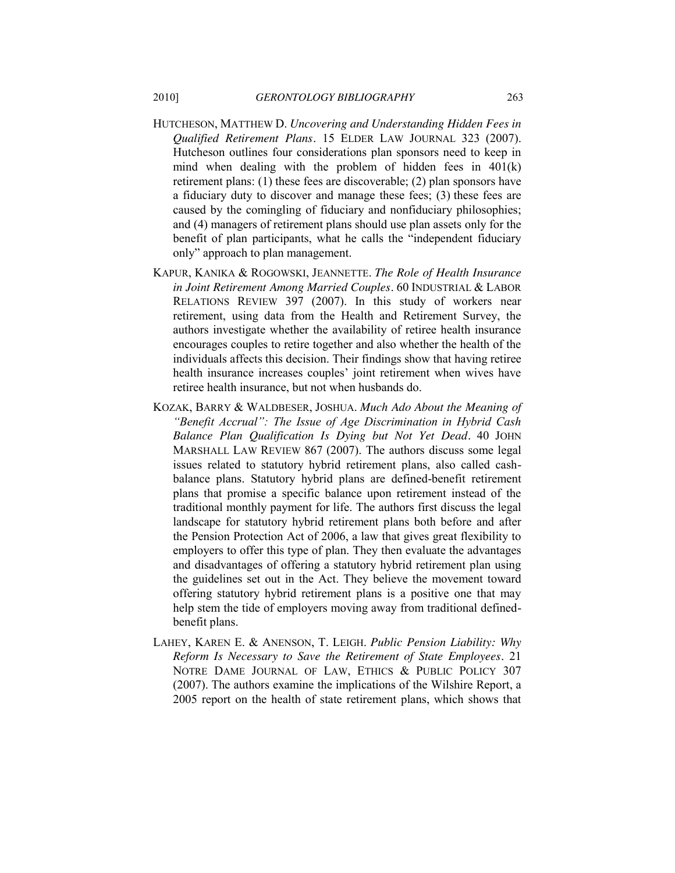- HUTCHESON, MATTHEW D. *Uncovering and Understanding Hidden Fees in Qualified Retirement Plans.* 15 ELDER LAW JOURNAL 323 (2007). Hutcheson outlines four considerations plan sponsors need to keep in mind when dealing with the problem of hidden fees in 401(k) retirement plans: (1) these fees are discoverable; (2) plan sponsors have a fiduciary duty to discover and manage these fees; (3) these fees are caused by the comingling of fiduciary and nonfiduciary philosophies; and (4) managers of retirement plans should use plan assets only for the benefit of plan participants, what he calls the "independent fiduciary only" approach to plan management.
- KAPUR, KANIKA & ROGOWSKI, JEANNETTE. *The Role of Health Insurance in Joint Retirement Among Married Couples.* 60 INDUSTRIAL & LABOR RELATIONS REVIEW 397 (2007). In this study of workers near retirement, using data from the Health and Retirement Survey, the authors investigate whether the availability of retiree health insurance encourages couples to retire together and also whether the health of the individuals affects this decision. Their findings show that having retiree health insurance increases couples' joint retirement when wives have retiree health insurance, but not when husbands do.
- KOZAK, BARRY & WALDBESER, JOSHUA. *Much Ado About the Meaning of ―Benefit Accrual‖: The Issue of Age Discrimination in Hybrid Cash Balance Plan Qualification Is Dying but Not Yet Dead.* 40 JOHN MARSHALL LAW REVIEW 867 (2007). The authors discuss some legal issues related to statutory hybrid retirement plans, also called cashbalance plans. Statutory hybrid plans are defined-benefit retirement plans that promise a specific balance upon retirement instead of the traditional monthly payment for life. The authors first discuss the legal landscape for statutory hybrid retirement plans both before and after the Pension Protection Act of 2006, a law that gives great flexibility to employers to offer this type of plan. They then evaluate the advantages and disadvantages of offering a statutory hybrid retirement plan using the guidelines set out in the Act. They believe the movement toward offering statutory hybrid retirement plans is a positive one that may help stem the tide of employers moving away from traditional definedbenefit plans.
- LAHEY, KAREN E. & ANENSON, T. LEIGH. *Public Pension Liability: Why Reform Is Necessary to Save the Retirement of State Employees.* 21 NOTRE DAME JOURNAL OF LAW, ETHICS & PUBLIC POLICY 307 (2007). The authors examine the implications of the Wilshire Report, a 2005 report on the health of state retirement plans, which shows that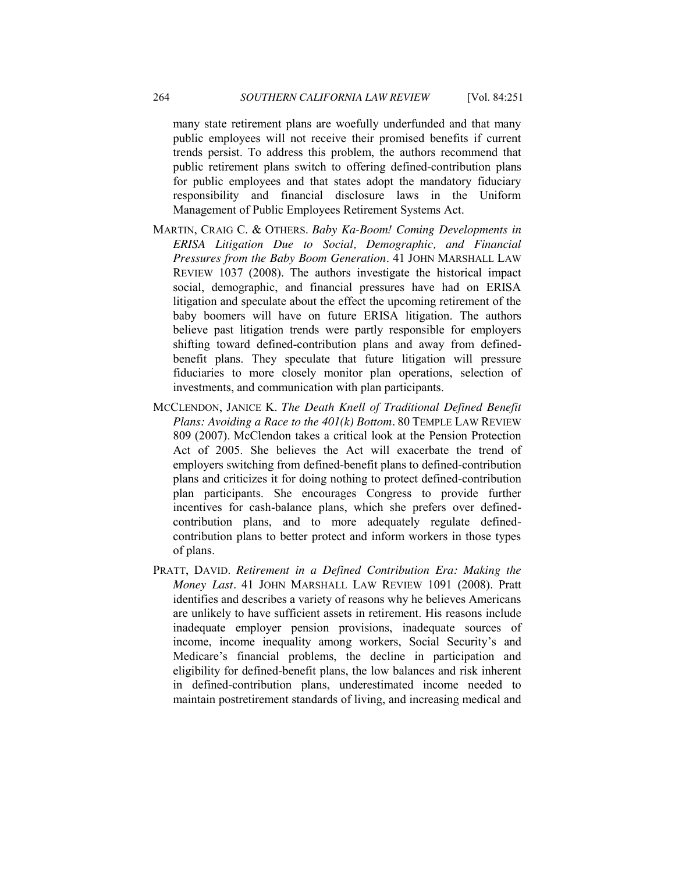many state retirement plans are woefully underfunded and that many public employees will not receive their promised benefits if current trends persist. To address this problem, the authors recommend that public retirement plans switch to offering defined-contribution plans for public employees and that states adopt the mandatory fiduciary responsibility and financial disclosure laws in the Uniform Management of Public Employees Retirement Systems Act.

- MARTIN, CRAIG C. & OTHERS. *Baby Ka-Boom! Coming Developments in ERISA Litigation Due to Social, Demographic, and Financial Pressures from the Baby Boom Generation.* 41 JOHN MARSHALL LAW REVIEW 1037 (2008). The authors investigate the historical impact social, demographic, and financial pressures have had on ERISA litigation and speculate about the effect the upcoming retirement of the baby boomers will have on future ERISA litigation. The authors believe past litigation trends were partly responsible for employers shifting toward defined-contribution plans and away from definedbenefit plans. They speculate that future litigation will pressure fiduciaries to more closely monitor plan operations, selection of investments, and communication with plan participants.
- MCCLENDON, JANICE K. *The Death Knell of Traditional Defined Benefit Plans: Avoiding a Race to the 401(k) Bottom.* 80 TEMPLE LAW REVIEW 809 (2007). McClendon takes a critical look at the Pension Protection Act of 2005. She believes the Act will exacerbate the trend of employers switching from defined-benefit plans to defined-contribution plans and criticizes it for doing nothing to protect defined-contribution plan participants. She encourages Congress to provide further incentives for cash-balance plans, which she prefers over definedcontribution plans, and to more adequately regulate definedcontribution plans to better protect and inform workers in those types of plans.
- PRATT, DAVID. *Retirement in a Defined Contribution Era: Making the Money Last.* 41 JOHN MARSHALL LAW REVIEW 1091 (2008). Pratt identifies and describes a variety of reasons why he believes Americans are unlikely to have sufficient assets in retirement. His reasons include inadequate employer pension provisions, inadequate sources of income, income inequality among workers, Social Security's and Medicare's financial problems, the decline in participation and eligibility for defined-benefit plans, the low balances and risk inherent in defined-contribution plans, underestimated income needed to maintain postretirement standards of living, and increasing medical and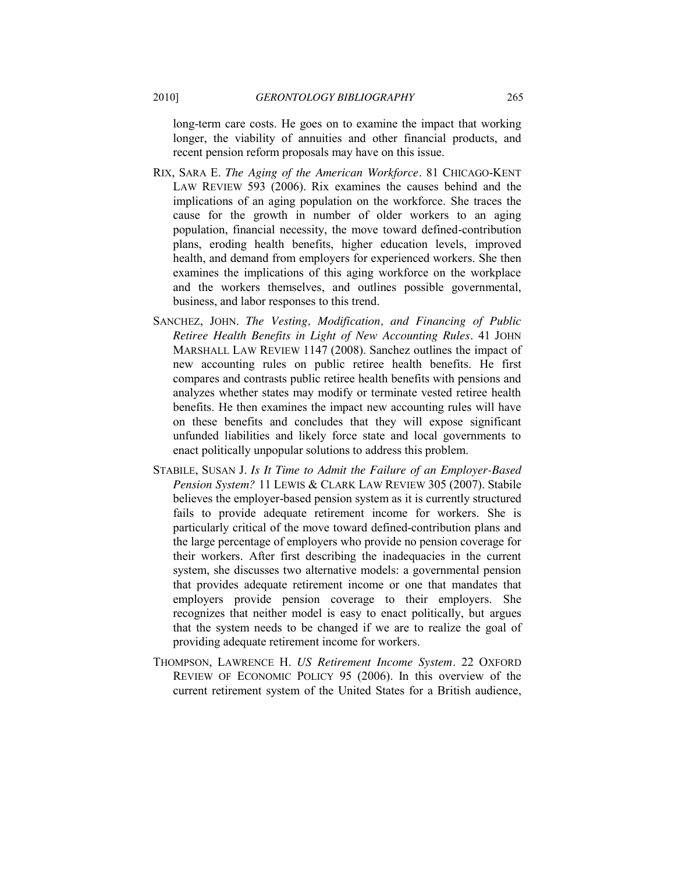long-term care costs. He goes on to examine the impact that working longer, the viability of annuities and other financial products, and recent pension reform proposals may have on this issue.

- RIX, SARA E. *The Aging of the American Workforce.* 81 CHICAGO-KENT LAW REVIEW 593 (2006). Rix examines the causes behind and the implications of an aging population on the workforce. She traces the cause for the growth in number of older workers to an aging population, financial necessity, the move toward defined-contribution plans, eroding health benefits, higher education levels, improved health, and demand from employers for experienced workers. She then examines the implications of this aging workforce on the workplace and the workers themselves, and outlines possible governmental, business, and labor responses to this trend.
- SANCHEZ, JOHN. *The Vesting, Modification, and Financing of Public Retiree Health Benefits in Light of New Accounting Rules.* 41 JOHN MARSHALL LAW REVIEW 1147 (2008). Sanchez outlines the impact of new accounting rules on public retiree health benefits. He first compares and contrasts public retiree health benefits with pensions and analyzes whether states may modify or terminate vested retiree health benefits. He then examines the impact new accounting rules will have on these benefits and concludes that they will expose significant unfunded liabilities and likely force state and local governments to enact politically unpopular solutions to address this problem.
- STABILE, SUSAN J. *Is It Time to Admit the Failure of an Employer-Based Pension System?* 11 LEWIS & CLARK LAW REVIEW 305 (2007). Stabile believes the employer-based pension system as it is currently structured fails to provide adequate retirement income for workers. She is particularly critical of the move toward defined-contribution plans and the large percentage of employers who provide no pension coverage for their workers. After first describing the inadequacies in the current system, she discusses two alternative models: a governmental pension that provides adequate retirement income or one that mandates that employers provide pension coverage to their employers. She recognizes that neither model is easy to enact politically, but argues that the system needs to be changed if we are to realize the goal of providing adequate retirement income for workers.
- THOMPSON, LAWRENCE H. *US Retirement Income System.* 22 OXFORD REVIEW OF ECONOMIC POLICY 95 (2006). In this overview of the current retirement system of the United States for a British audience,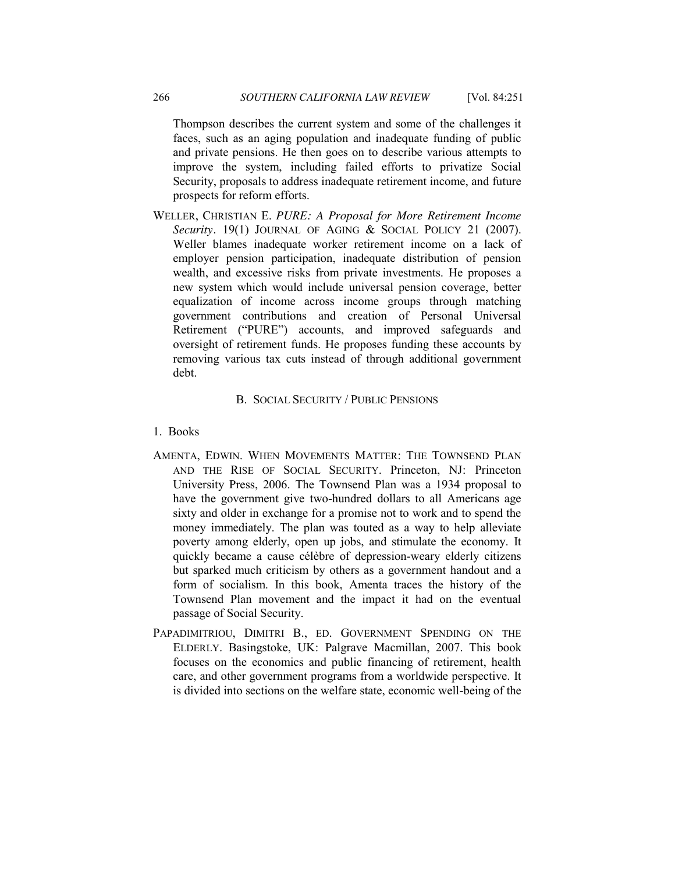Thompson describes the current system and some of the challenges it faces, such as an aging population and inadequate funding of public and private pensions. He then goes on to describe various attempts to improve the system, including failed efforts to privatize Social Security, proposals to address inadequate retirement income, and future prospects for reform efforts.

WELLER, CHRISTIAN E. *PURE: A Proposal for More Retirement Income*  Security. 19(1) JOURNAL OF AGING & SOCIAL POLICY 21 (2007). Weller blames inadequate worker retirement income on a lack of employer pension participation, inadequate distribution of pension wealth, and excessive risks from private investments. He proposes a new system which would include universal pension coverage, better equalization of income across income groups through matching government contributions and creation of Personal Universal Retirement ("PURE") accounts, and improved safeguards and oversight of retirement funds. He proposes funding these accounts by removing various tax cuts instead of through additional government debt.

# B. SOCIAL SECURITY / PUBLIC PENSIONS

#### <span id="page-15-1"></span><span id="page-15-0"></span>1. Books

- AMENTA, EDWIN. WHEN MOVEMENTS MATTER: THE TOWNSEND PLAN AND THE RISE OF SOCIAL SECURITY. Princeton, NJ: Princeton University Press, 2006. The Townsend Plan was a 1934 proposal to have the government give two-hundred dollars to all Americans age sixty and older in exchange for a promise not to work and to spend the money immediately. The plan was touted as a way to help alleviate poverty among elderly, open up jobs, and stimulate the economy. It quickly became a cause célèbre of depression-weary elderly citizens but sparked much criticism by others as a government handout and a form of socialism. In this book, Amenta traces the history of the Townsend Plan movement and the impact it had on the eventual passage of Social Security.
- PAPADIMITRIOU, DIMITRI B., ED. GOVERNMENT SPENDING ON THE ELDERLY. Basingstoke, UK: Palgrave Macmillan, 2007. This book focuses on the economics and public financing of retirement, health care, and other government programs from a worldwide perspective. It is divided into sections on the welfare state, economic well-being of the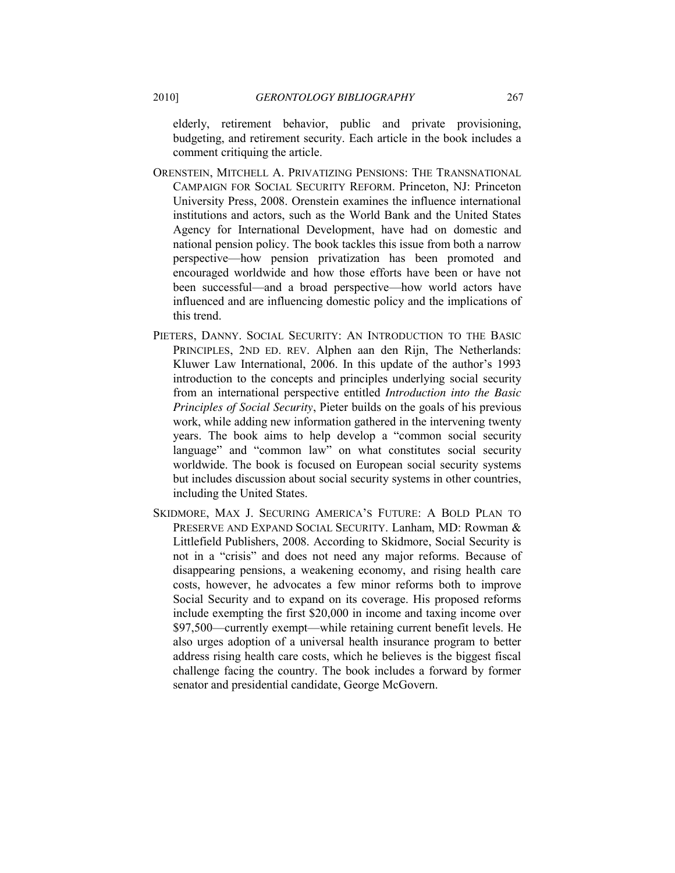elderly, retirement behavior, public and private provisioning, budgeting, and retirement security. Each article in the book includes a comment critiquing the article.

- ORENSTEIN, MITCHELL A. PRIVATIZING PENSIONS: THE TRANSNATIONAL CAMPAIGN FOR SOCIAL SECURITY REFORM. Princeton, NJ: Princeton University Press, 2008. Orenstein examines the influence international institutions and actors, such as the World Bank and the United States Agency for International Development, have had on domestic and national pension policy. The book tackles this issue from both a narrow perspective—how pension privatization has been promoted and encouraged worldwide and how those efforts have been or have not been successful—and a broad perspective—how world actors have influenced and are influencing domestic policy and the implications of this trend.
- PIETERS, DANNY. SOCIAL SECURITY: AN INTRODUCTION TO THE BASIC PRINCIPLES, 2ND ED. REV. Alphen aan den Rijn, The Netherlands: Kluwer Law International, 2006. In this update of the author's 1993 introduction to the concepts and principles underlying social security from an international perspective entitled *Introduction into the Basic Principles of Social Security*, Pieter builds on the goals of his previous work, while adding new information gathered in the intervening twenty years. The book aims to help develop a "common social security language" and "common law" on what constitutes social security worldwide. The book is focused on European social security systems but includes discussion about social security systems in other countries, including the United States.
- SKIDMORE, MAX J. SECURING AMERICA'S FUTURE: A BOLD PLAN TO PRESERVE AND EXPAND SOCIAL SECURITY. Lanham, MD: Rowman & Littlefield Publishers, 2008. According to Skidmore, Social Security is not in a "crisis" and does not need any major reforms. Because of disappearing pensions, a weakening economy, and rising health care costs, however, he advocates a few minor reforms both to improve Social Security and to expand on its coverage. His proposed reforms include exempting the first \$20,000 in income and taxing income over \$97,500—currently exempt—while retaining current benefit levels. He also urges adoption of a universal health insurance program to better address rising health care costs, which he believes is the biggest fiscal challenge facing the country. The book includes a forward by former senator and presidential candidate, George McGovern.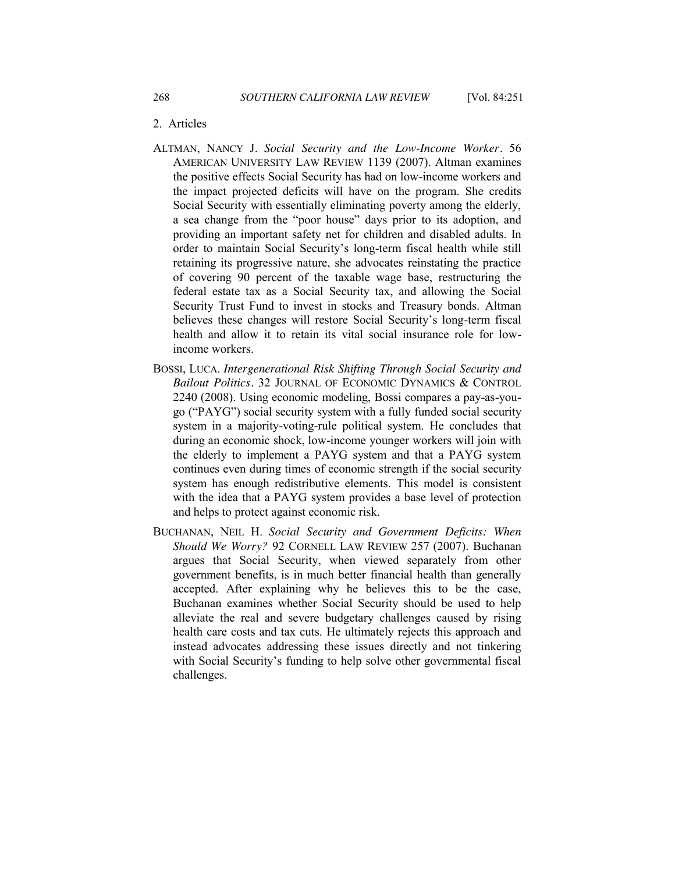#### <span id="page-17-0"></span>2. Articles

- ALTMAN, NANCY J. *Social Security and the Low-Income Worker.* 56 AMERICAN UNIVERSITY LAW REVIEW 1139 (2007). Altman examines the positive effects Social Security has had on low-income workers and the impact projected deficits will have on the program. She credits Social Security with essentially eliminating poverty among the elderly, a sea change from the "poor house" days prior to its adoption, and providing an important safety net for children and disabled adults. In order to maintain Social Security's long-term fiscal health while still retaining its progressive nature, she advocates reinstating the practice of covering 90 percent of the taxable wage base, restructuring the federal estate tax as a Social Security tax, and allowing the Social Security Trust Fund to invest in stocks and Treasury bonds. Altman believes these changes will restore Social Security's long-term fiscal health and allow it to retain its vital social insurance role for lowincome workers.
- BOSSI, LUCA. *Intergenerational Risk Shifting Through Social Security and Bailout Politics.* 32 JOURNAL OF ECONOMIC DYNAMICS & CONTROL 2240 (2008). Using economic modeling, Bossi compares a pay-as-yougo ("PAYG") social security system with a fully funded social security system in a majority-voting-rule political system. He concludes that during an economic shock, low-income younger workers will join with the elderly to implement a PAYG system and that a PAYG system continues even during times of economic strength if the social security system has enough redistributive elements. This model is consistent with the idea that a PAYG system provides a base level of protection and helps to protect against economic risk.
- BUCHANAN, NEIL H. *Social Security and Government Deficits: When Should We Worry?* 92 CORNELL LAW REVIEW 257 (2007). Buchanan argues that Social Security, when viewed separately from other government benefits, is in much better financial health than generally accepted. After explaining why he believes this to be the case, Buchanan examines whether Social Security should be used to help alleviate the real and severe budgetary challenges caused by rising health care costs and tax cuts. He ultimately rejects this approach and instead advocates addressing these issues directly and not tinkering with Social Security's funding to help solve other governmental fiscal challenges.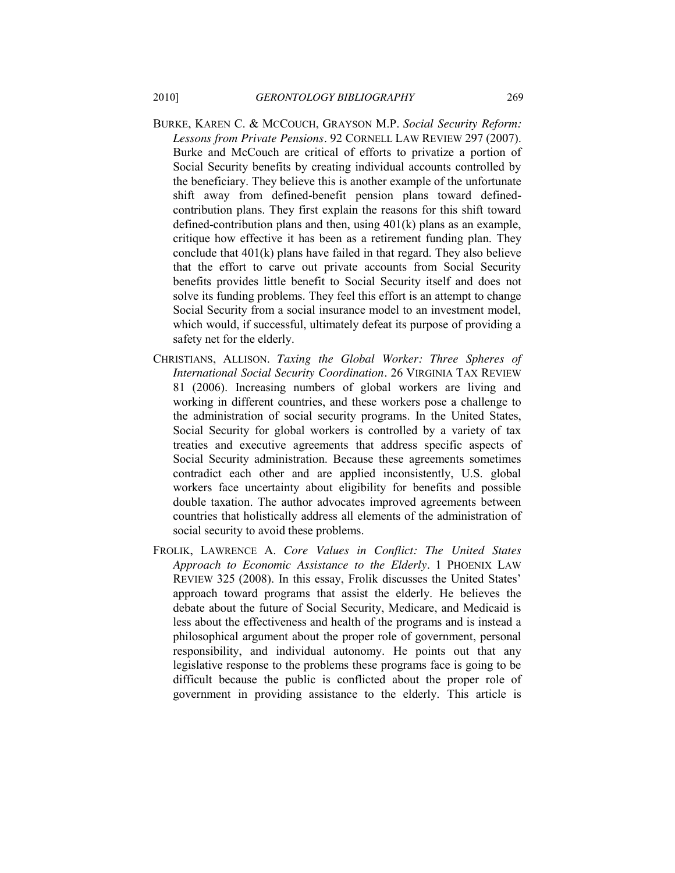- BURKE, KAREN C. & MCCOUCH, GRAYSON M.P. *Social Security Reform: Lessons from Private Pensions.* 92 CORNELL LAW REVIEW 297 (2007). Burke and McCouch are critical of efforts to privatize a portion of Social Security benefits by creating individual accounts controlled by the beneficiary. They believe this is another example of the unfortunate shift away from defined-benefit pension plans toward definedcontribution plans. They first explain the reasons for this shift toward defined-contribution plans and then, using 401(k) plans as an example, critique how effective it has been as a retirement funding plan. They conclude that 401(k) plans have failed in that regard. They also believe that the effort to carve out private accounts from Social Security benefits provides little benefit to Social Security itself and does not solve its funding problems. They feel this effort is an attempt to change Social Security from a social insurance model to an investment model, which would, if successful, ultimately defeat its purpose of providing a safety net for the elderly.
- CHRISTIANS, ALLISON. *Taxing the Global Worker: Three Spheres of International Social Security Coordination.* 26 VIRGINIA TAX REVIEW 81 (2006). Increasing numbers of global workers are living and working in different countries, and these workers pose a challenge to the administration of social security programs. In the United States, Social Security for global workers is controlled by a variety of tax treaties and executive agreements that address specific aspects of Social Security administration. Because these agreements sometimes contradict each other and are applied inconsistently, U.S. global workers face uncertainty about eligibility for benefits and possible double taxation. The author advocates improved agreements between countries that holistically address all elements of the administration of social security to avoid these problems.
- FROLIK, LAWRENCE A. *Core Values in Conflict: The United States Approach to Economic Assistance to the Elderly*. 1 PHOENIX LAW REVIEW 325 (2008). In this essay, Frolik discusses the United States' approach toward programs that assist the elderly. He believes the debate about the future of Social Security, Medicare, and Medicaid is less about the effectiveness and health of the programs and is instead a philosophical argument about the proper role of government, personal responsibility, and individual autonomy. He points out that any legislative response to the problems these programs face is going to be difficult because the public is conflicted about the proper role of government in providing assistance to the elderly. This article is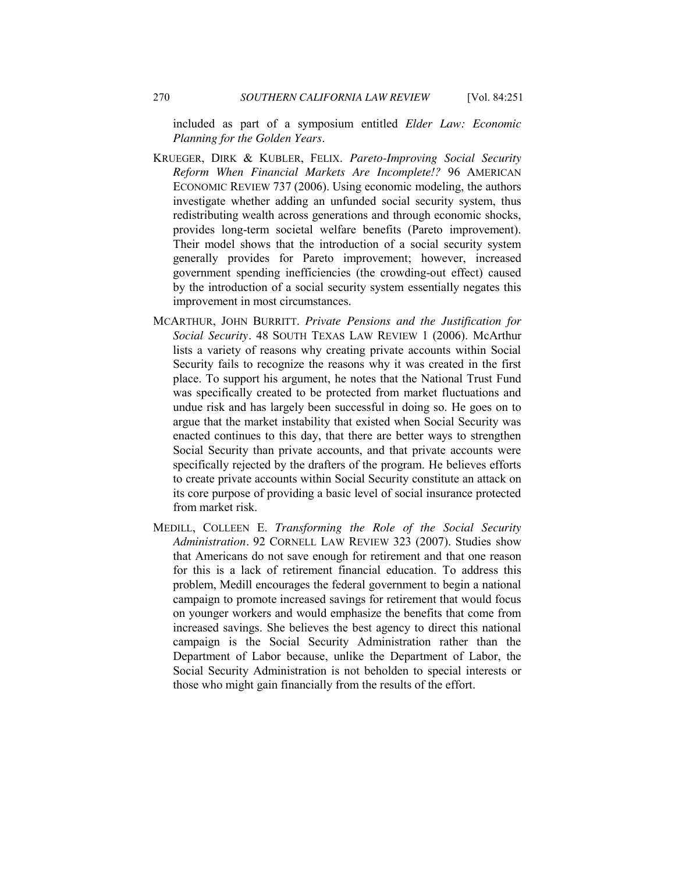included as part of a symposium entitled *Elder Law: Economic Planning for the Golden Years*.

- KRUEGER, DIRK & KUBLER, FELIX. *Pareto-Improving Social Security Reform When Financial Markets Are Incomplete!?* 96 AMERICAN ECONOMIC REVIEW 737 (2006). Using economic modeling, the authors investigate whether adding an unfunded social security system, thus redistributing wealth across generations and through economic shocks, provides long-term societal welfare benefits (Pareto improvement). Their model shows that the introduction of a social security system generally provides for Pareto improvement; however, increased government spending inefficiencies (the crowding-out effect) caused by the introduction of a social security system essentially negates this improvement in most circumstances.
- MCARTHUR, JOHN BURRITT. *Private Pensions and the Justification for Social Security.* 48 SOUTH TEXAS LAW REVIEW 1 (2006). McArthur lists a variety of reasons why creating private accounts within Social Security fails to recognize the reasons why it was created in the first place. To support his argument, he notes that the National Trust Fund was specifically created to be protected from market fluctuations and undue risk and has largely been successful in doing so. He goes on to argue that the market instability that existed when Social Security was enacted continues to this day, that there are better ways to strengthen Social Security than private accounts, and that private accounts were specifically rejected by the drafters of the program. He believes efforts to create private accounts within Social Security constitute an attack on its core purpose of providing a basic level of social insurance protected from market risk.
- MEDILL, COLLEEN E. *Transforming the Role of the Social Security Administration.* 92 CORNELL LAW REVIEW 323 (2007). Studies show that Americans do not save enough for retirement and that one reason for this is a lack of retirement financial education. To address this problem, Medill encourages the federal government to begin a national campaign to promote increased savings for retirement that would focus on younger workers and would emphasize the benefits that come from increased savings. She believes the best agency to direct this national campaign is the Social Security Administration rather than the Department of Labor because, unlike the Department of Labor, the Social Security Administration is not beholden to special interests or those who might gain financially from the results of the effort.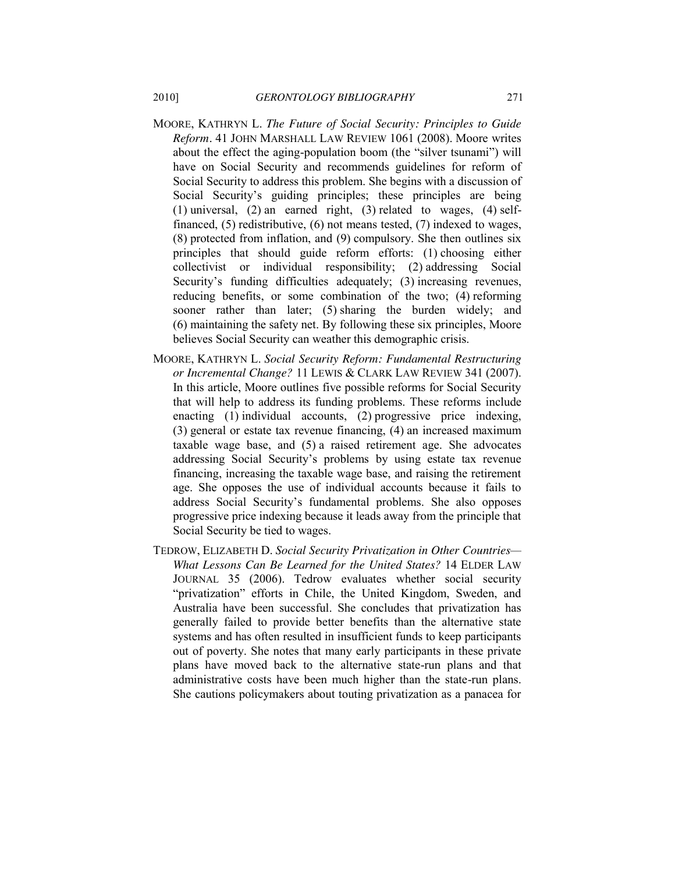- MOORE, KATHRYN L. *The Future of Social Security: Principles to Guide Reform.* 41 JOHN MARSHALL LAW REVIEW 1061 (2008). Moore writes about the effect the aging-population boom (the "silver tsunami") will have on Social Security and recommends guidelines for reform of Social Security to address this problem. She begins with a discussion of Social Security's guiding principles; these principles are being (1) universal, (2) an earned right, (3) related to wages, (4) selffinanced, (5) redistributive, (6) not means tested, (7) indexed to wages, (8) protected from inflation, and (9) compulsory. She then outlines six principles that should guide reform efforts: (1) choosing either collectivist or individual responsibility; (2) addressing Social Security's funding difficulties adequately; (3) increasing revenues, reducing benefits, or some combination of the two; (4) reforming sooner rather than later; (5) sharing the burden widely; and (6) maintaining the safety net. By following these six principles, Moore believes Social Security can weather this demographic crisis.
- MOORE, KATHRYN L. *Social Security Reform: Fundamental Restructuring or Incremental Change?* 11 LEWIS & CLARK LAW REVIEW 341 (2007). In this article, Moore outlines five possible reforms for Social Security that will help to address its funding problems. These reforms include enacting (1) individual accounts, (2) progressive price indexing, (3) general or estate tax revenue financing, (4) an increased maximum taxable wage base, and (5) a raised retirement age. She advocates addressing Social Security's problems by using estate tax revenue financing, increasing the taxable wage base, and raising the retirement age. She opposes the use of individual accounts because it fails to address Social Security's fundamental problems. She also opposes progressive price indexing because it leads away from the principle that Social Security be tied to wages.
- TEDROW, ELIZABETH D. *Social Security Privatization in Other Countries— What Lessons Can Be Learned for the United States?* 14 ELDER LAW JOURNAL 35 (2006). Tedrow evaluates whether social security "privatization" efforts in Chile, the United Kingdom, Sweden, and Australia have been successful. She concludes that privatization has generally failed to provide better benefits than the alternative state systems and has often resulted in insufficient funds to keep participants out of poverty. She notes that many early participants in these private plans have moved back to the alternative state-run plans and that administrative costs have been much higher than the state-run plans. She cautions policymakers about touting privatization as a panacea for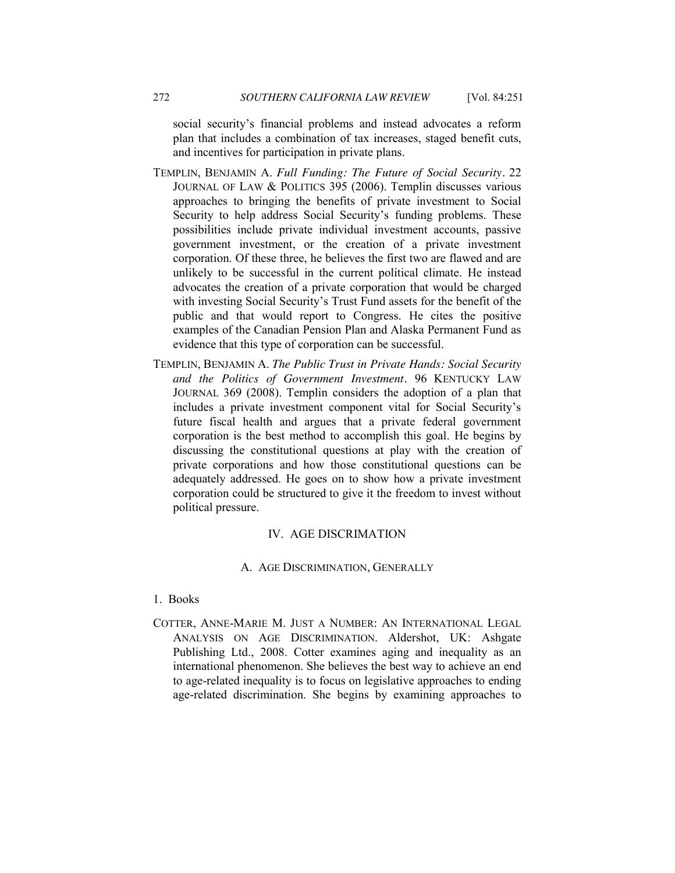social security's financial problems and instead advocates a reform plan that includes a combination of tax increases, staged benefit cuts, and incentives for participation in private plans.

- TEMPLIN, BENJAMIN A. *Full Funding: The Future of Social Security.* 22 JOURNAL OF LAW & POLITICS 395 (2006). Templin discusses various approaches to bringing the benefits of private investment to Social Security to help address Social Security's funding problems. These possibilities include private individual investment accounts, passive government investment, or the creation of a private investment corporation. Of these three, he believes the first two are flawed and are unlikely to be successful in the current political climate. He instead advocates the creation of a private corporation that would be charged with investing Social Security's Trust Fund assets for the benefit of the public and that would report to Congress. He cites the positive examples of the Canadian Pension Plan and Alaska Permanent Fund as evidence that this type of corporation can be successful.
- TEMPLIN, BENJAMIN A. *The Public Trust in Private Hands: Social Security and the Politics of Government Investment.* 96 KENTUCKY LAW JOURNAL 369 (2008). Templin considers the adoption of a plan that includes a private investment component vital for Social Security's future fiscal health and argues that a private federal government corporation is the best method to accomplish this goal. He begins by discussing the constitutional questions at play with the creation of private corporations and how those constitutional questions can be adequately addressed. He goes on to show how a private investment corporation could be structured to give it the freedom to invest without political pressure.

# IV. AGE DISCRIMATION

#### A. AGE DISCRIMINATION, GENERALLY

#### <span id="page-21-2"></span><span id="page-21-1"></span><span id="page-21-0"></span>1. Books

COTTER, ANNE-MARIE M. JUST A NUMBER: AN INTERNATIONAL LEGAL ANALYSIS ON AGE DISCRIMINATION. Aldershot, UK: Ashgate Publishing Ltd., 2008. Cotter examines aging and inequality as an international phenomenon. She believes the best way to achieve an end to age-related inequality is to focus on legislative approaches to ending age-related discrimination. She begins by examining approaches to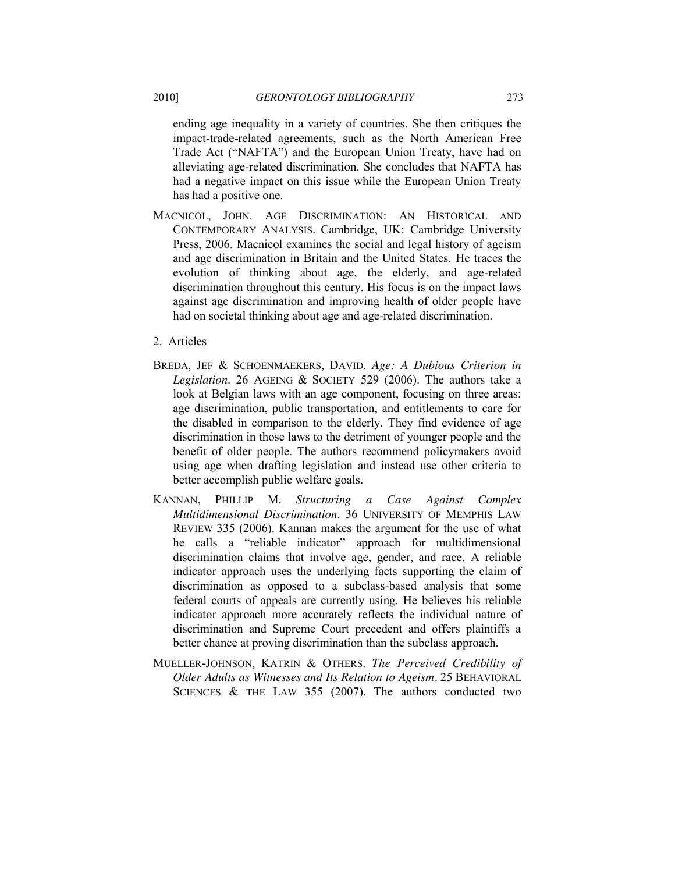ending age inequality in a variety of countries. She then critiques the impact-trade-related agreements, such as the North American Free Trade Act ("NAFTA") and the European Union Treaty, have had on alleviating age-related discrimination. She concludes that NAFTA has had a negative impact on this issue while the European Union Treaty has had a positive one.

- MACNICOL, JOHN. AGE DISCRIMINATION: AN HISTORICAL AND CONTEMPORARY ANALYSIS. Cambridge, UK: Cambridge University Press, 2006. Macnicol examines the social and legal history of ageism and age discrimination in Britain and the United States. He traces the evolution of thinking about age, the elderly, and age-related discrimination throughout this century. His focus is on the impact laws against age discrimination and improving health of older people have had on societal thinking about age and age-related discrimination.
- <span id="page-22-0"></span>2. Articles
- BREDA, JEF & SCHOENMAEKERS, DAVID. *Age: A Dubious Criterion in Legislation*. 26 AGEING & SOCIETY 529 (2006). The authors take a look at Belgian laws with an age component, focusing on three areas: age discrimination, public transportation, and entitlements to care for the disabled in comparison to the elderly. They find evidence of age discrimination in those laws to the detriment of younger people and the benefit of older people. The authors recommend policymakers avoid using age when drafting legislation and instead use other criteria to better accomplish public welfare goals.
- KANNAN, PHILLIP M. *Structuring a Case Against Complex Multidimensional Discrimination*. 36 UNIVERSITY OF MEMPHIS LAW REVIEW 335 (2006). Kannan makes the argument for the use of what he calls a "reliable indicator" approach for multidimensional discrimination claims that involve age, gender, and race. A reliable indicator approach uses the underlying facts supporting the claim of discrimination as opposed to a subclass-based analysis that some federal courts of appeals are currently using. He believes his reliable indicator approach more accurately reflects the individual nature of discrimination and Supreme Court precedent and offers plaintiffs a better chance at proving discrimination than the subclass approach.
- MUELLER-JOHNSON, KATRIN & OTHERS. *The Perceived Credibility of Older Adults as Witnesses and Its Relation to Ageism.* 25 BEHAVIORAL SCIENCES & THE LAW 355 (2007). The authors conducted two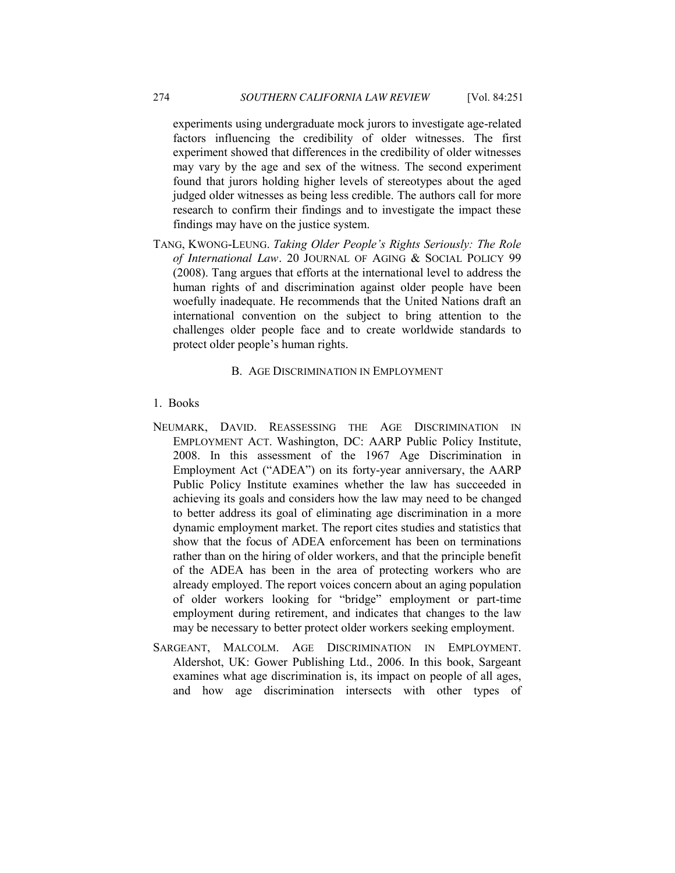experiments using undergraduate mock jurors to investigate age-related factors influencing the credibility of older witnesses. The first experiment showed that differences in the credibility of older witnesses may vary by the age and sex of the witness. The second experiment found that jurors holding higher levels of stereotypes about the aged judged older witnesses as being less credible. The authors call for more research to confirm their findings and to investigate the impact these findings may have on the justice system.

TANG, KWONG-LEUNG. *Taking Older People's Rights Seriously: The Role of International Law.* 20 JOURNAL OF AGING & SOCIAL POLICY 99 (2008). Tang argues that efforts at the international level to address the human rights of and discrimination against older people have been woefully inadequate. He recommends that the United Nations draft an international convention on the subject to bring attention to the challenges older people face and to create worldwide standards to protect older people's human rights.

#### B. AGE DISCRIMINATION IN EMPLOYMENT

#### <span id="page-23-1"></span><span id="page-23-0"></span>1. Books

- NEUMARK, DAVID. REASSESSING THE AGE DISCRIMINATION IN EMPLOYMENT ACT. Washington, DC: AARP Public Policy Institute, 2008. In this assessment of the 1967 Age Discrimination in Employment Act ("ADEA") on its forty-year anniversary, the AARP Public Policy Institute examines whether the law has succeeded in achieving its goals and considers how the law may need to be changed to better address its goal of eliminating age discrimination in a more dynamic employment market. The report cites studies and statistics that show that the focus of ADEA enforcement has been on terminations rather than on the hiring of older workers, and that the principle benefit of the ADEA has been in the area of protecting workers who are already employed. The report voices concern about an aging population of older workers looking for "bridge" employment or part-time employment during retirement, and indicates that changes to the law may be necessary to better protect older workers seeking employment.
- SARGEANT, MALCOLM. AGE DISCRIMINATION IN EMPLOYMENT. Aldershot, UK: Gower Publishing Ltd., 2006. In this book, Sargeant examines what age discrimination is, its impact on people of all ages, and how age discrimination intersects with other types of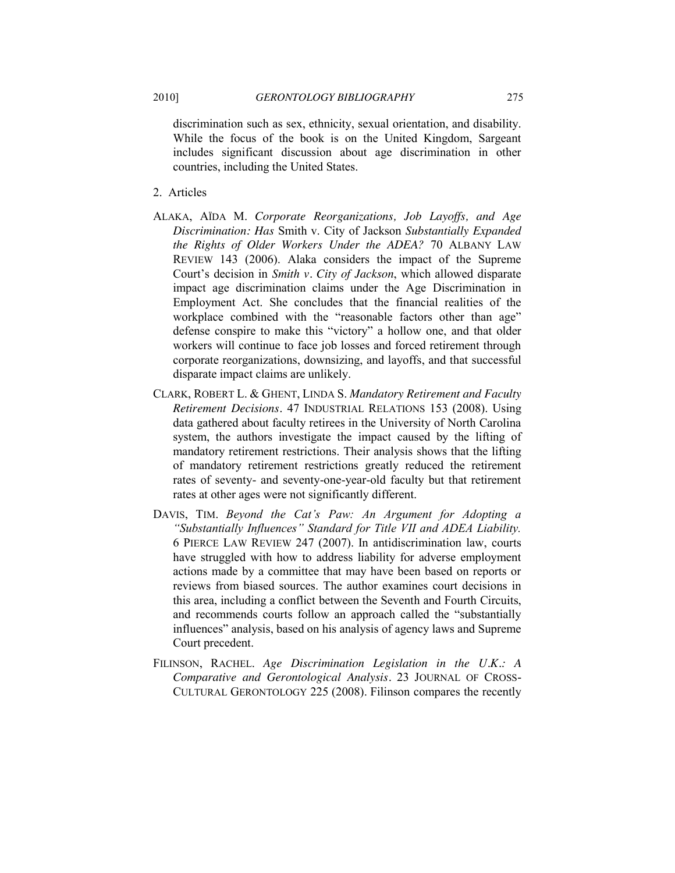discrimination such as sex, ethnicity, sexual orientation, and disability. While the focus of the book is on the United Kingdom, Sargeant includes significant discussion about age discrimination in other countries, including the United States.

- <span id="page-24-0"></span>2. Articles
- ALAKA, AÏDA M. *Corporate Reorganizations, Job Layoffs, and Age Discrimination: Has* Smith v. City of Jackson *Substantially Expanded the Rights of Older Workers Under the ADEA?* 70 ALBANY LAW REVIEW 143 (2006). Alaka considers the impact of the Supreme Court's decision in *Smith v. City of Jackson*, which allowed disparate impact age discrimination claims under the Age Discrimination in Employment Act. She concludes that the financial realities of the workplace combined with the "reasonable factors other than age" defense conspire to make this "victory" a hollow one, and that older workers will continue to face job losses and forced retirement through corporate reorganizations, downsizing, and layoffs, and that successful disparate impact claims are unlikely.
- CLARK, ROBERT L. & GHENT, LINDA S. *Mandatory Retirement and Faculty Retirement Decisions.* 47 INDUSTRIAL RELATIONS 153 (2008). Using data gathered about faculty retirees in the University of North Carolina system, the authors investigate the impact caused by the lifting of mandatory retirement restrictions. Their analysis shows that the lifting of mandatory retirement restrictions greatly reduced the retirement rates of seventy- and seventy-one-year-old faculty but that retirement rates at other ages were not significantly different.
- DAVIS, TIM. *Beyond the Cat's Paw: An Argument for Adopting a ―Substantially Influences‖ Standard for Title VII and ADEA Liability.* 6 PIERCE LAW REVIEW 247 (2007). In antidiscrimination law, courts have struggled with how to address liability for adverse employment actions made by a committee that may have been based on reports or reviews from biased sources. The author examines court decisions in this area, including a conflict between the Seventh and Fourth Circuits, and recommends courts follow an approach called the "substantially" influences" analysis, based on his analysis of agency laws and Supreme Court precedent.
- FILINSON, RACHEL. *Age Discrimination Legislation in the U.K.: A Comparative and Gerontological Analysis.* 23 JOURNAL OF CROSS-CULTURAL GERONTOLOGY 225 (2008). Filinson compares the recently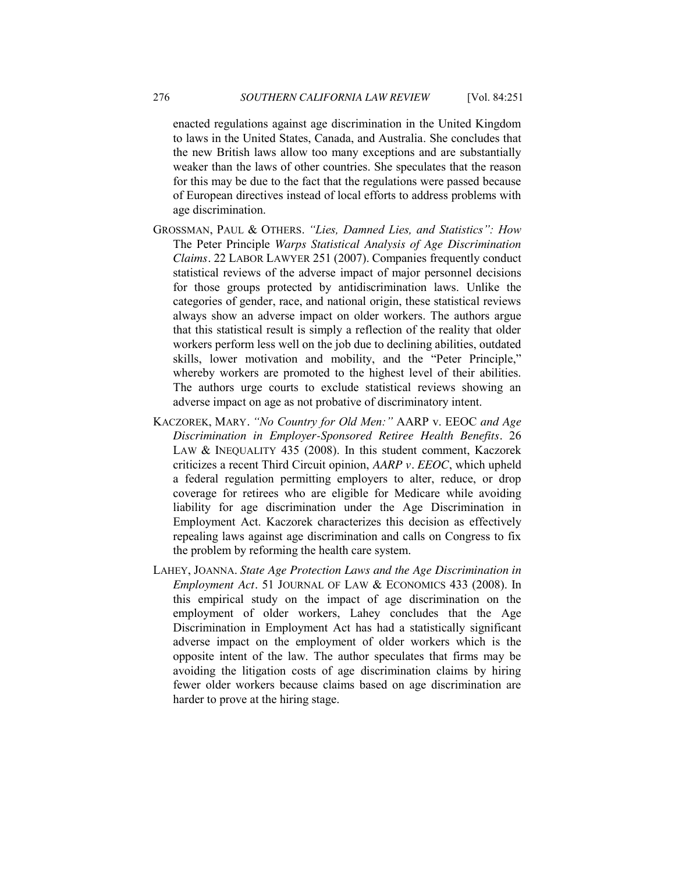enacted regulations against age discrimination in the United Kingdom to laws in the United States, Canada, and Australia. She concludes that the new British laws allow too many exceptions and are substantially weaker than the laws of other countries. She speculates that the reason for this may be due to the fact that the regulations were passed because of European directives instead of local efforts to address problems with age discrimination.

- GROSSMAN, PAUL & OTHERS. "Lies, Damned Lies, and Statistics": How The Peter Principle *Warps Statistical Analysis of Age Discrimination Claims.* 22 LABOR LAWYER 251 (2007). Companies frequently conduct statistical reviews of the adverse impact of major personnel decisions for those groups protected by antidiscrimination laws. Unlike the categories of gender, race, and national origin, these statistical reviews always show an adverse impact on older workers. The authors argue that this statistical result is simply a reflection of the reality that older workers perform less well on the job due to declining abilities, outdated skills, lower motivation and mobility, and the "Peter Principle," whereby workers are promoted to the highest level of their abilities. The authors urge courts to exclude statistical reviews showing an adverse impact on age as not probative of discriminatory intent.
- KACZOREK, MARY. "No Country for Old Men:" AARP v. EEOC and Age *Discrimination in Employer-Sponsored Retiree Health Benefits.* 26 LAW & INEQUALITY 435 (2008). In this student comment, Kaczorek criticizes a recent Third Circuit opinion, *AARP v. EEOC*, which upheld a federal regulation permitting employers to alter, reduce, or drop coverage for retirees who are eligible for Medicare while avoiding liability for age discrimination under the Age Discrimination in Employment Act. Kaczorek characterizes this decision as effectively repealing laws against age discrimination and calls on Congress to fix the problem by reforming the health care system.
- LAHEY, JOANNA. *State Age Protection Laws and the Age Discrimination in Employment Act.* 51 JOURNAL OF LAW & ECONOMICS 433 (2008). In this empirical study on the impact of age discrimination on the employment of older workers, Lahey concludes that the Age Discrimination in Employment Act has had a statistically significant adverse impact on the employment of older workers which is the opposite intent of the law. The author speculates that firms may be avoiding the litigation costs of age discrimination claims by hiring fewer older workers because claims based on age discrimination are harder to prove at the hiring stage.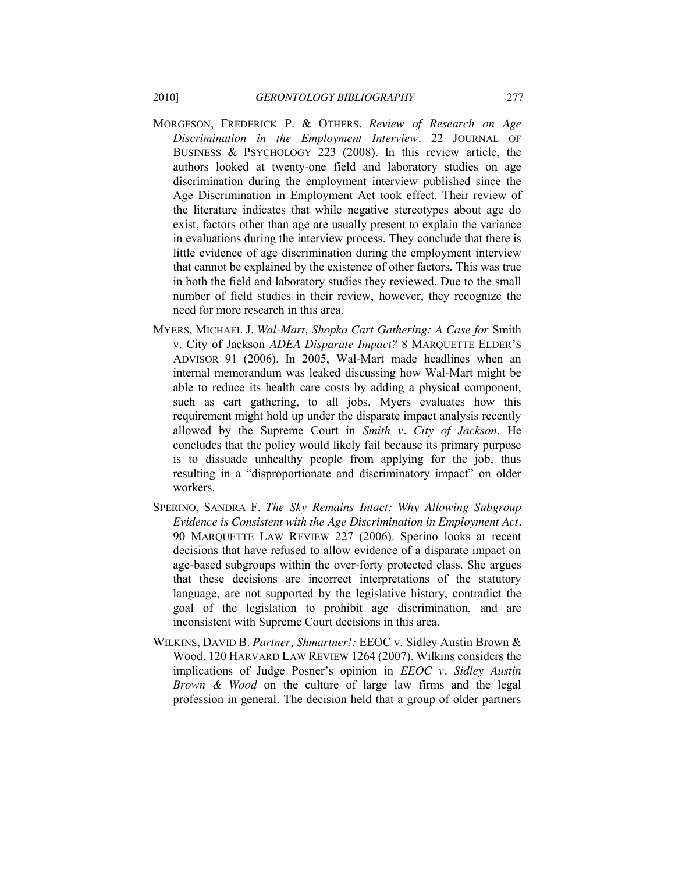- MORGESON, FREDERICK P. & OTHERS. *Review of Research on Age Discrimination in the Employment Interview.* 22 JOURNAL OF BUSINESS & PSYCHOLOGY 223 (2008). In this review article, the authors looked at twenty-one field and laboratory studies on age discrimination during the employment interview published since the Age Discrimination in Employment Act took effect. Their review of the literature indicates that while negative stereotypes about age do exist, factors other than age are usually present to explain the variance in evaluations during the interview process. They conclude that there is little evidence of age discrimination during the employment interview that cannot be explained by the existence of other factors. This was true in both the field and laboratory studies they reviewed. Due to the small number of field studies in their review, however, they recognize the need for more research in this area.
- MYERS, MICHAEL J. *Wal-Mart, Shopko Cart Gathering: A Case for* Smith v. City of Jackson *ADEA Disparate Impact?* 8 MARQUETTE ELDER'S ADVISOR 91 (2006). In 2005, Wal-Mart made headlines when an internal memorandum was leaked discussing how Wal-Mart might be able to reduce its health care costs by adding a physical component, such as cart gathering, to all jobs. Myers evaluates how this requirement might hold up under the disparate impact analysis recently allowed by the Supreme Court in *Smith v. City of Jackson*. He concludes that the policy would likely fail because its primary purpose is to dissuade unhealthy people from applying for the job, thus resulting in a "disproportionate and discriminatory impact" on older workers.
- SPERINO, SANDRA F. *The Sky Remains Intact: Why Allowing Subgroup Evidence is Consistent with the Age Discrimination in Employment Act.* 90 MARQUETTE LAW REVIEW 227 (2006). Sperino looks at recent decisions that have refused to allow evidence of a disparate impact on age-based subgroups within the over-forty protected class. She argues that these decisions are incorrect interpretations of the statutory language, are not supported by the legislative history, contradict the goal of the legislation to prohibit age discrimination, and are inconsistent with Supreme Court decisions in this area.
- WILKINS, DAVID B. *Partner, Shmartner!:* EEOC v. Sidley Austin Brown & Wood*.* 120 HARVARD LAW REVIEW 1264 (2007). Wilkins considers the implications of Judge Posner's opinion in *EEOC v. Sidley Austin Brown & Wood* on the culture of large law firms and the legal profession in general. The decision held that a group of older partners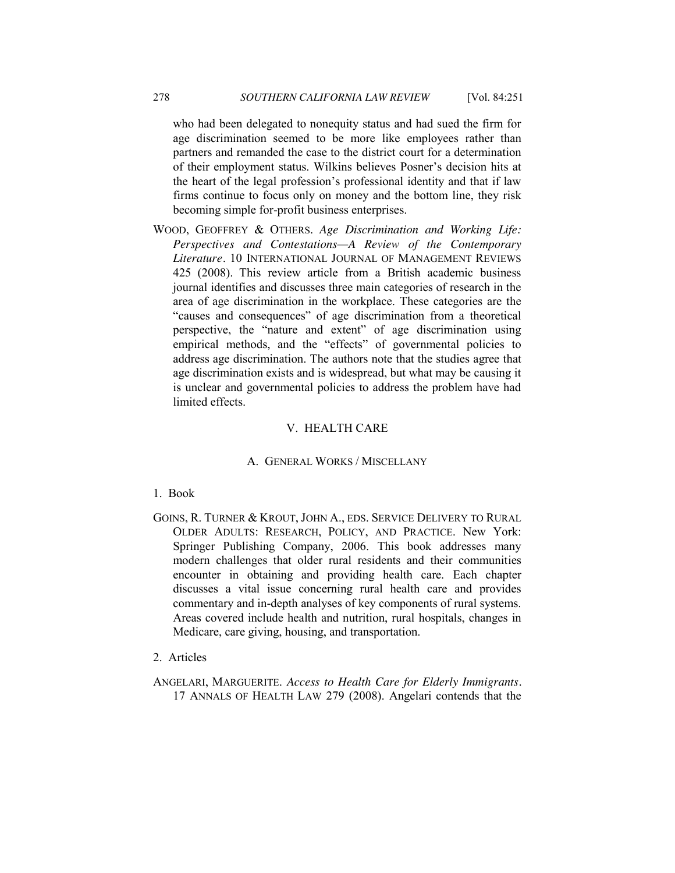who had been delegated to nonequity status and had sued the firm for age discrimination seemed to be more like employees rather than partners and remanded the case to the district court for a determination of their employment status. Wilkins believes Posner's decision hits at the heart of the legal profession's professional identity and that if law firms continue to focus only on money and the bottom line, they risk becoming simple for-profit business enterprises.

WOOD, GEOFFREY & OTHERS. *Age Discrimination and Working Life: Perspectives and Contestations—A Review of the Contemporary Literature.* 10 INTERNATIONAL JOURNAL OF MANAGEMENT REVIEWS 425 (2008). This review article from a British academic business journal identifies and discusses three main categories of research in the area of age discrimination in the workplace. These categories are the "causes and consequences" of age discrimination from a theoretical perspective, the "nature and extent" of age discrimination using empirical methods, and the "effects" of governmental policies to address age discrimination. The authors note that the studies agree that age discrimination exists and is widespread, but what may be causing it is unclear and governmental policies to address the problem have had limited effects.

#### V. HEALTH CARE

#### A. GENERAL WORKS / MISCELLANY

#### <span id="page-27-2"></span><span id="page-27-1"></span><span id="page-27-0"></span>1. Book

- GOINS, R. TURNER & KROUT, JOHN A., EDS. SERVICE DELIVERY TO RURAL OLDER ADULTS: RESEARCH, POLICY, AND PRACTICE. New York: Springer Publishing Company, 2006. This book addresses many modern challenges that older rural residents and their communities encounter in obtaining and providing health care. Each chapter discusses a vital issue concerning rural health care and provides commentary and in-depth analyses of key components of rural systems. Areas covered include health and nutrition, rural hospitals, changes in Medicare, care giving, housing, and transportation.
- <span id="page-27-3"></span>2. Articles
- ANGELARI, MARGUERITE. *Access to Health Care for Elderly Immigrants.* 17 ANNALS OF HEALTH LAW 279 (2008). Angelari contends that the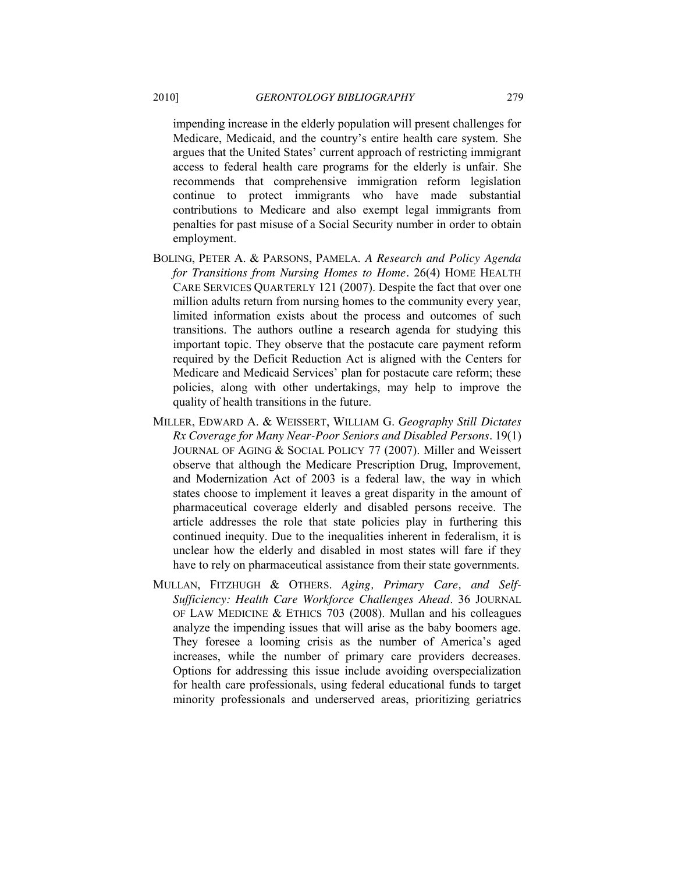impending increase in the elderly population will present challenges for Medicare, Medicaid, and the country's entire health care system. She argues that the United States' current approach of restricting immigrant access to federal health care programs for the elderly is unfair. She recommends that comprehensive immigration reform legislation continue to protect immigrants who have made substantial contributions to Medicare and also exempt legal immigrants from penalties for past misuse of a Social Security number in order to obtain employment.

- BOLING, PETER A. & PARSONS, PAMELA. *A Research and Policy Agenda for Transitions from Nursing Homes to Home.* 26(4) HOME HEALTH CARE SERVICES QUARTERLY 121 (2007). Despite the fact that over one million adults return from nursing homes to the community every year, limited information exists about the process and outcomes of such transitions. The authors outline a research agenda for studying this important topic. They observe that the postacute care payment reform required by the Deficit Reduction Act is aligned with the Centers for Medicare and Medicaid Services' plan for postacute care reform; these policies, along with other undertakings, may help to improve the quality of health transitions in the future.
- MILLER, EDWARD A. & WEISSERT, WILLIAM G. *Geography Still Dictates Rx Coverage for Many Near-Poor Seniors and Disabled Persons.* 19(1) JOURNAL OF AGING & SOCIAL POLICY 77 (2007). Miller and Weissert observe that although the Medicare Prescription Drug, Improvement, and Modernization Act of 2003 is a federal law, the way in which states choose to implement it leaves a great disparity in the amount of pharmaceutical coverage elderly and disabled persons receive. The article addresses the role that state policies play in furthering this continued inequity. Due to the inequalities inherent in federalism, it is unclear how the elderly and disabled in most states will fare if they have to rely on pharmaceutical assistance from their state governments.
- MULLAN, FITZHUGH & OTHERS. *Aging, Primary Care, and Self-Sufficiency: Health Care Workforce Challenges Ahead*. 36 JOURNAL OF LAW MEDICINE & ETHICS 703 (2008). Mullan and his colleagues analyze the impending issues that will arise as the baby boomers age. They foresee a looming crisis as the number of America's aged increases, while the number of primary care providers decreases. Options for addressing this issue include avoiding overspecialization for health care professionals, using federal educational funds to target minority professionals and underserved areas, prioritizing geriatrics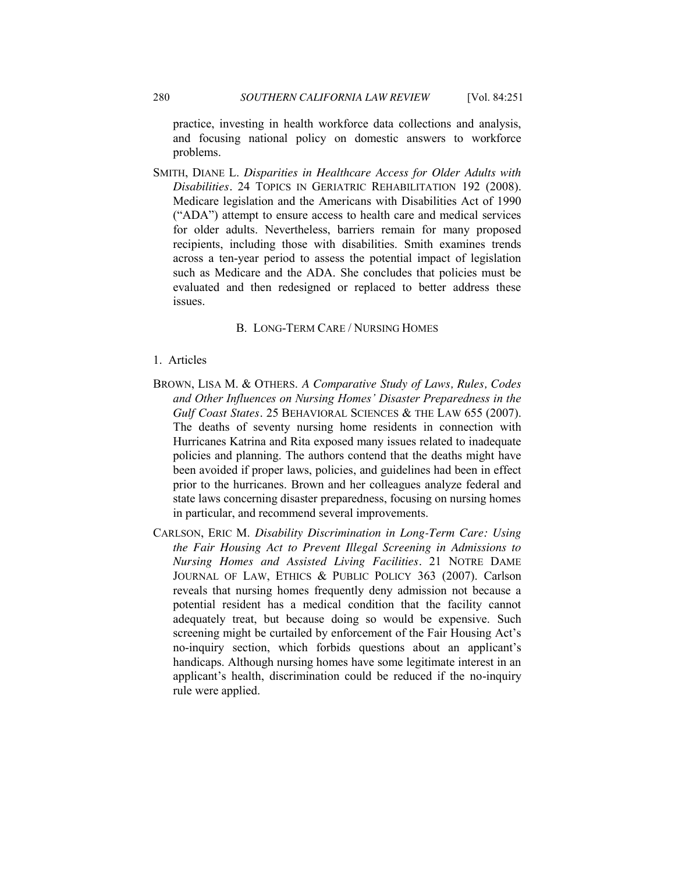practice, investing in health workforce data collections and analysis, and focusing national policy on domestic answers to workforce problems.

SMITH, DIANE L. *Disparities in Healthcare Access for Older Adults with Disabilities.* 24 TOPICS IN GERIATRIC REHABILITATION 192 (2008). Medicare legislation and the Americans with Disabilities Act of 1990 ("ADA") attempt to ensure access to health care and medical services for older adults. Nevertheless, barriers remain for many proposed recipients, including those with disabilities. Smith examines trends across a ten-year period to assess the potential impact of legislation such as Medicare and the ADA. She concludes that policies must be evaluated and then redesigned or replaced to better address these issues.

#### B. LONG-TERM CARE / NURSING HOMES

- <span id="page-29-1"></span><span id="page-29-0"></span>1. Articles
- BROWN, LISA M. & OTHERS. *A Comparative Study of Laws, Rules, Codes and Other Influences on Nursing Homes' Disaster Preparedness in the Gulf Coast States.* 25 BEHAVIORAL SCIENCES & THE LAW 655 (2007). The deaths of seventy nursing home residents in connection with Hurricanes Katrina and Rita exposed many issues related to inadequate policies and planning. The authors contend that the deaths might have been avoided if proper laws, policies, and guidelines had been in effect prior to the hurricanes. Brown and her colleagues analyze federal and state laws concerning disaster preparedness, focusing on nursing homes in particular, and recommend several improvements.
- CARLSON, ERIC M. *Disability Discrimination in Long-Term Care: Using the Fair Housing Act to Prevent Illegal Screening in Admissions to Nursing Homes and Assisted Living Facilities.* 21 NOTRE DAME JOURNAL OF LAW, ETHICS & PUBLIC POLICY 363 (2007). Carlson reveals that nursing homes frequently deny admission not because a potential resident has a medical condition that the facility cannot adequately treat, but because doing so would be expensive. Such screening might be curtailed by enforcement of the Fair Housing Act's no-inquiry section, which forbids questions about an applicant's handicaps. Although nursing homes have some legitimate interest in an applicant's health, discrimination could be reduced if the no-inquiry rule were applied.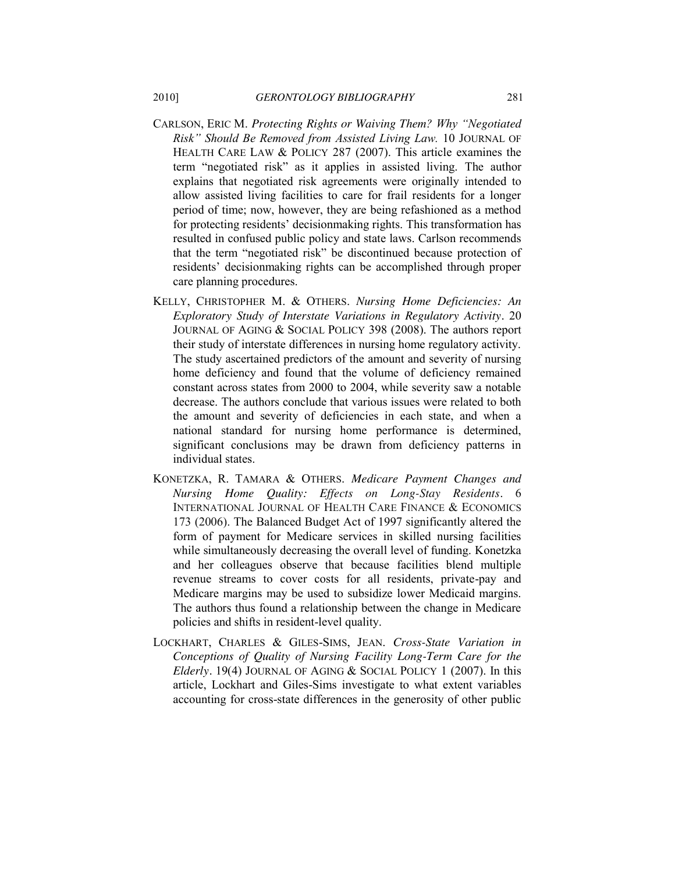- CARLSON, ERIC M. Protecting Rights or Waiving Them? Why "Negotiated *Risk‖ Should Be Removed from Assisted Living Law.* 10 JOURNAL OF HEALTH CARE LAW & POLICY 287 (2007). This article examines the term "negotiated risk" as it applies in assisted living. The author explains that negotiated risk agreements were originally intended to allow assisted living facilities to care for frail residents for a longer period of time; now, however, they are being refashioned as a method for protecting residents' decisionmaking rights. This transformation has resulted in confused public policy and state laws. Carlson recommends that the term "negotiated risk" be discontinued because protection of residents' decisionmaking rights can be accomplished through proper care planning procedures.
- KELLY, CHRISTOPHER M. & OTHERS. *Nursing Home Deficiencies: An Exploratory Study of Interstate Variations in Regulatory Activity.* 20 JOURNAL OF AGING & SOCIAL POLICY 398 (2008). The authors report their study of interstate differences in nursing home regulatory activity. The study ascertained predictors of the amount and severity of nursing home deficiency and found that the volume of deficiency remained constant across states from 2000 to 2004, while severity saw a notable decrease. The authors conclude that various issues were related to both the amount and severity of deficiencies in each state, and when a national standard for nursing home performance is determined, significant conclusions may be drawn from deficiency patterns in individual states.
- KONETZKA, R. TAMARA & OTHERS. *Medicare Payment Changes and Nursing Home Quality: Effects on Long-Stay Residents.* 6 INTERNATIONAL JOURNAL OF HEALTH CARE FINANCE & ECONOMICS 173 (2006). The Balanced Budget Act of 1997 significantly altered the form of payment for Medicare services in skilled nursing facilities while simultaneously decreasing the overall level of funding. Konetzka and her colleagues observe that because facilities blend multiple revenue streams to cover costs for all residents, private-pay and Medicare margins may be used to subsidize lower Medicaid margins. The authors thus found a relationship between the change in Medicare policies and shifts in resident-level quality.
- LOCKHART, CHARLES & GILES-SIMS, JEAN. *Cross-State Variation in Conceptions of Quality of Nursing Facility Long-Term Care for the Elderly.* 19(4) JOURNAL OF AGING & SOCIAL POLICY 1 (2007). In this article, Lockhart and Giles-Sims investigate to what extent variables accounting for cross-state differences in the generosity of other public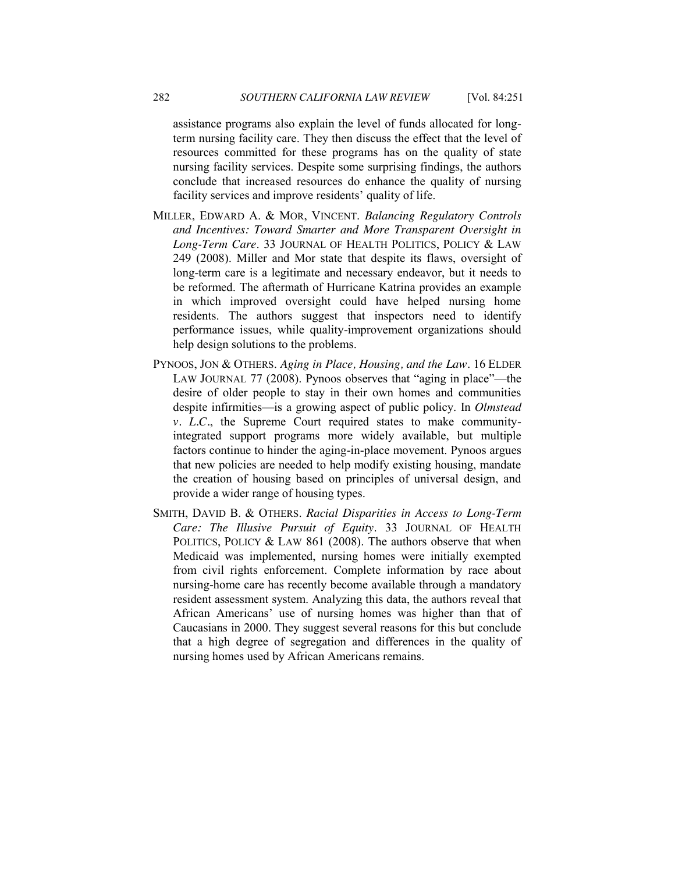assistance programs also explain the level of funds allocated for longterm nursing facility care. They then discuss the effect that the level of resources committed for these programs has on the quality of state nursing facility services. Despite some surprising findings, the authors conclude that increased resources do enhance the quality of nursing facility services and improve residents' quality of life.

- MILLER, EDWARD A. & MOR, VINCENT. *Balancing Regulatory Controls and Incentives: Toward Smarter and More Transparent Oversight in Long-Term Care*. 33 JOURNAL OF HEALTH POLITICS, POLICY & LAW 249 (2008). Miller and Mor state that despite its flaws, oversight of long-term care is a legitimate and necessary endeavor, but it needs to be reformed. The aftermath of Hurricane Katrina provides an example in which improved oversight could have helped nursing home residents. The authors suggest that inspectors need to identify performance issues, while quality-improvement organizations should help design solutions to the problems.
- PYNOOS, JON & OTHERS. *Aging in Place, Housing, and the Law.* 16 ELDER LAW JOURNAL 77 (2008). Pynoos observes that "aging in place"—the desire of older people to stay in their own homes and communities despite infirmities—is a growing aspect of public policy. In *Olmstead v. L.C.*, the Supreme Court required states to make communityintegrated support programs more widely available, but multiple factors continue to hinder the aging-in-place movement. Pynoos argues that new policies are needed to help modify existing housing, mandate the creation of housing based on principles of universal design, and provide a wider range of housing types.
- SMITH, DAVID B. & OTHERS. *Racial Disparities in Access to Long-Term Care: The Illusive Pursuit of Equity*. 33 JOURNAL OF HEALTH POLITICS, POLICY & LAW 861 (2008). The authors observe that when Medicaid was implemented, nursing homes were initially exempted from civil rights enforcement. Complete information by race about nursing-home care has recently become available through a mandatory resident assessment system. Analyzing this data, the authors reveal that African Americans' use of nursing homes was higher than that of Caucasians in 2000. They suggest several reasons for this but conclude that a high degree of segregation and differences in the quality of nursing homes used by African Americans remains.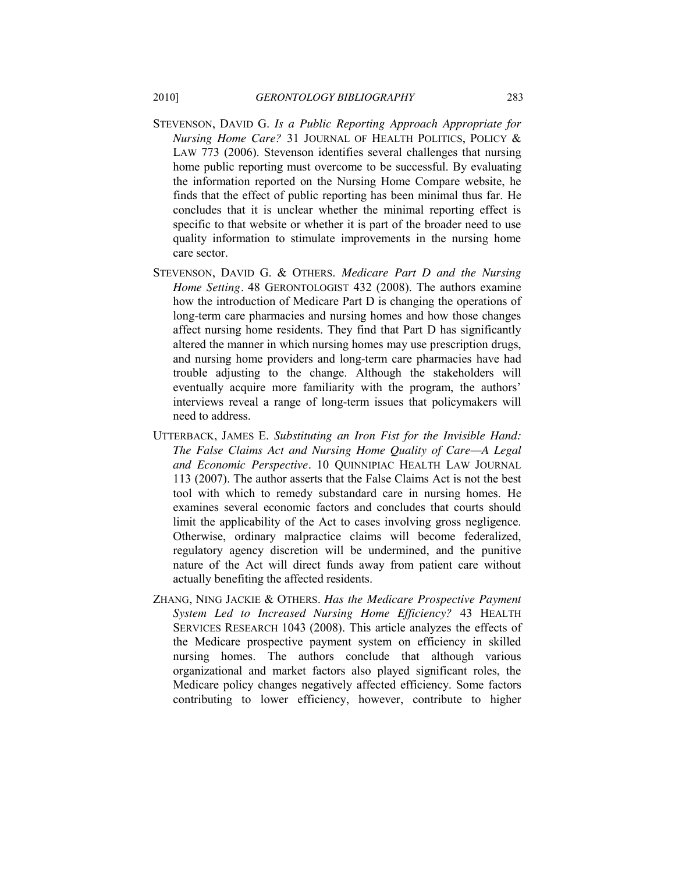- STEVENSON, DAVID G. *Is a Public Reporting Approach Appropriate for Nursing Home Care?* 31 JOURNAL OF HEALTH POLITICS, POLICY & LAW 773 (2006). Stevenson identifies several challenges that nursing home public reporting must overcome to be successful. By evaluating the information reported on the Nursing Home Compare website, he finds that the effect of public reporting has been minimal thus far. He concludes that it is unclear whether the minimal reporting effect is specific to that website or whether it is part of the broader need to use quality information to stimulate improvements in the nursing home care sector.
- STEVENSON, DAVID G. & OTHERS. *Medicare Part D and the Nursing Home Setting.* 48 GERONTOLOGIST 432 (2008). The authors examine how the introduction of Medicare Part D is changing the operations of long-term care pharmacies and nursing homes and how those changes affect nursing home residents. They find that Part D has significantly altered the manner in which nursing homes may use prescription drugs, and nursing home providers and long-term care pharmacies have had trouble adjusting to the change. Although the stakeholders will eventually acquire more familiarity with the program, the authors' interviews reveal a range of long-term issues that policymakers will need to address.
- UTTERBACK, JAMES E. *Substituting an Iron Fist for the Invisible Hand: The False Claims Act and Nursing Home Quality of Care—A Legal and Economic Perspective.* 10 QUINNIPIAC HEALTH LAW JOURNAL 113 (2007). The author asserts that the False Claims Act is not the best tool with which to remedy substandard care in nursing homes. He examines several economic factors and concludes that courts should limit the applicability of the Act to cases involving gross negligence. Otherwise, ordinary malpractice claims will become federalized, regulatory agency discretion will be undermined, and the punitive nature of the Act will direct funds away from patient care without actually benefiting the affected residents.
- ZHANG, NING JACKIE & OTHERS. *Has the Medicare Prospective Payment System Led to Increased Nursing Home Efficiency?* 43 HEALTH SERVICES RESEARCH 1043 (2008). This article analyzes the effects of the Medicare prospective payment system on efficiency in skilled nursing homes. The authors conclude that although various organizational and market factors also played significant roles, the Medicare policy changes negatively affected efficiency. Some factors contributing to lower efficiency, however, contribute to higher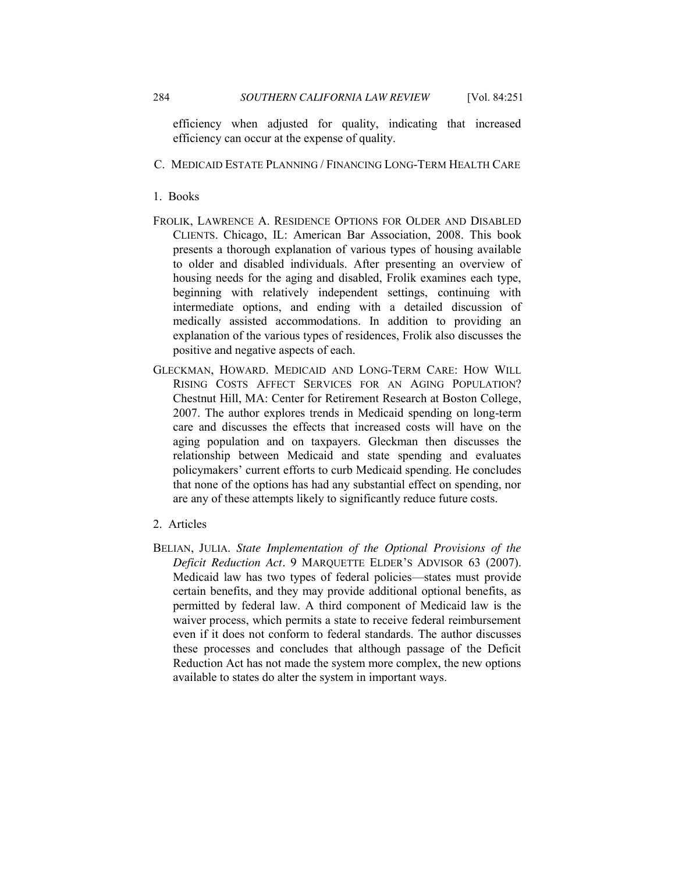efficiency when adjusted for quality, indicating that increased efficiency can occur at the expense of quality.

## <span id="page-33-0"></span>C. MEDICAID ESTATE PLANNING / FINANCING LONG-TERM HEALTH CARE

#### <span id="page-33-1"></span>1. Books

- FROLIK, LAWRENCE A. RESIDENCE OPTIONS FOR OLDER AND DISABLED CLIENTS. Chicago, IL: American Bar Association, 2008. This book presents a thorough explanation of various types of housing available to older and disabled individuals. After presenting an overview of housing needs for the aging and disabled, Frolik examines each type, beginning with relatively independent settings, continuing with intermediate options, and ending with a detailed discussion of medically assisted accommodations. In addition to providing an explanation of the various types of residences, Frolik also discusses the positive and negative aspects of each.
- GLECKMAN, HOWARD. MEDICAID AND LONG-TERM CARE: HOW WILL RISING COSTS AFFECT SERVICES FOR AN AGING POPULATION? Chestnut Hill, MA: Center for Retirement Research at Boston College, 2007. The author explores trends in Medicaid spending on long-term care and discusses the effects that increased costs will have on the aging population and on taxpayers. Gleckman then discusses the relationship between Medicaid and state spending and evaluates policymakers' current efforts to curb Medicaid spending. He concludes that none of the options has had any substantial effect on spending, nor are any of these attempts likely to significantly reduce future costs.
- <span id="page-33-2"></span>2. Articles
- BELIAN, JULIA. *State Implementation of the Optional Provisions of the Deficit Reduction Act.* 9 MARQUETTE ELDER'S ADVISOR 63 (2007). Medicaid law has two types of federal policies—states must provide certain benefits, and they may provide additional optional benefits, as permitted by federal law. A third component of Medicaid law is the waiver process, which permits a state to receive federal reimbursement even if it does not conform to federal standards. The author discusses these processes and concludes that although passage of the Deficit Reduction Act has not made the system more complex, the new options available to states do alter the system in important ways.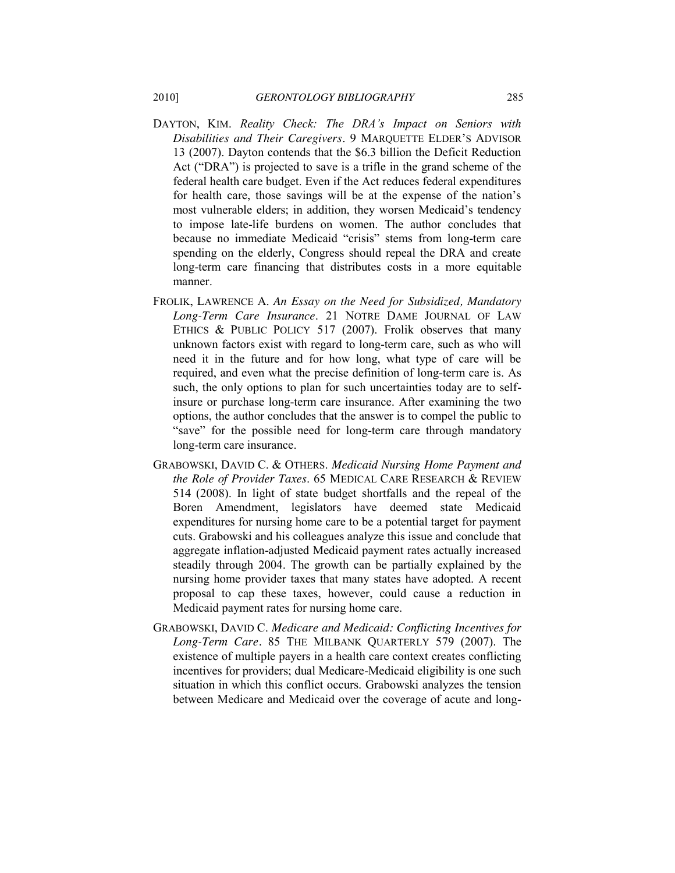- DAYTON, KIM. *Reality Check: The DRA's Impact on Seniors with Disabilities and Their Caregivers.* 9 MARQUETTE ELDER'S ADVISOR 13 (2007). Dayton contends that the \$6.3 billion the Deficit Reduction Act ("DRA") is projected to save is a trifle in the grand scheme of the federal health care budget. Even if the Act reduces federal expenditures for health care, those savings will be at the expense of the nation's most vulnerable elders; in addition, they worsen Medicaid's tendency to impose late-life burdens on women. The author concludes that because no immediate Medicaid "crisis" stems from long-term care spending on the elderly, Congress should repeal the DRA and create long-term care financing that distributes costs in a more equitable manner.
- FROLIK, LAWRENCE A. *An Essay on the Need for Subsidized, Mandatory Long-Term Care Insurance*. 21 NOTRE DAME JOURNAL OF LAW ETHICS & PUBLIC POLICY 517 (2007). Frolik observes that many unknown factors exist with regard to long-term care, such as who will need it in the future and for how long, what type of care will be required, and even what the precise definition of long-term care is. As such, the only options to plan for such uncertainties today are to selfinsure or purchase long-term care insurance. After examining the two options, the author concludes that the answer is to compel the public to "save" for the possible need for long-term care through mandatory long-term care insurance.
- GRABOWSKI, DAVID C. & OTHERS. *Medicaid Nursing Home Payment and the Role of Provider Taxes*. 65 MEDICAL CARE RESEARCH & REVIEW 514 (2008). In light of state budget shortfalls and the repeal of the Boren Amendment, legislators have deemed state Medicaid expenditures for nursing home care to be a potential target for payment cuts. Grabowski and his colleagues analyze this issue and conclude that aggregate inflation-adjusted Medicaid payment rates actually increased steadily through 2004. The growth can be partially explained by the nursing home provider taxes that many states have adopted. A recent proposal to cap these taxes, however, could cause a reduction in Medicaid payment rates for nursing home care.
- GRABOWSKI, DAVID C. *Medicare and Medicaid: Conflicting Incentives for Long-Term Care.* 85 THE MILBANK QUARTERLY 579 (2007). The existence of multiple payers in a health care context creates conflicting incentives for providers; dual Medicare-Medicaid eligibility is one such situation in which this conflict occurs. Grabowski analyzes the tension between Medicare and Medicaid over the coverage of acute and long-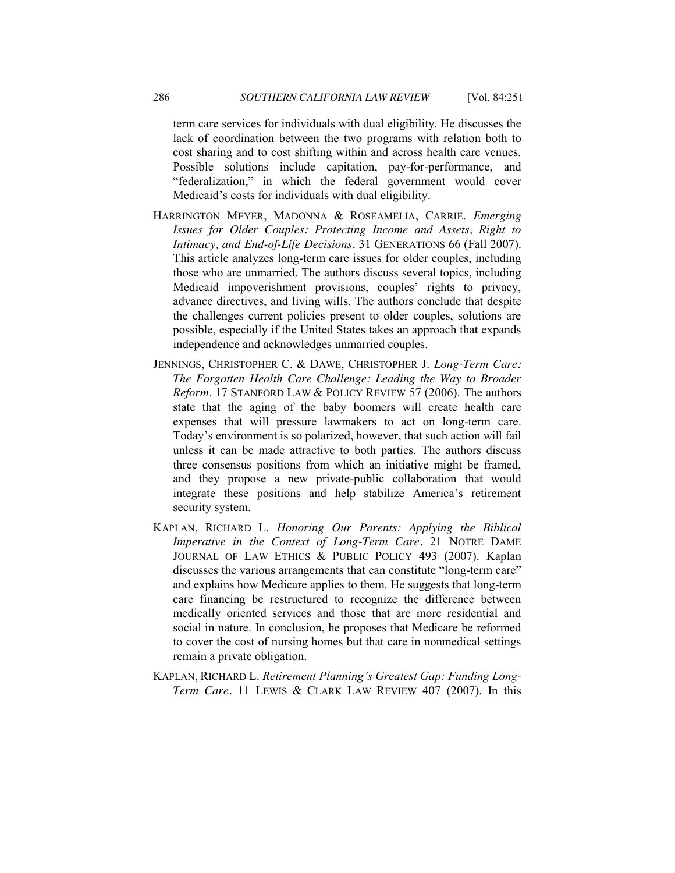term care services for individuals with dual eligibility. He discusses the lack of coordination between the two programs with relation both to cost sharing and to cost shifting within and across health care venues. Possible solutions include capitation, pay-for-performance, and "federalization," in which the federal government would cover Medicaid's costs for individuals with dual eligibility.

- HARRINGTON MEYER, MADONNA & ROSEAMELIA, CARRIE. *Emerging Issues for Older Couples: Protecting Income and Assets, Right to Intimacy, and End-of-Life Decisions.* 31 GENERATIONS 66 (Fall 2007). This article analyzes long-term care issues for older couples, including those who are unmarried. The authors discuss several topics, including Medicaid impoverishment provisions, couples' rights to privacy, advance directives, and living wills. The authors conclude that despite the challenges current policies present to older couples, solutions are possible, especially if the United States takes an approach that expands independence and acknowledges unmarried couples.
- JENNINGS, CHRISTOPHER C. & DAWE, CHRISTOPHER J. *Long-Term Care: The Forgotten Health Care Challenge: Leading the Way to Broader Reform.* 17 STANFORD LAW & POLICY REVIEW 57 (2006). The authors state that the aging of the baby boomers will create health care expenses that will pressure lawmakers to act on long-term care. Today's environment is so polarized, however, that such action will fail unless it can be made attractive to both parties. The authors discuss three consensus positions from which an initiative might be framed, and they propose a new private-public collaboration that would integrate these positions and help stabilize America's retirement security system.
- KAPLAN, RICHARD L. *Honoring Our Parents: Applying the Biblical Imperative in the Context of Long-Term Care.* 21 NOTRE DAME JOURNAL OF LAW ETHICS & PUBLIC POLICY 493 (2007). Kaplan discusses the various arrangements that can constitute "long-term care" and explains how Medicare applies to them. He suggests that long-term care financing be restructured to recognize the difference between medically oriented services and those that are more residential and social in nature. In conclusion, he proposes that Medicare be reformed to cover the cost of nursing homes but that care in nonmedical settings remain a private obligation.
- KAPLAN, RICHARD L. *Retirement Planning's Greatest Gap: Funding Long-Term Care.* 11 LEWIS & CLARK LAW REVIEW 407 (2007). In this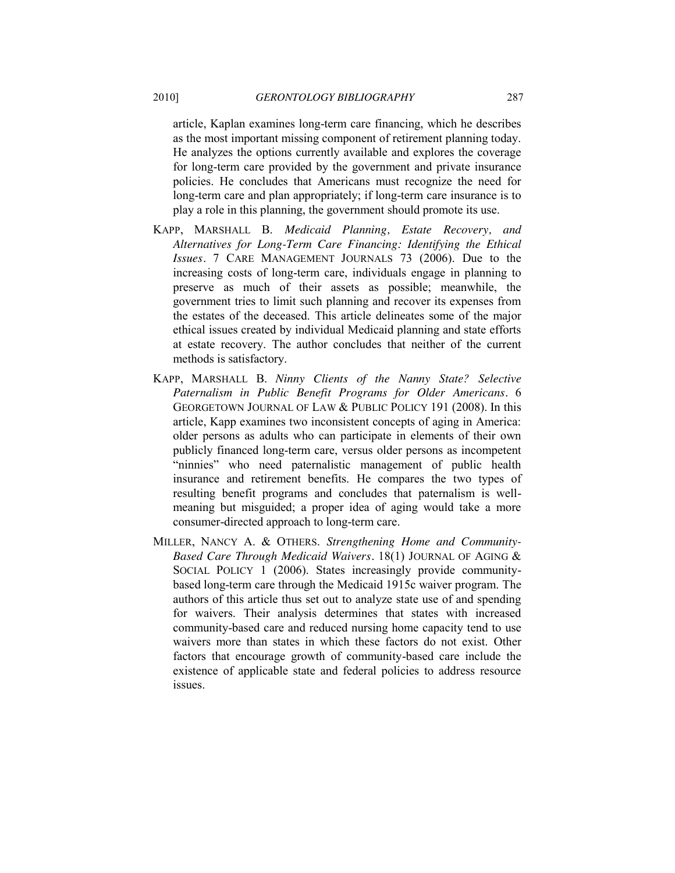article, Kaplan examines long-term care financing, which he describes as the most important missing component of retirement planning today. He analyzes the options currently available and explores the coverage for long-term care provided by the government and private insurance policies. He concludes that Americans must recognize the need for long-term care and plan appropriately; if long-term care insurance is to play a role in this planning, the government should promote its use.

- KAPP, MARSHALL B. *Medicaid Planning, Estate Recovery, and Alternatives for Long-Term Care Financing: Identifying the Ethical Issues.* 7 CARE MANAGEMENT JOURNALS 73 (2006). Due to the increasing costs of long-term care, individuals engage in planning to preserve as much of their assets as possible; meanwhile, the government tries to limit such planning and recover its expenses from the estates of the deceased. This article delineates some of the major ethical issues created by individual Medicaid planning and state efforts at estate recovery. The author concludes that neither of the current methods is satisfactory.
- KAPP, MARSHALL B. *Ninny Clients of the Nanny State? Selective Paternalism in Public Benefit Programs for Older Americans.* 6 GEORGETOWN JOURNAL OF LAW & PUBLIC POLICY 191 (2008). In this article, Kapp examines two inconsistent concepts of aging in America: older persons as adults who can participate in elements of their own publicly financed long-term care, versus older persons as incompetent "ninnies" who need paternalistic management of public health insurance and retirement benefits. He compares the two types of resulting benefit programs and concludes that paternalism is wellmeaning but misguided; a proper idea of aging would take a more consumer-directed approach to long-term care.
- MILLER, NANCY A. & OTHERS. *Strengthening Home and Community-Based Care Through Medicaid Waivers.* 18(1) JOURNAL OF AGING & SOCIAL POLICY 1 (2006). States increasingly provide communitybased long-term care through the Medicaid 1915c waiver program. The authors of this article thus set out to analyze state use of and spending for waivers. Their analysis determines that states with increased community-based care and reduced nursing home capacity tend to use waivers more than states in which these factors do not exist. Other factors that encourage growth of community-based care include the existence of applicable state and federal policies to address resource issues.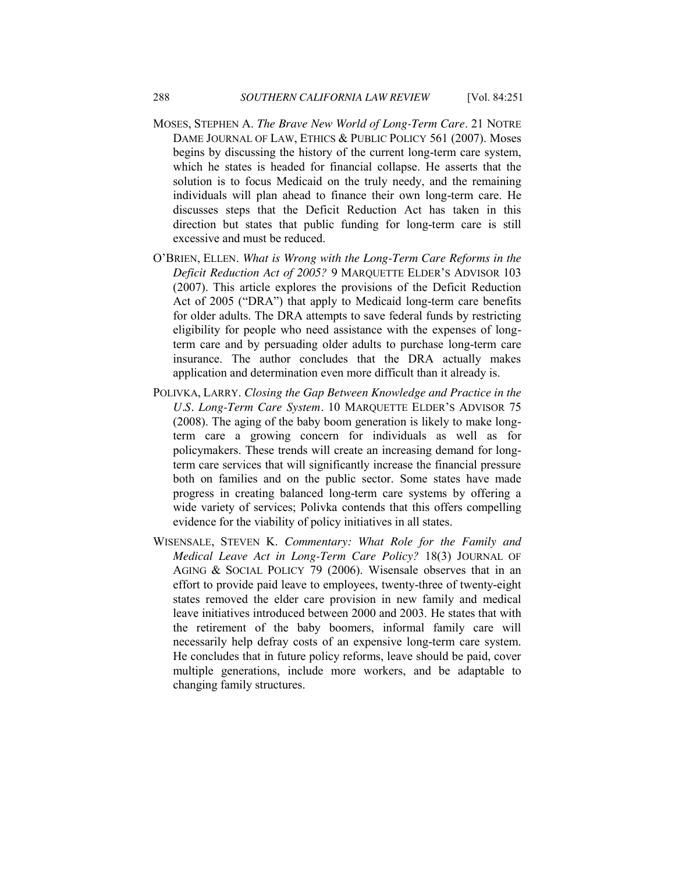- MOSES, STEPHEN A. *The Brave New World of Long-Term Care*. 21 NOTRE DAME JOURNAL OF LAW, ETHICS & PUBLIC POLICY 561 (2007). Moses begins by discussing the history of the current long-term care system, which he states is headed for financial collapse. He asserts that the solution is to focus Medicaid on the truly needy, and the remaining individuals will plan ahead to finance their own long-term care. He discusses steps that the Deficit Reduction Act has taken in this direction but states that public funding for long-term care is still excessive and must be reduced.
- O'BRIEN, ELLEN. *What is Wrong with the Long-Term Care Reforms in the Deficit Reduction Act of 2005?* 9 MARQUETTE ELDER'S ADVISOR 103 (2007). This article explores the provisions of the Deficit Reduction Act of 2005 ("DRA") that apply to Medicaid long-term care benefits for older adults. The DRA attempts to save federal funds by restricting eligibility for people who need assistance with the expenses of longterm care and by persuading older adults to purchase long-term care insurance. The author concludes that the DRA actually makes application and determination even more difficult than it already is.
- POLIVKA, LARRY. *Closing the Gap Between Knowledge and Practice in the U.S. Long-Term Care System.* 10 MARQUETTE ELDER'S ADVISOR 75 (2008). The aging of the baby boom generation is likely to make longterm care a growing concern for individuals as well as for policymakers. These trends will create an increasing demand for longterm care services that will significantly increase the financial pressure both on families and on the public sector. Some states have made progress in creating balanced long-term care systems by offering a wide variety of services; Polivka contends that this offers compelling evidence for the viability of policy initiatives in all states.
- WISENSALE, STEVEN K. *Commentary: What Role for the Family and Medical Leave Act in Long-Term Care Policy?* 18(3) JOURNAL OF AGING & SOCIAL POLICY 79 (2006). Wisensale observes that in an effort to provide paid leave to employees, twenty-three of twenty-eight states removed the elder care provision in new family and medical leave initiatives introduced between 2000 and 2003. He states that with the retirement of the baby boomers, informal family care will necessarily help defray costs of an expensive long-term care system. He concludes that in future policy reforms, leave should be paid, cover multiple generations, include more workers, and be adaptable to changing family structures.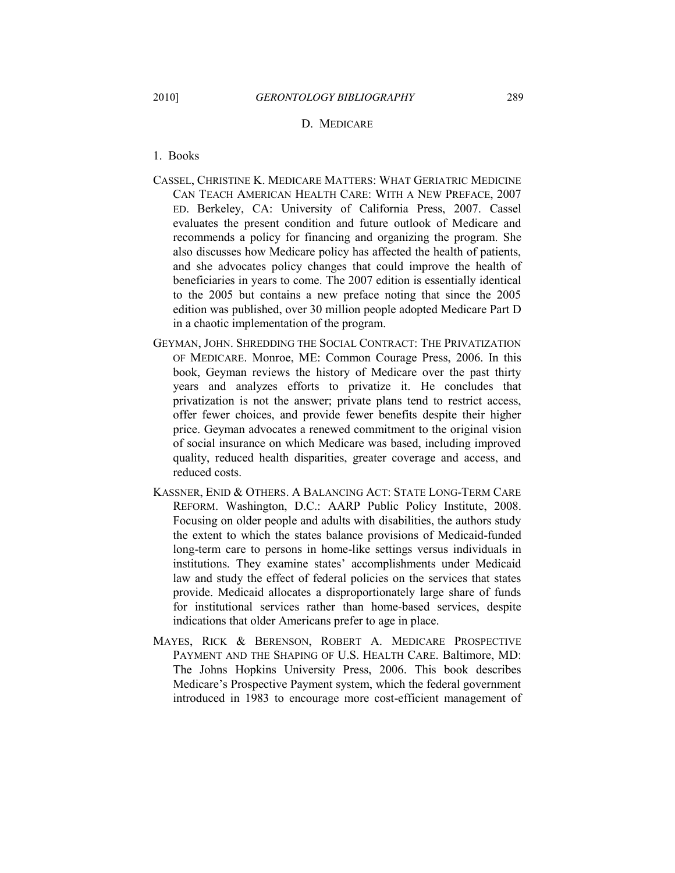#### D. MEDICARE

- 1. Books
- CASSEL, CHRISTINE K. MEDICARE MATTERS: WHAT GERIATRIC MEDICINE CAN TEACH AMERICAN HEALTH CARE: WITH A NEW PREFACE, 2007 ED. Berkeley, CA: University of California Press, 2007. Cassel evaluates the present condition and future outlook of Medicare and recommends a policy for financing and organizing the program. She also discusses how Medicare policy has affected the health of patients, and she advocates policy changes that could improve the health of beneficiaries in years to come. The 2007 edition is essentially identical to the 2005 but contains a new preface noting that since the 2005 edition was published, over 30 million people adopted Medicare Part D in a chaotic implementation of the program.
- GEYMAN, JOHN. SHREDDING THE SOCIAL CONTRACT: THE PRIVATIZATION OF MEDICARE. Monroe, ME: Common Courage Press, 2006. In this book, Geyman reviews the history of Medicare over the past thirty years and analyzes efforts to privatize it. He concludes that privatization is not the answer; private plans tend to restrict access, offer fewer choices, and provide fewer benefits despite their higher price. Geyman advocates a renewed commitment to the original vision of social insurance on which Medicare was based, including improved quality, reduced health disparities, greater coverage and access, and reduced costs.
- KASSNER, ENID & OTHERS. A BALANCING ACT: STATE LONG-TERM CARE REFORM. Washington, D.C.: AARP Public Policy Institute, 2008. Focusing on older people and adults with disabilities, the authors study the extent to which the states balance provisions of Medicaid-funded long-term care to persons in home-like settings versus individuals in institutions. They examine states' accomplishments under Medicaid law and study the effect of federal policies on the services that states provide. Medicaid allocates a disproportionately large share of funds for institutional services rather than home-based services, despite indications that older Americans prefer to age in place.
- MAYES, RICK & BERENSON, ROBERT A. MEDICARE PROSPECTIVE PAYMENT AND THE SHAPING OF U.S. HEALTH CARE. Baltimore, MD: The Johns Hopkins University Press, 2006. This book describes Medicare's Prospective Payment system, which the federal government introduced in 1983 to encourage more cost-efficient management of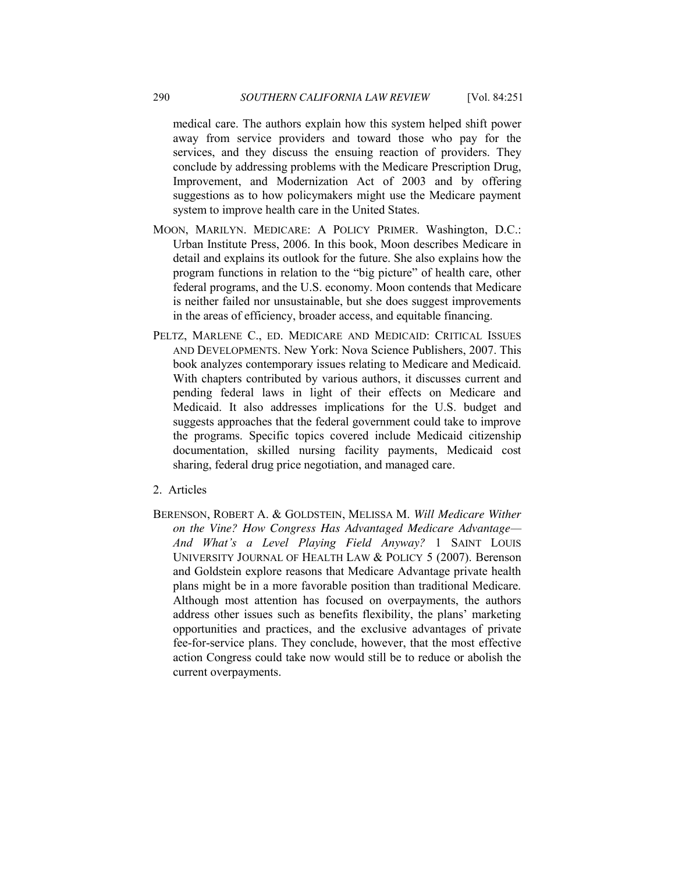medical care. The authors explain how this system helped shift power away from service providers and toward those who pay for the services, and they discuss the ensuing reaction of providers. They conclude by addressing problems with the Medicare Prescription Drug, Improvement, and Modernization Act of 2003 and by offering suggestions as to how policymakers might use the Medicare payment system to improve health care in the United States.

- MOON, MARILYN. MEDICARE: A POLICY PRIMER. Washington, D.C.: Urban Institute Press, 2006. In this book, Moon describes Medicare in detail and explains its outlook for the future. She also explains how the program functions in relation to the "big picture" of health care, other federal programs, and the U.S. economy. Moon contends that Medicare is neither failed nor unsustainable, but she does suggest improvements in the areas of efficiency, broader access, and equitable financing.
- PELTZ, MARLENE C., ED. MEDICARE AND MEDICAID: CRITICAL ISSUES AND DEVELOPMENTS. New York: Nova Science Publishers, 2007. This book analyzes contemporary issues relating to Medicare and Medicaid. With chapters contributed by various authors, it discusses current and pending federal laws in light of their effects on Medicare and Medicaid. It also addresses implications for the U.S. budget and suggests approaches that the federal government could take to improve the programs. Specific topics covered include Medicaid citizenship documentation, skilled nursing facility payments, Medicaid cost sharing, federal drug price negotiation, and managed care.
- 2. Articles
- BERENSON, ROBERT A. & GOLDSTEIN, MELISSA M. *Will Medicare Wither on the Vine? How Congress Has Advantaged Medicare Advantage— And What's a Level Playing Field Anyway?* 1 SAINT LOUIS UNIVERSITY JOURNAL OF HEALTH LAW & POLICY 5 (2007). Berenson and Goldstein explore reasons that Medicare Advantage private health plans might be in a more favorable position than traditional Medicare. Although most attention has focused on overpayments, the authors address other issues such as benefits flexibility, the plans' marketing opportunities and practices, and the exclusive advantages of private fee-for-service plans. They conclude, however, that the most effective action Congress could take now would still be to reduce or abolish the current overpayments.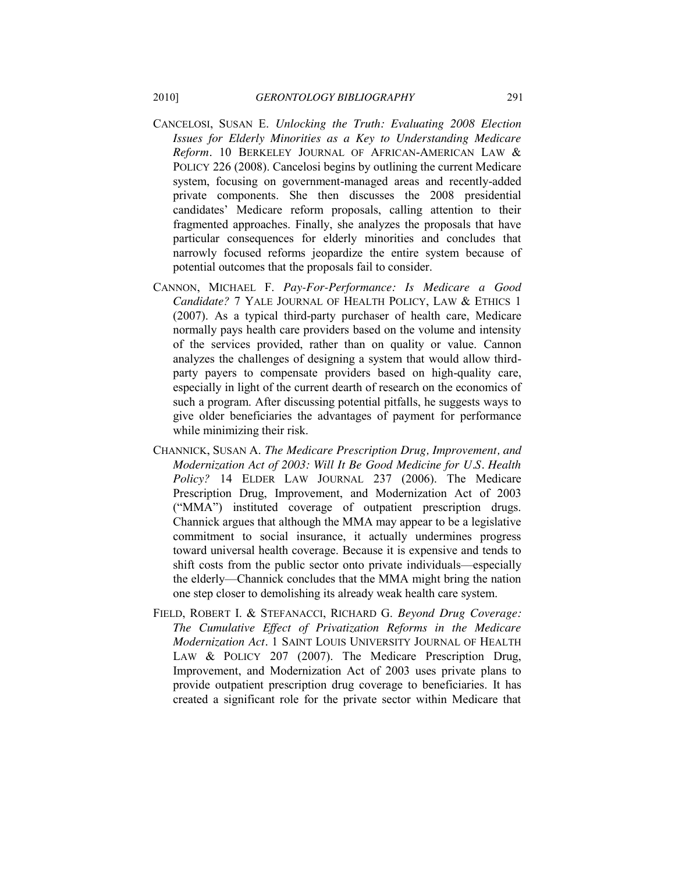- CANCELOSI, SUSAN E. *Unlocking the Truth: Evaluating 2008 Election Issues for Elderly Minorities as a Key to Understanding Medicare Reform.* 10 BERKELEY JOURNAL OF AFRICAN-AMERICAN LAW & POLICY 226 (2008). Cancelosi begins by outlining the current Medicare system, focusing on government-managed areas and recently-added private components. She then discusses the 2008 presidential candidates' Medicare reform proposals, calling attention to their fragmented approaches. Finally, she analyzes the proposals that have particular consequences for elderly minorities and concludes that narrowly focused reforms jeopardize the entire system because of potential outcomes that the proposals fail to consider.
- CANNON, MICHAEL F. *Pay-For-Performance: Is Medicare a Good Candidate?* 7 YALE JOURNAL OF HEALTH POLICY, LAW & ETHICS 1 (2007). As a typical third-party purchaser of health care, Medicare normally pays health care providers based on the volume and intensity of the services provided, rather than on quality or value. Cannon analyzes the challenges of designing a system that would allow thirdparty payers to compensate providers based on high-quality care, especially in light of the current dearth of research on the economics of such a program. After discussing potential pitfalls, he suggests ways to give older beneficiaries the advantages of payment for performance while minimizing their risk.
- CHANNICK, SUSAN A. *The Medicare Prescription Drug, Improvement, and Modernization Act of 2003: Will It Be Good Medicine for U.S. Health Policy?* 14 ELDER LAW JOURNAL 237 (2006). The Medicare Prescription Drug, Improvement, and Modernization Act of 2003 ("MMA") instituted coverage of outpatient prescription drugs. Channick argues that although the MMA may appear to be a legislative commitment to social insurance, it actually undermines progress toward universal health coverage. Because it is expensive and tends to shift costs from the public sector onto private individuals—especially the elderly—Channick concludes that the MMA might bring the nation one step closer to demolishing its already weak health care system.
- FIELD, ROBERT I. & STEFANACCI, RICHARD G. *Beyond Drug Coverage: The Cumulative Effect of Privatization Reforms in the Medicare Modernization Act.* 1 SAINT LOUIS UNIVERSITY JOURNAL OF HEALTH LAW & POLICY 207 (2007). The Medicare Prescription Drug, Improvement, and Modernization Act of 2003 uses private plans to provide outpatient prescription drug coverage to beneficiaries. It has created a significant role for the private sector within Medicare that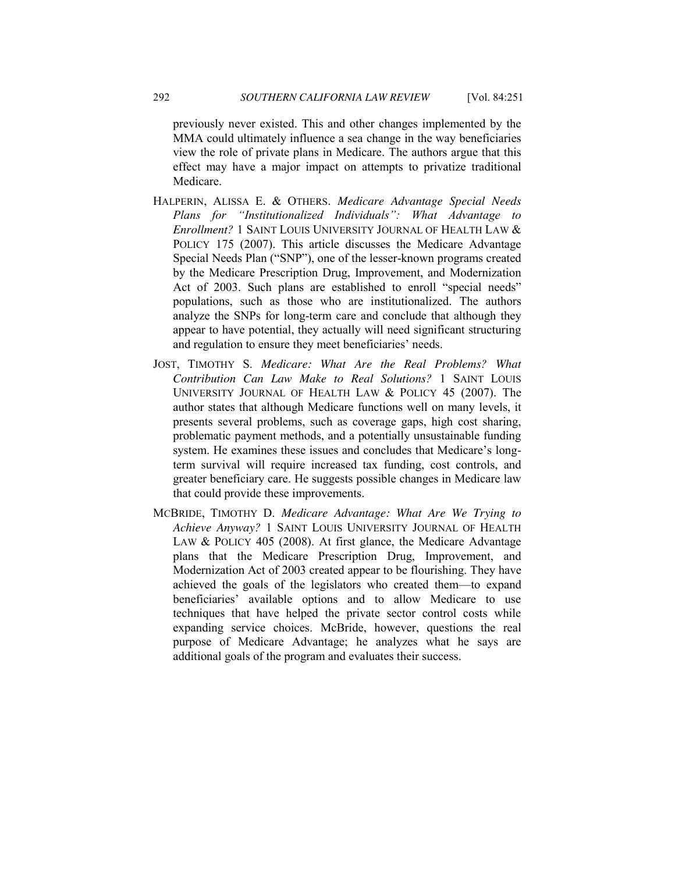previously never existed. This and other changes implemented by the MMA could ultimately influence a sea change in the way beneficiaries view the role of private plans in Medicare. The authors argue that this effect may have a major impact on attempts to privatize traditional Medicare.

- HALPERIN, ALISSA E. & OTHERS. *Medicare Advantage Special Needs*  Plans for "Institutionalized Individuals": What Advantage to *Enrollment?* 1 SAINT LOUIS UNIVERSITY JOURNAL OF HEALTH LAW & POLICY 175 (2007). This article discusses the Medicare Advantage Special Needs Plan ("SNP"), one of the lesser-known programs created by the Medicare Prescription Drug, Improvement, and Modernization Act of 2003. Such plans are established to enroll "special needs" populations, such as those who are institutionalized. The authors analyze the SNPs for long-term care and conclude that although they appear to have potential, they actually will need significant structuring and regulation to ensure they meet beneficiaries' needs.
- JOST, TIMOTHY S. *Medicare: What Are the Real Problems? What Contribution Can Law Make to Real Solutions?* 1 SAINT LOUIS UNIVERSITY JOURNAL OF HEALTH LAW & POLICY 45 (2007). The author states that although Medicare functions well on many levels, it presents several problems, such as coverage gaps, high cost sharing, problematic payment methods, and a potentially unsustainable funding system. He examines these issues and concludes that Medicare's longterm survival will require increased tax funding, cost controls, and greater beneficiary care. He suggests possible changes in Medicare law that could provide these improvements.
- MCBRIDE, TIMOTHY D. *Medicare Advantage: What Are We Trying to Achieve Anyway?* 1 SAINT LOUIS UNIVERSITY JOURNAL OF HEALTH LAW & POLICY 405 (2008). At first glance, the Medicare Advantage plans that the Medicare Prescription Drug, Improvement, and Modernization Act of 2003 created appear to be flourishing. They have achieved the goals of the legislators who created them—to expand beneficiaries' available options and to allow Medicare to use techniques that have helped the private sector control costs while expanding service choices. McBride, however, questions the real purpose of Medicare Advantage; he analyzes what he says are additional goals of the program and evaluates their success.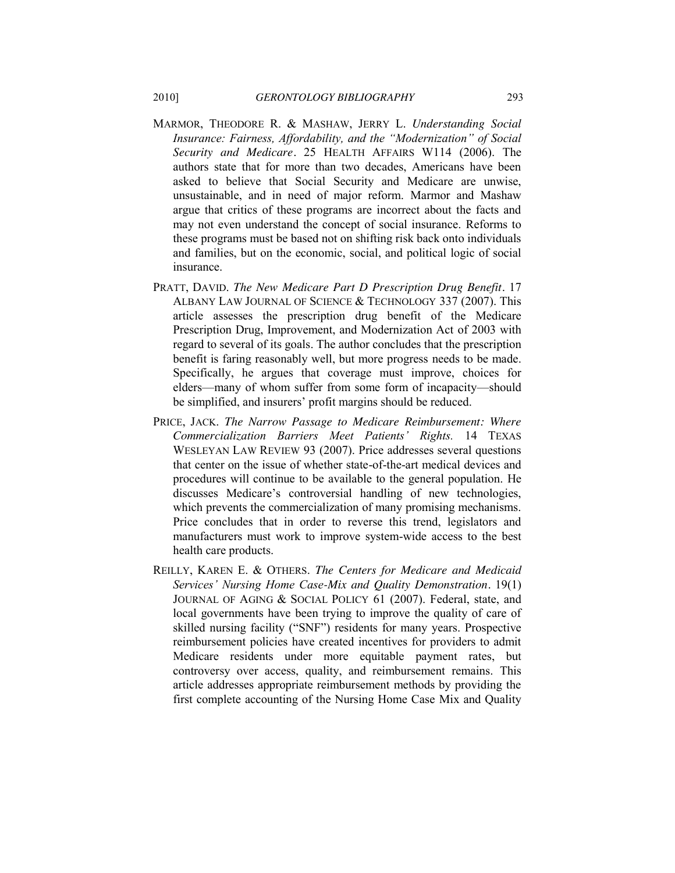- MARMOR, THEODORE R. & MASHAW, JERRY L. *Understanding Social Insurance: Fairness, Affordability, and the "Modernization" of Social Security and Medicare.* 25 HEALTH AFFAIRS W114 (2006). The authors state that for more than two decades, Americans have been asked to believe that Social Security and Medicare are unwise, unsustainable, and in need of major reform. Marmor and Mashaw argue that critics of these programs are incorrect about the facts and may not even understand the concept of social insurance. Reforms to these programs must be based not on shifting risk back onto individuals and families, but on the economic, social, and political logic of social insurance.
- PRATT, DAVID. *The New Medicare Part D Prescription Drug Benefit.* 17 ALBANY LAW JOURNAL OF SCIENCE & TECHNOLOGY 337 (2007). This article assesses the prescription drug benefit of the Medicare Prescription Drug, Improvement, and Modernization Act of 2003 with regard to several of its goals. The author concludes that the prescription benefit is faring reasonably well, but more progress needs to be made. Specifically, he argues that coverage must improve, choices for elders—many of whom suffer from some form of incapacity—should be simplified, and insurers' profit margins should be reduced.
- PRICE, JACK. *The Narrow Passage to Medicare Reimbursement: Where Commercialization Barriers Meet Patients' Rights.* 14 TEXAS WESLEYAN LAW REVIEW 93 (2007). Price addresses several questions that center on the issue of whether state-of-the-art medical devices and procedures will continue to be available to the general population. He discusses Medicare's controversial handling of new technologies, which prevents the commercialization of many promising mechanisms. Price concludes that in order to reverse this trend, legislators and manufacturers must work to improve system-wide access to the best health care products.
- REILLY, KAREN E. & OTHERS. *The Centers for Medicare and Medicaid Services' Nursing Home Case-Mix and Quality Demonstration.* 19(1) JOURNAL OF AGING & SOCIAL POLICY 61 (2007). Federal, state, and local governments have been trying to improve the quality of care of skilled nursing facility ("SNF") residents for many years. Prospective reimbursement policies have created incentives for providers to admit Medicare residents under more equitable payment rates, but controversy over access, quality, and reimbursement remains. This article addresses appropriate reimbursement methods by providing the first complete accounting of the Nursing Home Case Mix and Quality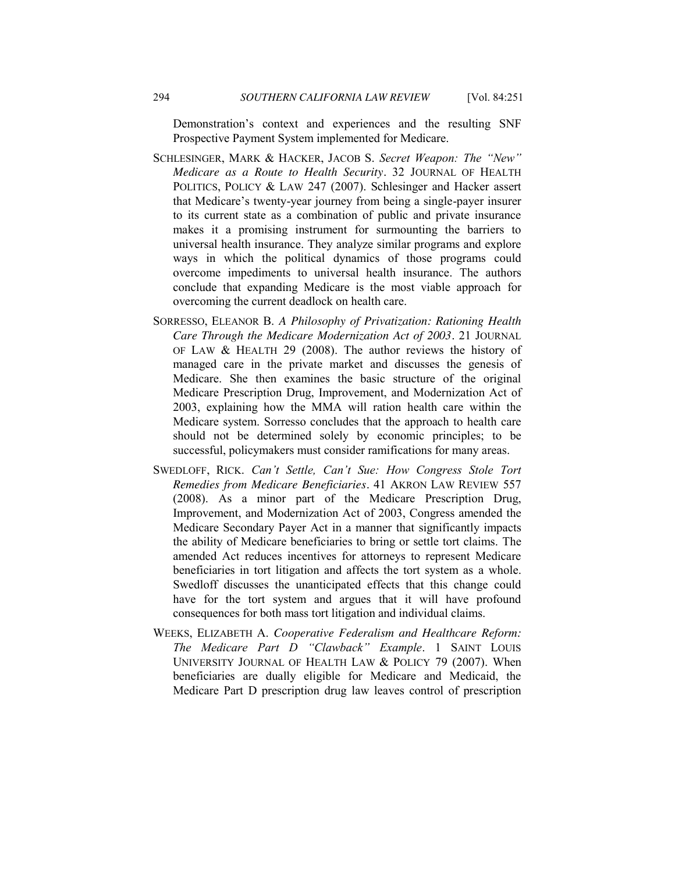Demonstration's context and experiences and the resulting SNF Prospective Payment System implemented for Medicare.

- SCHLESINGER, MARK & HACKER, JACOB S. Secret Weapon: The "New" *Medicare as a Route to Health Security.* 32 JOURNAL OF HEALTH POLITICS, POLICY & LAW 247 (2007). Schlesinger and Hacker assert that Medicare's twenty-year journey from being a single-payer insurer to its current state as a combination of public and private insurance makes it a promising instrument for surmounting the barriers to universal health insurance. They analyze similar programs and explore ways in which the political dynamics of those programs could overcome impediments to universal health insurance. The authors conclude that expanding Medicare is the most viable approach for overcoming the current deadlock on health care.
- SORRESSO, ELEANOR B. *A Philosophy of Privatization: Rationing Health Care Through the Medicare Modernization Act of 2003.* 21 JOURNAL OF LAW & HEALTH 29 (2008). The author reviews the history of managed care in the private market and discusses the genesis of Medicare. She then examines the basic structure of the original Medicare Prescription Drug, Improvement, and Modernization Act of 2003, explaining how the MMA will ration health care within the Medicare system. Sorresso concludes that the approach to health care should not be determined solely by economic principles; to be successful, policymakers must consider ramifications for many areas.
- SWEDLOFF, RICK. *Can't Settle, Can't Sue: How Congress Stole Tort Remedies from Medicare Beneficiaries.* 41 AKRON LAW REVIEW 557 (2008). As a minor part of the Medicare Prescription Drug, Improvement, and Modernization Act of 2003, Congress amended the Medicare Secondary Payer Act in a manner that significantly impacts the ability of Medicare beneficiaries to bring or settle tort claims. The amended Act reduces incentives for attorneys to represent Medicare beneficiaries in tort litigation and affects the tort system as a whole. Swedloff discusses the unanticipated effects that this change could have for the tort system and argues that it will have profound consequences for both mass tort litigation and individual claims.
- WEEKS, ELIZABETH A. *Cooperative Federalism and Healthcare Reform: The Medicare Part D ―Clawback‖ Example*. 1 SAINT LOUIS UNIVERSITY JOURNAL OF HEALTH LAW & POLICY 79 (2007). When beneficiaries are dually eligible for Medicare and Medicaid, the Medicare Part D prescription drug law leaves control of prescription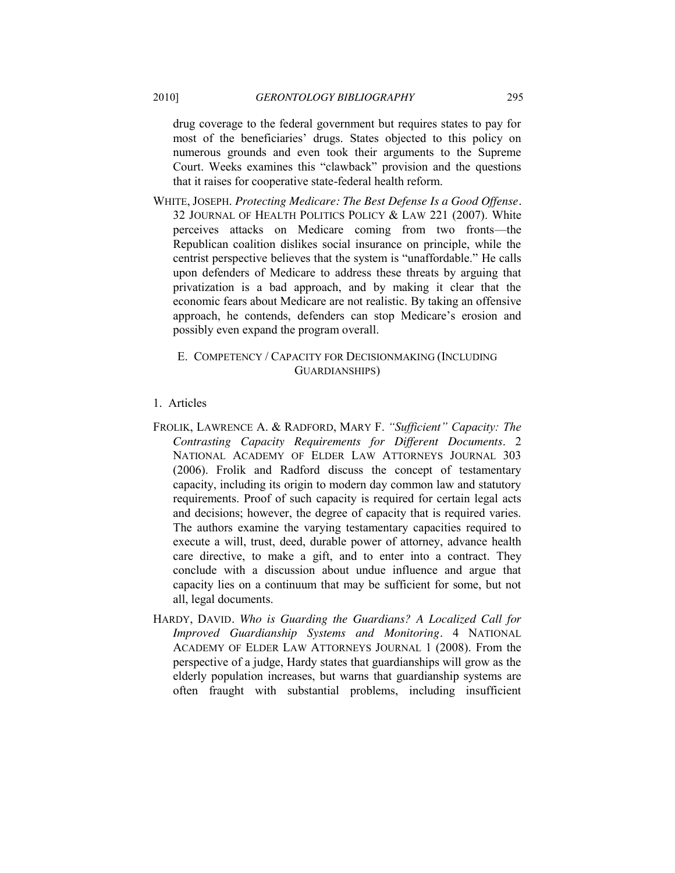drug coverage to the federal government but requires states to pay for most of the beneficiaries' drugs. States objected to this policy on numerous grounds and even took their arguments to the Supreme Court. Weeks examines this "clawback" provision and the questions that it raises for cooperative state-federal health reform.

WHITE, JOSEPH. *Protecting Medicare: The Best Defense Is a Good Offense.* 32 JOURNAL OF HEALTH POLITICS POLICY & LAW 221 (2007). White perceives attacks on Medicare coming from two fronts—the Republican coalition dislikes social insurance on principle, while the centrist perspective believes that the system is "unaffordable." He calls upon defenders of Medicare to address these threats by arguing that privatization is a bad approach, and by making it clear that the economic fears about Medicare are not realistic. By taking an offensive approach, he contends, defenders can stop Medicare's erosion and possibly even expand the program overall.

## E. COMPETENCY / CAPACITY FOR DECISIONMAKING (INCLUDING GUARDIANSHIPS)

## 1. Articles

- FROLIK, LAWRENCE A. & RADFORD, MARY F. "Sufficient" Capacity: The *Contrasting Capacity Requirements for Different Documents*. 2 NATIONAL ACADEMY OF ELDER LAW ATTORNEYS JOURNAL 303 (2006). Frolik and Radford discuss the concept of testamentary capacity, including its origin to modern day common law and statutory requirements. Proof of such capacity is required for certain legal acts and decisions; however, the degree of capacity that is required varies. The authors examine the varying testamentary capacities required to execute a will, trust, deed, durable power of attorney, advance health care directive, to make a gift, and to enter into a contract. They conclude with a discussion about undue influence and argue that capacity lies on a continuum that may be sufficient for some, but not all, legal documents.
- HARDY, DAVID*. Who is Guarding the Guardians? A Localized Call for Improved Guardianship Systems and Monitoring.* 4 NATIONAL ACADEMY OF ELDER LAW ATTORNEYS JOURNAL 1 (2008). From the perspective of a judge, Hardy states that guardianships will grow as the elderly population increases, but warns that guardianship systems are often fraught with substantial problems, including insufficient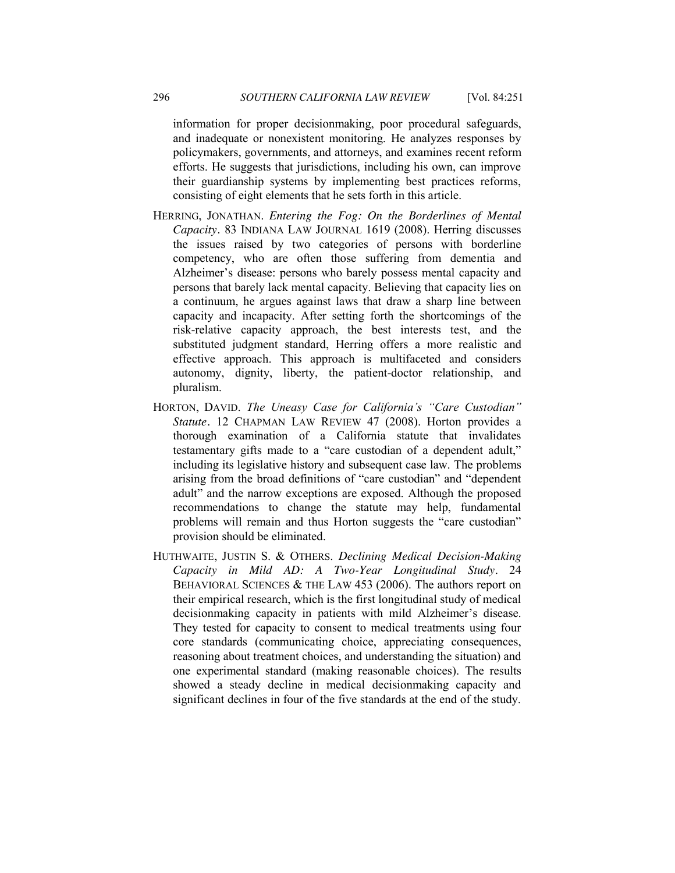information for proper decisionmaking, poor procedural safeguards, and inadequate or nonexistent monitoring. He analyzes responses by policymakers, governments, and attorneys, and examines recent reform efforts. He suggests that jurisdictions, including his own, can improve their guardianship systems by implementing best practices reforms, consisting of eight elements that he sets forth in this article.

- HERRING, JONATHAN. *Entering the Fog: On the Borderlines of Mental Capacity.* 83 INDIANA LAW JOURNAL 1619 (2008). Herring discusses the issues raised by two categories of persons with borderline competency, who are often those suffering from dementia and Alzheimer's disease: persons who barely possess mental capacity and persons that barely lack mental capacity. Believing that capacity lies on a continuum, he argues against laws that draw a sharp line between capacity and incapacity. After setting forth the shortcomings of the risk-relative capacity approach, the best interests test, and the substituted judgment standard, Herring offers a more realistic and effective approach. This approach is multifaceted and considers autonomy, dignity, liberty, the patient-doctor relationship, and pluralism.
- HORTON, DAVID. The Uneasy Case for California's "Care Custodian" *Statute.* 12 CHAPMAN LAW REVIEW 47 (2008). Horton provides a thorough examination of a California statute that invalidates testamentary gifts made to a "care custodian of a dependent adult," including its legislative history and subsequent case law. The problems arising from the broad definitions of "care custodian" and "dependent adult" and the narrow exceptions are exposed. Although the proposed recommendations to change the statute may help, fundamental problems will remain and thus Horton suggests the "care custodian" provision should be eliminated.
- HUTHWAITE, JUSTIN S. & OTHERS. *Declining Medical Decision-Making Capacity in Mild AD: A Two-Year Longitudinal Study.* 24 BEHAVIORAL SCIENCES & THE LAW 453 (2006). The authors report on their empirical research, which is the first longitudinal study of medical decisionmaking capacity in patients with mild Alzheimer's disease. They tested for capacity to consent to medical treatments using four core standards (communicating choice, appreciating consequences, reasoning about treatment choices, and understanding the situation) and one experimental standard (making reasonable choices). The results showed a steady decline in medical decisionmaking capacity and significant declines in four of the five standards at the end of the study.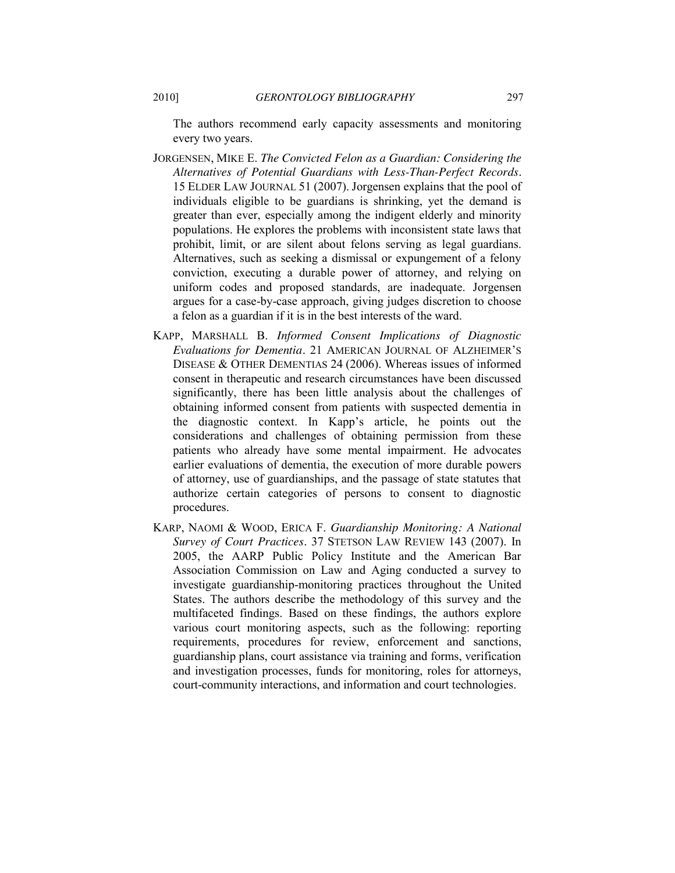The authors recommend early capacity assessments and monitoring every two years.

- JORGENSEN, MIKE E. *The Convicted Felon as a Guardian: Considering the Alternatives of Potential Guardians with Less-Than-Perfect Records.* 15 ELDER LAW JOURNAL 51 (2007). Jorgensen explains that the pool of individuals eligible to be guardians is shrinking, yet the demand is greater than ever, especially among the indigent elderly and minority populations. He explores the problems with inconsistent state laws that prohibit, limit, or are silent about felons serving as legal guardians. Alternatives, such as seeking a dismissal or expungement of a felony conviction, executing a durable power of attorney, and relying on uniform codes and proposed standards, are inadequate. Jorgensen argues for a case-by-case approach, giving judges discretion to choose a felon as a guardian if it is in the best interests of the ward.
- KAPP, MARSHALL B. *Informed Consent Implications of Diagnostic Evaluations for Dementia.* 21 AMERICAN JOURNAL OF ALZHEIMER'S DISEASE & OTHER DEMENTIAS 24 (2006). Whereas issues of informed consent in therapeutic and research circumstances have been discussed significantly, there has been little analysis about the challenges of obtaining informed consent from patients with suspected dementia in the diagnostic context. In Kapp's article, he points out the considerations and challenges of obtaining permission from these patients who already have some mental impairment. He advocates earlier evaluations of dementia, the execution of more durable powers of attorney, use of guardianships, and the passage of state statutes that authorize certain categories of persons to consent to diagnostic procedures.
- KARP, NAOMI & WOOD, ERICA F. *Guardianship Monitoring: A National Survey of Court Practices.* 37 STETSON LAW REVIEW 143 (2007). In 2005, the AARP Public Policy Institute and the American Bar Association Commission on Law and Aging conducted a survey to investigate guardianship-monitoring practices throughout the United States. The authors describe the methodology of this survey and the multifaceted findings. Based on these findings, the authors explore various court monitoring aspects, such as the following: reporting requirements, procedures for review, enforcement and sanctions, guardianship plans, court assistance via training and forms, verification and investigation processes, funds for monitoring, roles for attorneys, court-community interactions, and information and court technologies.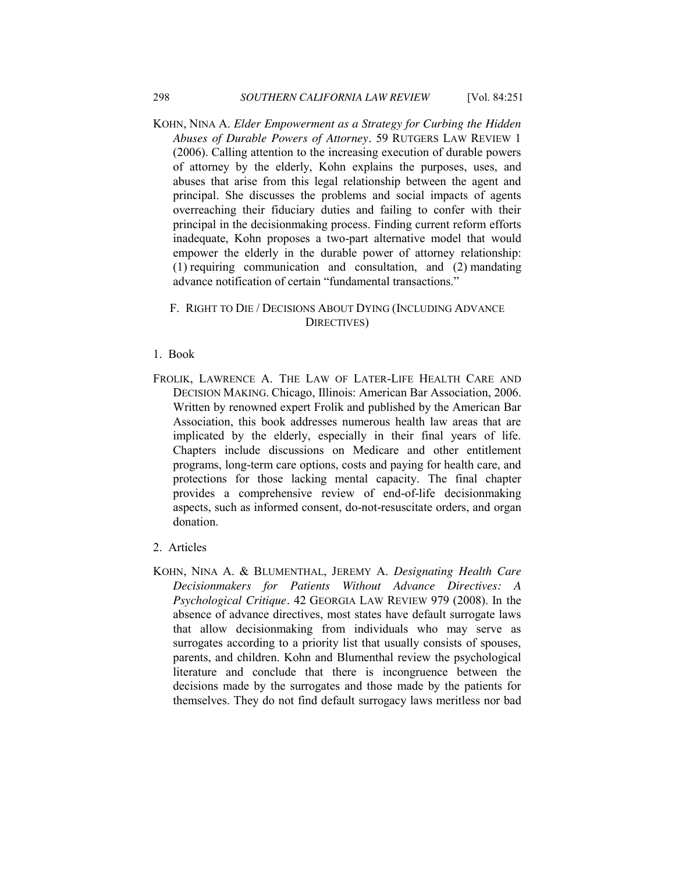KOHN, NINA A. *Elder Empowerment as a Strategy for Curbing the Hidden Abuses of Durable Powers of Attorney.* 59 RUTGERS LAW REVIEW 1 (2006). Calling attention to the increasing execution of durable powers of attorney by the elderly, Kohn explains the purposes, uses, and abuses that arise from this legal relationship between the agent and principal. She discusses the problems and social impacts of agents overreaching their fiduciary duties and failing to confer with their principal in the decisionmaking process. Finding current reform efforts inadequate, Kohn proposes a two-part alternative model that would empower the elderly in the durable power of attorney relationship: (1) requiring communication and consultation, and (2) mandating advance notification of certain "fundamental transactions."

## F. RIGHT TO DIE / DECISIONS ABOUT DYING (INCLUDING ADVANCE DIRECTIVES)

#### 1. Book

- FROLIK, LAWRENCE A. THE LAW OF LATER-LIFE HEALTH CARE AND DECISION MAKING. Chicago, Illinois: American Bar Association, 2006. Written by renowned expert Frolik and published by the American Bar Association, this book addresses numerous health law areas that are implicated by the elderly, especially in their final years of life. Chapters include discussions on Medicare and other entitlement programs, long-term care options, costs and paying for health care, and protections for those lacking mental capacity. The final chapter provides a comprehensive review of end-of-life decisionmaking aspects, such as informed consent, do-not-resuscitate orders, and organ donation.
- 2. Articles
- KOHN, NINA A. & BLUMENTHAL, JEREMY A. *Designating Health Care Decisionmakers for Patients Without Advance Directives: A Psychological Critique.* 42 GEORGIA LAW REVIEW 979 (2008). In the absence of advance directives, most states have default surrogate laws that allow decisionmaking from individuals who may serve as surrogates according to a priority list that usually consists of spouses, parents, and children. Kohn and Blumenthal review the psychological literature and conclude that there is incongruence between the decisions made by the surrogates and those made by the patients for themselves. They do not find default surrogacy laws meritless nor bad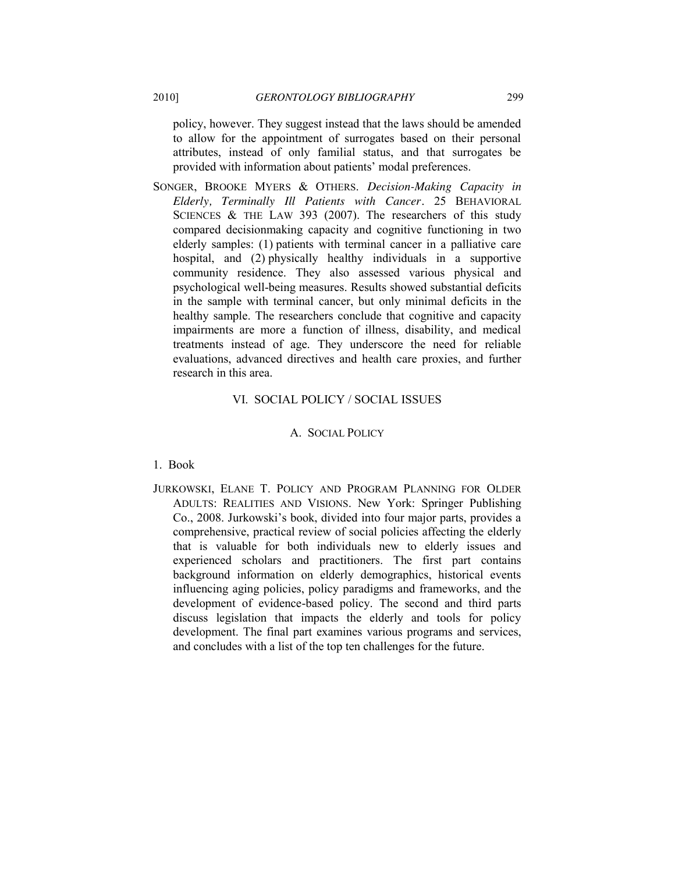policy, however. They suggest instead that the laws should be amended to allow for the appointment of surrogates based on their personal attributes, instead of only familial status, and that surrogates be provided with information about patients' modal preferences.

SONGER, BROOKE MYERS & OTHERS. *Decision-Making Capacity in Elderly, Terminally Ill Patients with Cancer.* 25 BEHAVIORAL SCIENCES  $&$  THE LAW 393 (2007). The researchers of this study compared decisionmaking capacity and cognitive functioning in two elderly samples: (1) patients with terminal cancer in a palliative care hospital, and (2) physically healthy individuals in a supportive community residence. They also assessed various physical and psychological well-being measures. Results showed substantial deficits in the sample with terminal cancer, but only minimal deficits in the healthy sample. The researchers conclude that cognitive and capacity impairments are more a function of illness, disability, and medical treatments instead of age. They underscore the need for reliable evaluations, advanced directives and health care proxies, and further research in this area.

# VI. SOCIAL POLICY / SOCIAL ISSUES

#### A. SOCIAL POLICY

#### 1. Book

JURKOWSKI, ELANE T. POLICY AND PROGRAM PLANNING FOR OLDER ADULTS: REALITIES AND VISIONS. New York: Springer Publishing Co., 2008. Jurkowski's book, divided into four major parts, provides a comprehensive, practical review of social policies affecting the elderly that is valuable for both individuals new to elderly issues and experienced scholars and practitioners. The first part contains background information on elderly demographics, historical events influencing aging policies, policy paradigms and frameworks, and the development of evidence-based policy. The second and third parts discuss legislation that impacts the elderly and tools for policy development. The final part examines various programs and services, and concludes with a list of the top ten challenges for the future.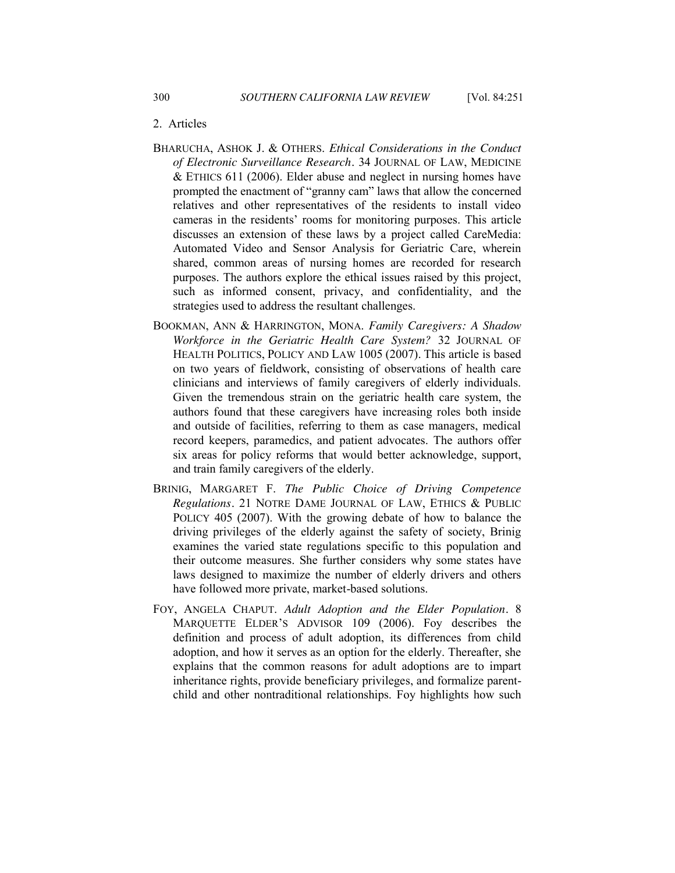# 2. Articles

- BHARUCHA, ASHOK J. & OTHERS. *Ethical Considerations in the Conduct of Electronic Surveillance Research.* 34 JOURNAL OF LAW, MEDICINE & ETHICS 611 (2006). Elder abuse and neglect in nursing homes have prompted the enactment of "granny cam" laws that allow the concerned relatives and other representatives of the residents to install video cameras in the residents' rooms for monitoring purposes. This article discusses an extension of these laws by a project called CareMedia: Automated Video and Sensor Analysis for Geriatric Care, wherein shared, common areas of nursing homes are recorded for research purposes. The authors explore the ethical issues raised by this project, such as informed consent, privacy, and confidentiality, and the strategies used to address the resultant challenges.
- BOOKMAN, ANN & HARRINGTON, MONA. *Family Caregivers: A Shadow Workforce in the Geriatric Health Care System?* 32 JOURNAL OF HEALTH POLITICS, POLICY AND LAW 1005 (2007). This article is based on two years of fieldwork, consisting of observations of health care clinicians and interviews of family caregivers of elderly individuals. Given the tremendous strain on the geriatric health care system, the authors found that these caregivers have increasing roles both inside and outside of facilities, referring to them as case managers, medical record keepers, paramedics, and patient advocates. The authors offer six areas for policy reforms that would better acknowledge, support, and train family caregivers of the elderly.
- BRINIG, MARGARET F. *The Public Choice of Driving Competence Regulations.* 21 NOTRE DAME JOURNAL OF LAW, ETHICS & PUBLIC POLICY 405 (2007). With the growing debate of how to balance the driving privileges of the elderly against the safety of society, Brinig examines the varied state regulations specific to this population and their outcome measures. She further considers why some states have laws designed to maximize the number of elderly drivers and others have followed more private, market-based solutions.
- FOY, ANGELA CHAPUT. *Adult Adoption and the Elder Population.* 8 MARQUETTE ELDER'S ADVISOR 109 (2006). Foy describes the definition and process of adult adoption, its differences from child adoption, and how it serves as an option for the elderly. Thereafter, she explains that the common reasons for adult adoptions are to impart inheritance rights, provide beneficiary privileges, and formalize parentchild and other nontraditional relationships. Foy highlights how such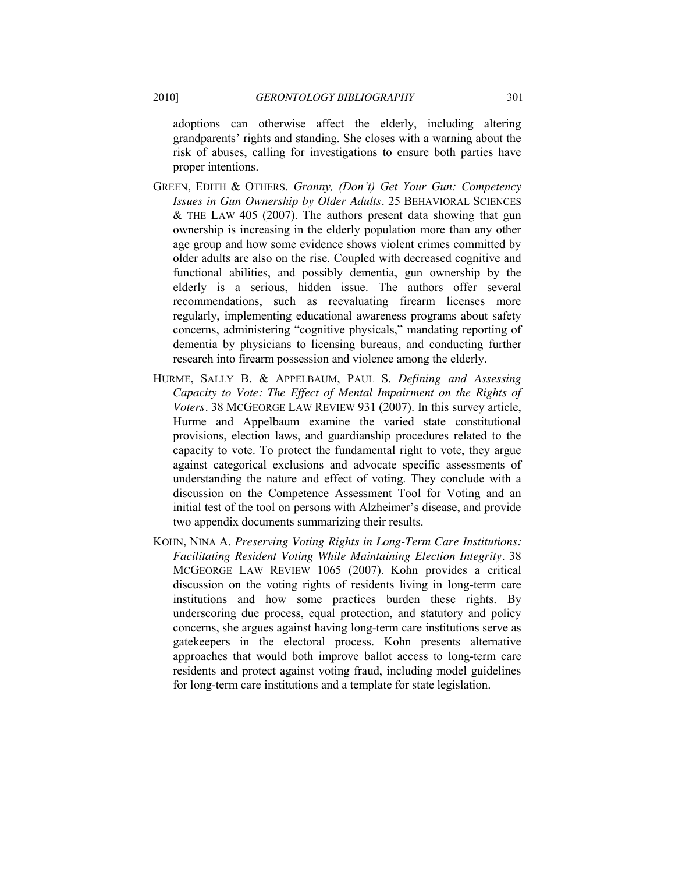adoptions can otherwise affect the elderly, including altering grandparents' rights and standing. She closes with a warning about the risk of abuses, calling for investigations to ensure both parties have proper intentions.

- GREEN, EDITH & OTHERS. *Granny, (Don't) Get Your Gun: Competency Issues in Gun Ownership by Older Adults.* 25 BEHAVIORAL SCIENCES  $&$  THE LAW 405 (2007). The authors present data showing that gun ownership is increasing in the elderly population more than any other age group and how some evidence shows violent crimes committed by older adults are also on the rise. Coupled with decreased cognitive and functional abilities, and possibly dementia, gun ownership by the elderly is a serious, hidden issue. The authors offer several recommendations, such as reevaluating firearm licenses more regularly, implementing educational awareness programs about safety concerns, administering "cognitive physicals," mandating reporting of dementia by physicians to licensing bureaus, and conducting further research into firearm possession and violence among the elderly.
- HURME, SALLY B. & APPELBAUM, PAUL S. *Defining and Assessing Capacity to Vote: The Effect of Mental Impairment on the Rights of Voters.* 38 MCGEORGE LAW REVIEW 931 (2007). In this survey article, Hurme and Appelbaum examine the varied state constitutional provisions, election laws, and guardianship procedures related to the capacity to vote. To protect the fundamental right to vote, they argue against categorical exclusions and advocate specific assessments of understanding the nature and effect of voting. They conclude with a discussion on the Competence Assessment Tool for Voting and an initial test of the tool on persons with Alzheimer's disease, and provide two appendix documents summarizing their results.
- KOHN, NINA A. *Preserving Voting Rights in Long-Term Care Institutions: Facilitating Resident Voting While Maintaining Election Integrity.* 38 MCGEORGE LAW REVIEW 1065 (2007). Kohn provides a critical discussion on the voting rights of residents living in long-term care institutions and how some practices burden these rights. By underscoring due process, equal protection, and statutory and policy concerns, she argues against having long-term care institutions serve as gatekeepers in the electoral process. Kohn presents alternative approaches that would both improve ballot access to long-term care residents and protect against voting fraud, including model guidelines for long-term care institutions and a template for state legislation.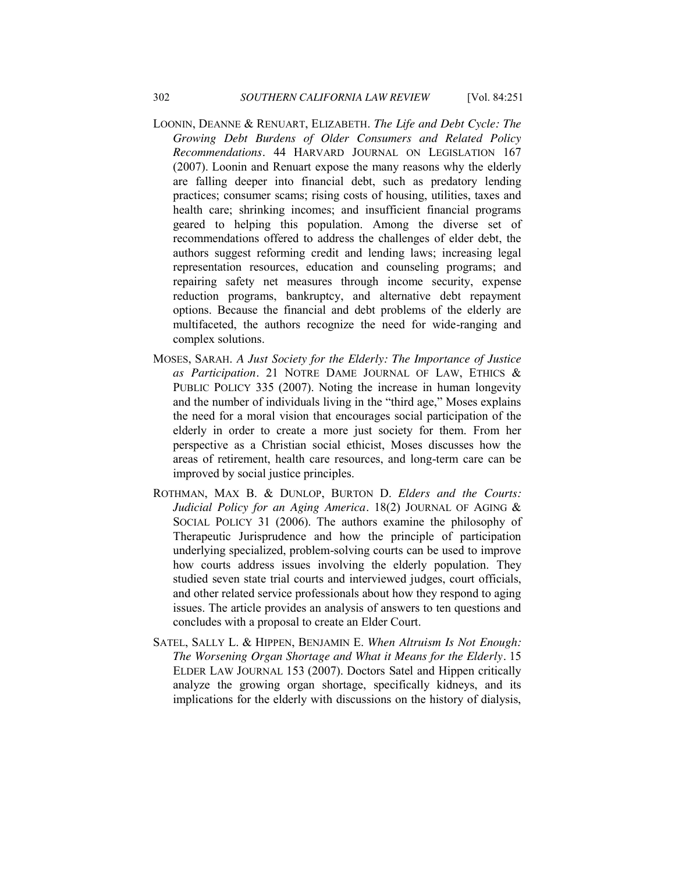- LOONIN, DEANNE & RENUART, ELIZABETH. *The Life and Debt Cycle: The Growing Debt Burdens of Older Consumers and Related Policy Recommendations.* 44 HARVARD JOURNAL ON LEGISLATION 167 (2007). Loonin and Renuart expose the many reasons why the elderly are falling deeper into financial debt, such as predatory lending practices; consumer scams; rising costs of housing, utilities, taxes and health care; shrinking incomes; and insufficient financial programs geared to helping this population. Among the diverse set of recommendations offered to address the challenges of elder debt, the authors suggest reforming credit and lending laws; increasing legal representation resources, education and counseling programs; and repairing safety net measures through income security, expense reduction programs, bankruptcy, and alternative debt repayment options. Because the financial and debt problems of the elderly are multifaceted, the authors recognize the need for wide-ranging and complex solutions.
- MOSES, SARAH. *A Just Society for the Elderly: The Importance of Justice as Participation.* 21 NOTRE DAME JOURNAL OF LAW, ETHICS & PUBLIC POLICY 335 (2007). Noting the increase in human longevity and the number of individuals living in the "third age," Moses explains the need for a moral vision that encourages social participation of the elderly in order to create a more just society for them. From her perspective as a Christian social ethicist, Moses discusses how the areas of retirement, health care resources, and long-term care can be improved by social justice principles.
- ROTHMAN, MAX B. & DUNLOP, BURTON D. *Elders and the Courts: Judicial Policy for an Aging America.* 18(2) JOURNAL OF AGING & SOCIAL POLICY 31 (2006). The authors examine the philosophy of Therapeutic Jurisprudence and how the principle of participation underlying specialized, problem-solving courts can be used to improve how courts address issues involving the elderly population. They studied seven state trial courts and interviewed judges, court officials, and other related service professionals about how they respond to aging issues. The article provides an analysis of answers to ten questions and concludes with a proposal to create an Elder Court.
- SATEL, SALLY L. & HIPPEN, BENJAMIN E. *When Altruism Is Not Enough: The Worsening Organ Shortage and What it Means for the Elderly.* 15 ELDER LAW JOURNAL 153 (2007). Doctors Satel and Hippen critically analyze the growing organ shortage, specifically kidneys, and its implications for the elderly with discussions on the history of dialysis,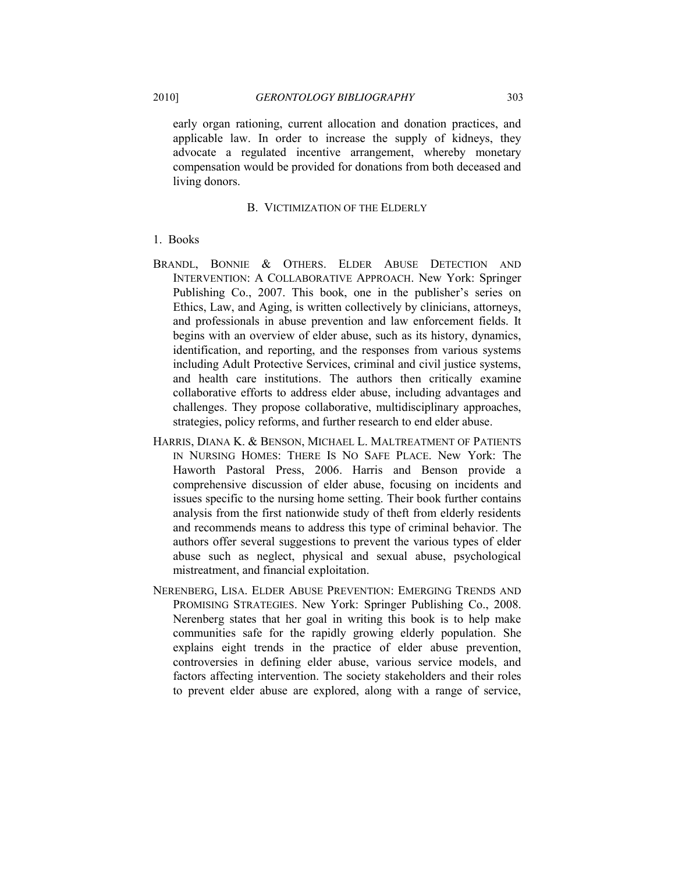early organ rationing, current allocation and donation practices, and applicable law. In order to increase the supply of kidneys, they advocate a regulated incentive arrangement, whereby monetary compensation would be provided for donations from both deceased and living donors.

#### B. VICTIMIZATION OF THE ELDERLY

## 1. Books

- BRANDL, BONNIE & OTHERS. ELDER ABUSE DETECTION AND INTERVENTION: A COLLABORATIVE APPROACH. New York: Springer Publishing Co., 2007. This book, one in the publisher's series on Ethics, Law, and Aging, is written collectively by clinicians, attorneys, and professionals in abuse prevention and law enforcement fields. It begins with an overview of elder abuse, such as its history, dynamics, identification, and reporting, and the responses from various systems including Adult Protective Services, criminal and civil justice systems, and health care institutions. The authors then critically examine collaborative efforts to address elder abuse, including advantages and challenges. They propose collaborative, multidisciplinary approaches, strategies, policy reforms, and further research to end elder abuse.
- HARRIS, DIANA K. & BENSON, MICHAEL L. MALTREATMENT OF PATIENTS IN NURSING HOMES: THERE IS NO SAFE PLACE. New York: The Haworth Pastoral Press, 2006. Harris and Benson provide a comprehensive discussion of elder abuse, focusing on incidents and issues specific to the nursing home setting. Their book further contains analysis from the first nationwide study of theft from elderly residents and recommends means to address this type of criminal behavior. The authors offer several suggestions to prevent the various types of elder abuse such as neglect, physical and sexual abuse, psychological mistreatment, and financial exploitation.
- NERENBERG, LISA. ELDER ABUSE PREVENTION: EMERGING TRENDS AND PROMISING STRATEGIES. New York: Springer Publishing Co., 2008. Nerenberg states that her goal in writing this book is to help make communities safe for the rapidly growing elderly population. She explains eight trends in the practice of elder abuse prevention, controversies in defining elder abuse, various service models, and factors affecting intervention. The society stakeholders and their roles to prevent elder abuse are explored, along with a range of service,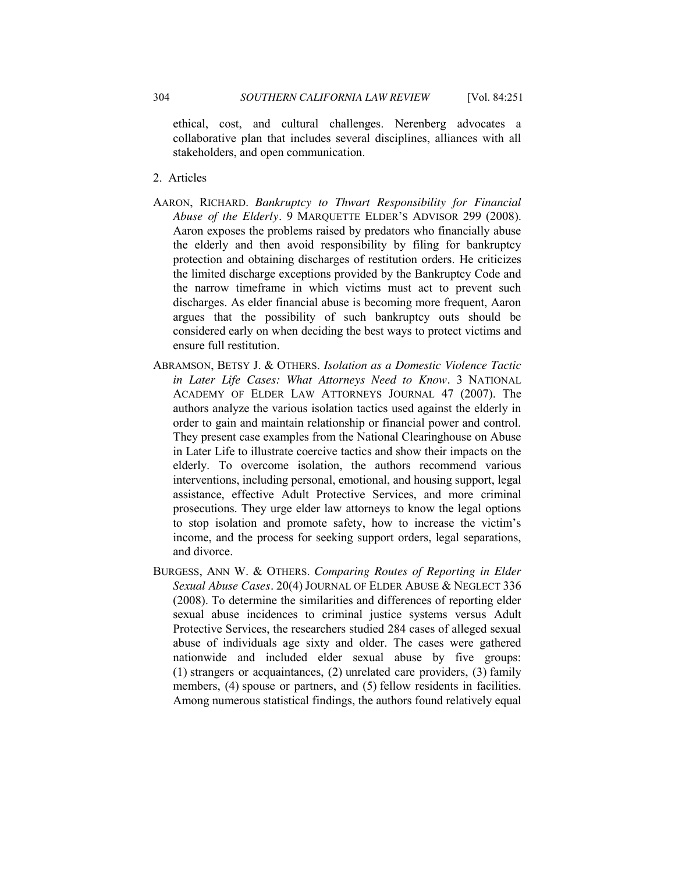ethical, cost, and cultural challenges. Nerenberg advocates a collaborative plan that includes several disciplines, alliances with all stakeholders, and open communication.

- 2. Articles
- AARON, RICHARD. *Bankruptcy to Thwart Responsibility for Financial Abuse of the Elderly.* 9 MARQUETTE ELDER'S ADVISOR 299 (2008). Aaron exposes the problems raised by predators who financially abuse the elderly and then avoid responsibility by filing for bankruptcy protection and obtaining discharges of restitution orders. He criticizes the limited discharge exceptions provided by the Bankruptcy Code and the narrow timeframe in which victims must act to prevent such discharges. As elder financial abuse is becoming more frequent, Aaron argues that the possibility of such bankruptcy outs should be considered early on when deciding the best ways to protect victims and ensure full restitution.
- ABRAMSON, BETSY J. & OTHERS. *Isolation as a Domestic Violence Tactic in Later Life Cases: What Attorneys Need to Know.* 3 NATIONAL ACADEMY OF ELDER LAW ATTORNEYS JOURNAL 47 (2007). The authors analyze the various isolation tactics used against the elderly in order to gain and maintain relationship or financial power and control. They present case examples from the National Clearinghouse on Abuse in Later Life to illustrate coercive tactics and show their impacts on the elderly. To overcome isolation, the authors recommend various interventions, including personal, emotional, and housing support, legal assistance, effective Adult Protective Services, and more criminal prosecutions. They urge elder law attorneys to know the legal options to stop isolation and promote safety, how to increase the victim's income, and the process for seeking support orders, legal separations, and divorce.
- BURGESS, ANN W. & OTHERS. *Comparing Routes of Reporting in Elder Sexual Abuse Cases.* 20(4) JOURNAL OF ELDER ABUSE & NEGLECT 336 (2008). To determine the similarities and differences of reporting elder sexual abuse incidences to criminal justice systems versus Adult Protective Services, the researchers studied 284 cases of alleged sexual abuse of individuals age sixty and older. The cases were gathered nationwide and included elder sexual abuse by five groups: (1) strangers or acquaintances, (2) unrelated care providers, (3) family members, (4) spouse or partners, and (5) fellow residents in facilities. Among numerous statistical findings, the authors found relatively equal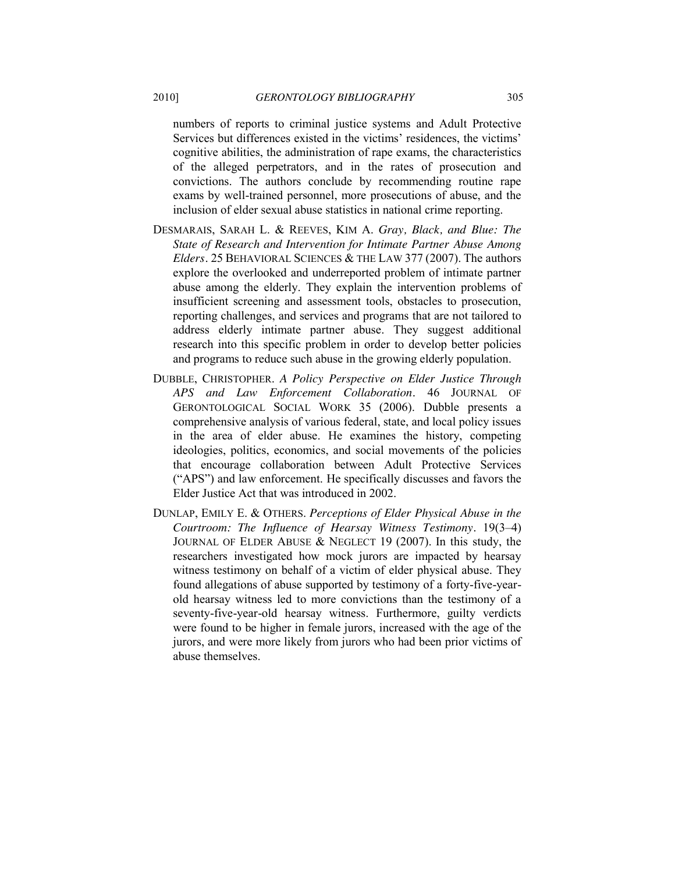numbers of reports to criminal justice systems and Adult Protective Services but differences existed in the victims' residences, the victims' cognitive abilities, the administration of rape exams, the characteristics of the alleged perpetrators, and in the rates of prosecution and convictions. The authors conclude by recommending routine rape exams by well-trained personnel, more prosecutions of abuse, and the inclusion of elder sexual abuse statistics in national crime reporting.

- DESMARAIS, SARAH L. & REEVES, KIM A. *Gray, Black, and Blue: The State of Research and Intervention for Intimate Partner Abuse Among Elders.* 25 BEHAVIORAL SCIENCES & THE LAW 377 (2007). The authors explore the overlooked and underreported problem of intimate partner abuse among the elderly. They explain the intervention problems of insufficient screening and assessment tools, obstacles to prosecution, reporting challenges, and services and programs that are not tailored to address elderly intimate partner abuse. They suggest additional research into this specific problem in order to develop better policies and programs to reduce such abuse in the growing elderly population.
- DUBBLE, CHRISTOPHER. *A Policy Perspective on Elder Justice Through APS and Law Enforcement Collaboration.* 46 JOURNAL OF GERONTOLOGICAL SOCIAL WORK 35 (2006). Dubble presents a comprehensive analysis of various federal, state, and local policy issues in the area of elder abuse. He examines the history, competing ideologies, politics, economics, and social movements of the policies that encourage collaboration between Adult Protective Services (―APS‖) and law enforcement. He specifically discusses and favors the Elder Justice Act that was introduced in 2002.
- DUNLAP, EMILY E. & OTHERS. *Perceptions of Elder Physical Abuse in the Courtroom: The Influence of Hearsay Witness Testimony.* 19(3–4) JOURNAL OF ELDER ABUSE & NEGLECT 19 (2007). In this study, the researchers investigated how mock jurors are impacted by hearsay witness testimony on behalf of a victim of elder physical abuse. They found allegations of abuse supported by testimony of a forty-five-yearold hearsay witness led to more convictions than the testimony of a seventy-five-year-old hearsay witness. Furthermore, guilty verdicts were found to be higher in female jurors, increased with the age of the jurors, and were more likely from jurors who had been prior victims of abuse themselves.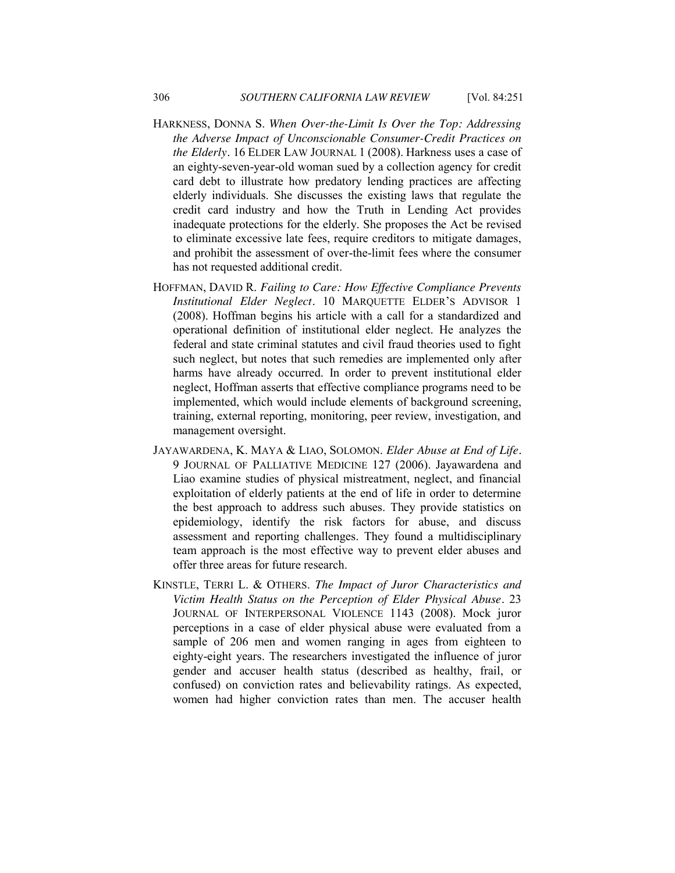- HARKNESS, DONNA S. *When Over-the-Limit Is Over the Top: Addressing the Adverse Impact of Unconscionable Consumer-Credit Practices on the Elderly.* 16 ELDER LAW JOURNAL 1 (2008). Harkness uses a case of an eighty-seven-year-old woman sued by a collection agency for credit card debt to illustrate how predatory lending practices are affecting elderly individuals. She discusses the existing laws that regulate the credit card industry and how the Truth in Lending Act provides inadequate protections for the elderly. She proposes the Act be revised to eliminate excessive late fees, require creditors to mitigate damages, and prohibit the assessment of over-the-limit fees where the consumer has not requested additional credit.
- HOFFMAN, DAVID R. *Failing to Care: How Effective Compliance Prevents Institutional Elder Neglect.* 10 MARQUETTE ELDER'S ADVISOR 1 (2008). Hoffman begins his article with a call for a standardized and operational definition of institutional elder neglect. He analyzes the federal and state criminal statutes and civil fraud theories used to fight such neglect, but notes that such remedies are implemented only after harms have already occurred. In order to prevent institutional elder neglect, Hoffman asserts that effective compliance programs need to be implemented, which would include elements of background screening, training, external reporting, monitoring, peer review, investigation, and management oversight.
- JAYAWARDENA, K. MAYA & LIAO, SOLOMON. *Elder Abuse at End of Life.* 9 JOURNAL OF PALLIATIVE MEDICINE 127 (2006). Jayawardena and Liao examine studies of physical mistreatment, neglect, and financial exploitation of elderly patients at the end of life in order to determine the best approach to address such abuses. They provide statistics on epidemiology, identify the risk factors for abuse, and discuss assessment and reporting challenges. They found a multidisciplinary team approach is the most effective way to prevent elder abuses and offer three areas for future research.
- KINSTLE, TERRI L. & OTHERS. *The Impact of Juror Characteristics and Victim Health Status on the Perception of Elder Physical Abuse.* 23 JOURNAL OF INTERPERSONAL VIOLENCE 1143 (2008). Mock juror perceptions in a case of elder physical abuse were evaluated from a sample of 206 men and women ranging in ages from eighteen to eighty-eight years. The researchers investigated the influence of juror gender and accuser health status (described as healthy, frail, or confused) on conviction rates and believability ratings. As expected, women had higher conviction rates than men. The accuser health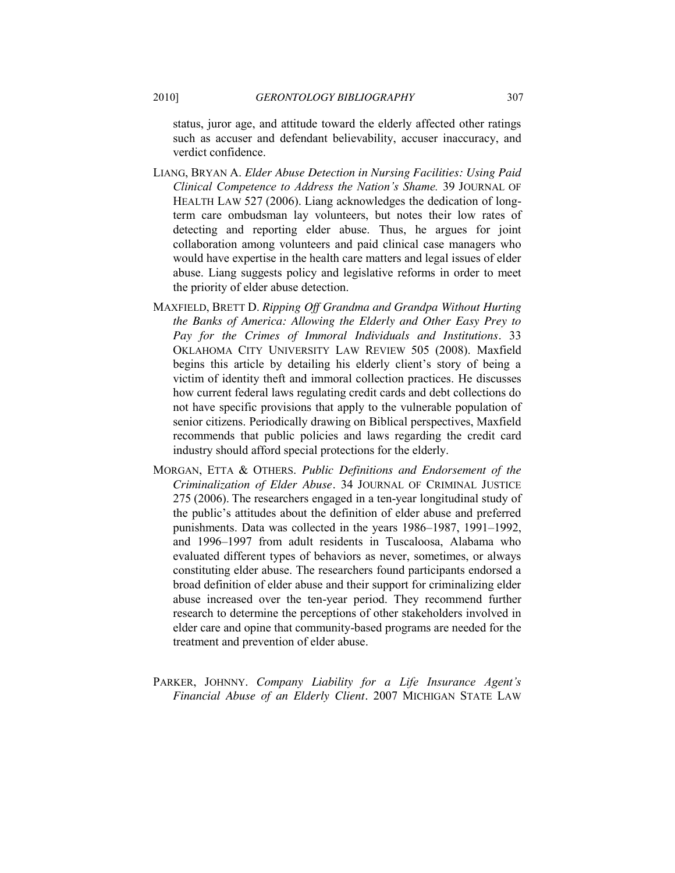status, juror age, and attitude toward the elderly affected other ratings such as accuser and defendant believability, accuser inaccuracy, and verdict confidence.

- LIANG, BRYAN A. *Elder Abuse Detection in Nursing Facilities: Using Paid Clinical Competence to Address the Nation's Shame.* 39 JOURNAL OF HEALTH LAW 527 (2006). Liang acknowledges the dedication of longterm care ombudsman lay volunteers, but notes their low rates of detecting and reporting elder abuse. Thus, he argues for joint collaboration among volunteers and paid clinical case managers who would have expertise in the health care matters and legal issues of elder abuse. Liang suggests policy and legislative reforms in order to meet the priority of elder abuse detection.
- MAXFIELD, BRETT D. *Ripping Off Grandma and Grandpa Without Hurting the Banks of America: Allowing the Elderly and Other Easy Prey to Pay for the Crimes of Immoral Individuals and Institutions.* 33 OKLAHOMA CITY UNIVERSITY LAW REVIEW 505 (2008). Maxfield begins this article by detailing his elderly client's story of being a victim of identity theft and immoral collection practices. He discusses how current federal laws regulating credit cards and debt collections do not have specific provisions that apply to the vulnerable population of senior citizens. Periodically drawing on Biblical perspectives, Maxfield recommends that public policies and laws regarding the credit card industry should afford special protections for the elderly.
- MORGAN, ETTA & OTHERS. *Public Definitions and Endorsement of the Criminalization of Elder Abuse.* 34 JOURNAL OF CRIMINAL JUSTICE 275 (2006). The researchers engaged in a ten-year longitudinal study of the public's attitudes about the definition of elder abuse and preferred punishments. Data was collected in the years 1986–1987, 1991–1992, and 1996–1997 from adult residents in Tuscaloosa, Alabama who evaluated different types of behaviors as never, sometimes, or always constituting elder abuse. The researchers found participants endorsed a broad definition of elder abuse and their support for criminalizing elder abuse increased over the ten-year period. They recommend further research to determine the perceptions of other stakeholders involved in elder care and opine that community-based programs are needed for the treatment and prevention of elder abuse.
- PARKER, JOHNNY. *Company Liability for a Life Insurance Agent's Financial Abuse of an Elderly Client.* 2007 MICHIGAN STATE LAW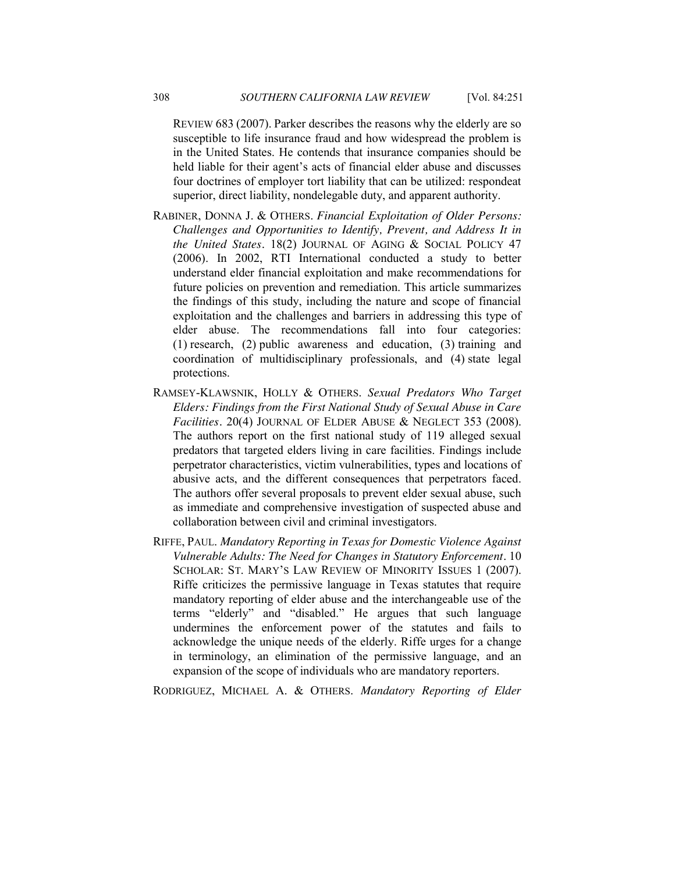REVIEW 683 (2007). Parker describes the reasons why the elderly are so susceptible to life insurance fraud and how widespread the problem is in the United States. He contends that insurance companies should be held liable for their agent's acts of financial elder abuse and discusses four doctrines of employer tort liability that can be utilized: respondeat superior, direct liability, nondelegable duty, and apparent authority.

- RABINER, DONNA J. & OTHERS. *Financial Exploitation of Older Persons: Challenges and Opportunities to Identify, Prevent, and Address It in the United States.* 18(2) JOURNAL OF AGING & SOCIAL POLICY 47 (2006). In 2002, RTI International conducted a study to better understand elder financial exploitation and make recommendations for future policies on prevention and remediation. This article summarizes the findings of this study, including the nature and scope of financial exploitation and the challenges and barriers in addressing this type of elder abuse. The recommendations fall into four categories: (1) research, (2) public awareness and education, (3) training and coordination of multidisciplinary professionals, and (4) state legal protections.
- RAMSEY-KLAWSNIK, HOLLY & OTHERS. *Sexual Predators Who Target Elders: Findings from the First National Study of Sexual Abuse in Care Facilities.* 20(4) JOURNAL OF ELDER ABUSE & NEGLECT 353 (2008). The authors report on the first national study of 119 alleged sexual predators that targeted elders living in care facilities. Findings include perpetrator characteristics, victim vulnerabilities, types and locations of abusive acts, and the different consequences that perpetrators faced. The authors offer several proposals to prevent elder sexual abuse, such as immediate and comprehensive investigation of suspected abuse and collaboration between civil and criminal investigators.
- RIFFE, PAUL. *Mandatory Reporting in Texas for Domestic Violence Against Vulnerable Adults: The Need for Changes in Statutory Enforcement.* 10 SCHOLAR: ST. MARY'S LAW REVIEW OF MINORITY ISSUES 1 (2007). Riffe criticizes the permissive language in Texas statutes that require mandatory reporting of elder abuse and the interchangeable use of the terms "elderly" and "disabled." He argues that such language undermines the enforcement power of the statutes and fails to acknowledge the unique needs of the elderly. Riffe urges for a change in terminology, an elimination of the permissive language, and an expansion of the scope of individuals who are mandatory reporters.

RODRIGUEZ, MICHAEL A. & OTHERS. *Mandatory Reporting of Elder*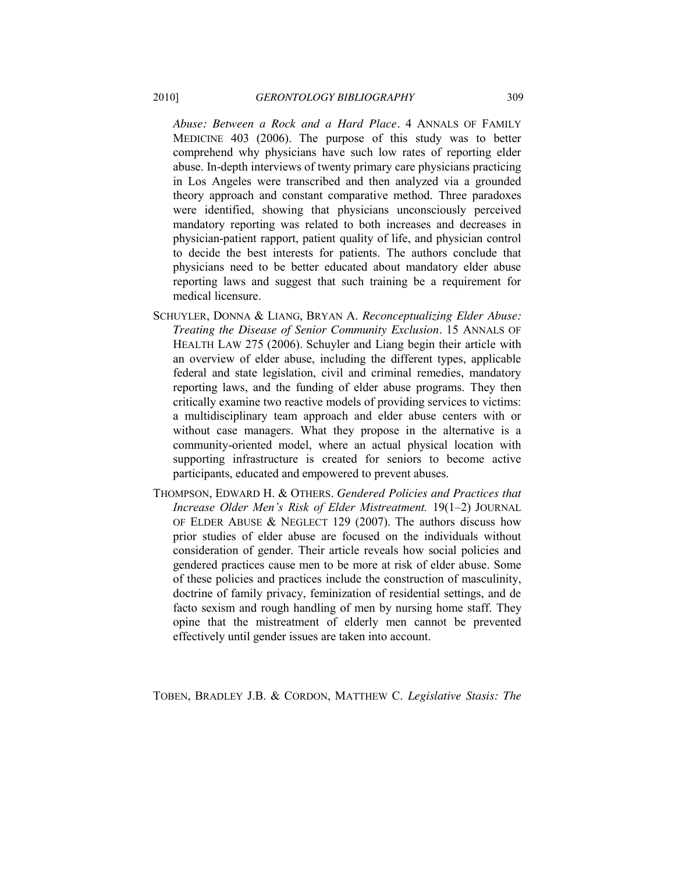*Abuse: Between a Rock and a Hard Place.* 4 ANNALS OF FAMILY MEDICINE 403 (2006). The purpose of this study was to better comprehend why physicians have such low rates of reporting elder abuse. In-depth interviews of twenty primary care physicians practicing in Los Angeles were transcribed and then analyzed via a grounded theory approach and constant comparative method. Three paradoxes were identified, showing that physicians unconsciously perceived mandatory reporting was related to both increases and decreases in physician-patient rapport, patient quality of life, and physician control to decide the best interests for patients. The authors conclude that physicians need to be better educated about mandatory elder abuse reporting laws and suggest that such training be a requirement for medical licensure.

- SCHUYLER, DONNA & LIANG, BRYAN A. *Reconceptualizing Elder Abuse: Treating the Disease of Senior Community Exclusion.* 15 ANNALS OF HEALTH LAW 275 (2006). Schuyler and Liang begin their article with an overview of elder abuse, including the different types, applicable federal and state legislation, civil and criminal remedies, mandatory reporting laws, and the funding of elder abuse programs. They then critically examine two reactive models of providing services to victims: a multidisciplinary team approach and elder abuse centers with or without case managers. What they propose in the alternative is a community-oriented model, where an actual physical location with supporting infrastructure is created for seniors to become active participants, educated and empowered to prevent abuses.
- THOMPSON, EDWARD H. & OTHERS. *Gendered Policies and Practices that Increase Older Men's Risk of Elder Mistreatment.* 19(1–2) JOURNAL OF ELDER ABUSE & NEGLECT 129 (2007). The authors discuss how prior studies of elder abuse are focused on the individuals without consideration of gender. Their article reveals how social policies and gendered practices cause men to be more at risk of elder abuse. Some of these policies and practices include the construction of masculinity, doctrine of family privacy, feminization of residential settings, and de facto sexism and rough handling of men by nursing home staff. They opine that the mistreatment of elderly men cannot be prevented effectively until gender issues are taken into account.

TOBEN, BRADLEY J.B. & CORDON, MATTHEW C. *Legislative Stasis: The*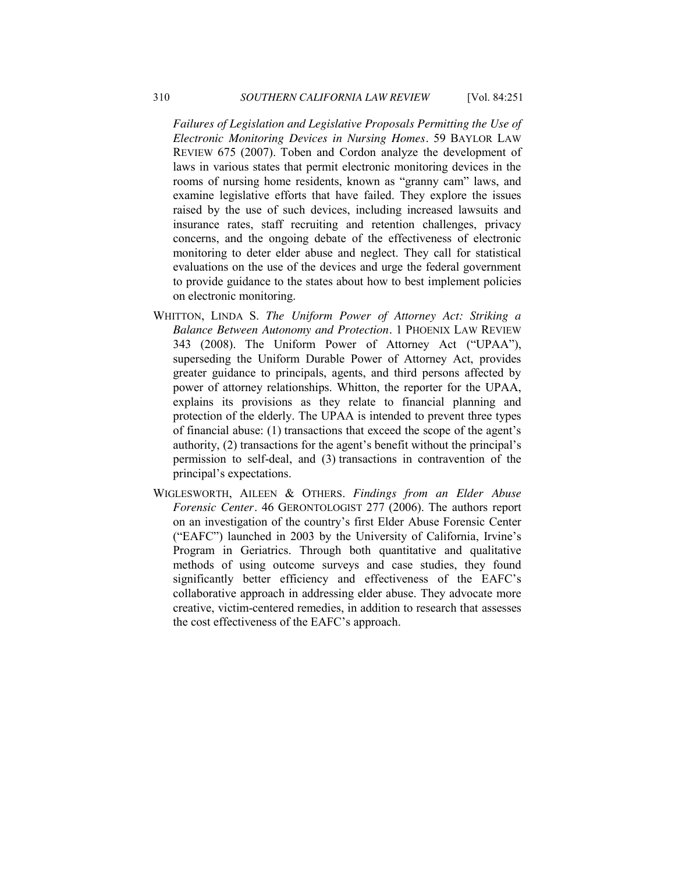*Failures of Legislation and Legislative Proposals Permitting the Use of Electronic Monitoring Devices in Nursing Homes.* 59 BAYLOR LAW REVIEW 675 (2007). Toben and Cordon analyze the development of laws in various states that permit electronic monitoring devices in the rooms of nursing home residents, known as "granny cam" laws, and examine legislative efforts that have failed. They explore the issues raised by the use of such devices, including increased lawsuits and insurance rates, staff recruiting and retention challenges, privacy concerns, and the ongoing debate of the effectiveness of electronic monitoring to deter elder abuse and neglect. They call for statistical evaluations on the use of the devices and urge the federal government to provide guidance to the states about how to best implement policies on electronic monitoring.

- WHITTON, LINDA S. *The Uniform Power of Attorney Act: Striking a Balance Between Autonomy and Protection.* 1 PHOENIX LAW REVIEW 343 (2008). The Uniform Power of Attorney Act ("UPAA"), superseding the Uniform Durable Power of Attorney Act, provides greater guidance to principals, agents, and third persons affected by power of attorney relationships. Whitton, the reporter for the UPAA, explains its provisions as they relate to financial planning and protection of the elderly. The UPAA is intended to prevent three types of financial abuse: (1) transactions that exceed the scope of the agent's authority, (2) transactions for the agent's benefit without the principal's permission to self-deal, and (3) transactions in contravention of the principal's expectations.
- WIGLESWORTH, AILEEN & OTHERS. *Findings from an Elder Abuse Forensic Center.* 46 GERONTOLOGIST 277 (2006). The authors report on an investigation of the country's first Elder Abuse Forensic Center (―EAFC‖) launched in 2003 by the University of California, Irvine's Program in Geriatrics. Through both quantitative and qualitative methods of using outcome surveys and case studies, they found significantly better efficiency and effectiveness of the EAFC's collaborative approach in addressing elder abuse. They advocate more creative, victim-centered remedies, in addition to research that assesses the cost effectiveness of the EAFC's approach.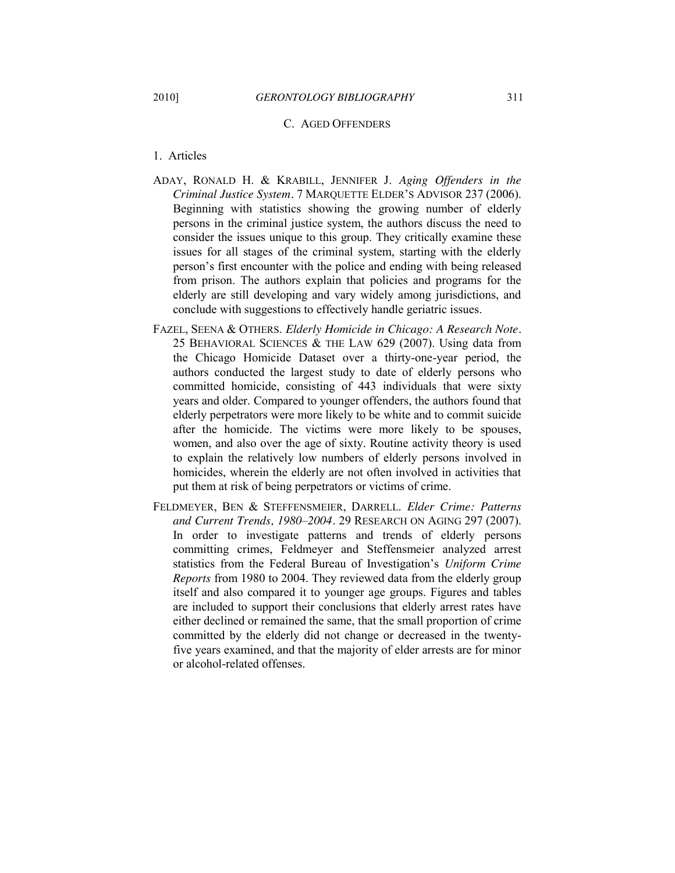#### C. AGED OFFENDERS

#### 1. Articles

- ADAY, RONALD H. & KRABILL, JENNIFER J. *Aging Offenders in the Criminal Justice System.* 7 MARQUETTE ELDER'S ADVISOR 237 (2006). Beginning with statistics showing the growing number of elderly persons in the criminal justice system, the authors discuss the need to consider the issues unique to this group. They critically examine these issues for all stages of the criminal system, starting with the elderly person's first encounter with the police and ending with being released from prison. The authors explain that policies and programs for the elderly are still developing and vary widely among jurisdictions, and conclude with suggestions to effectively handle geriatric issues.
- FAZEL, SEENA & OTHERS. *Elderly Homicide in Chicago: A Research Note.* 25 BEHAVIORAL SCIENCES & THE LAW 629 (2007). Using data from the Chicago Homicide Dataset over a thirty-one-year period, the authors conducted the largest study to date of elderly persons who committed homicide, consisting of 443 individuals that were sixty years and older. Compared to younger offenders, the authors found that elderly perpetrators were more likely to be white and to commit suicide after the homicide. The victims were more likely to be spouses, women, and also over the age of sixty. Routine activity theory is used to explain the relatively low numbers of elderly persons involved in homicides, wherein the elderly are not often involved in activities that put them at risk of being perpetrators or victims of crime.
- FELDMEYER, BEN & STEFFENSMEIER, DARRELL. *Elder Crime: Patterns and Current Trends, 1980–2004.* 29 RESEARCH ON AGING 297 (2007). In order to investigate patterns and trends of elderly persons committing crimes, Feldmeyer and Steffensmeier analyzed arrest statistics from the Federal Bureau of Investigation's *Uniform Crime Reports* from 1980 to 2004. They reviewed data from the elderly group itself and also compared it to younger age groups. Figures and tables are included to support their conclusions that elderly arrest rates have either declined or remained the same, that the small proportion of crime committed by the elderly did not change or decreased in the twentyfive years examined, and that the majority of elder arrests are for minor or alcohol-related offenses.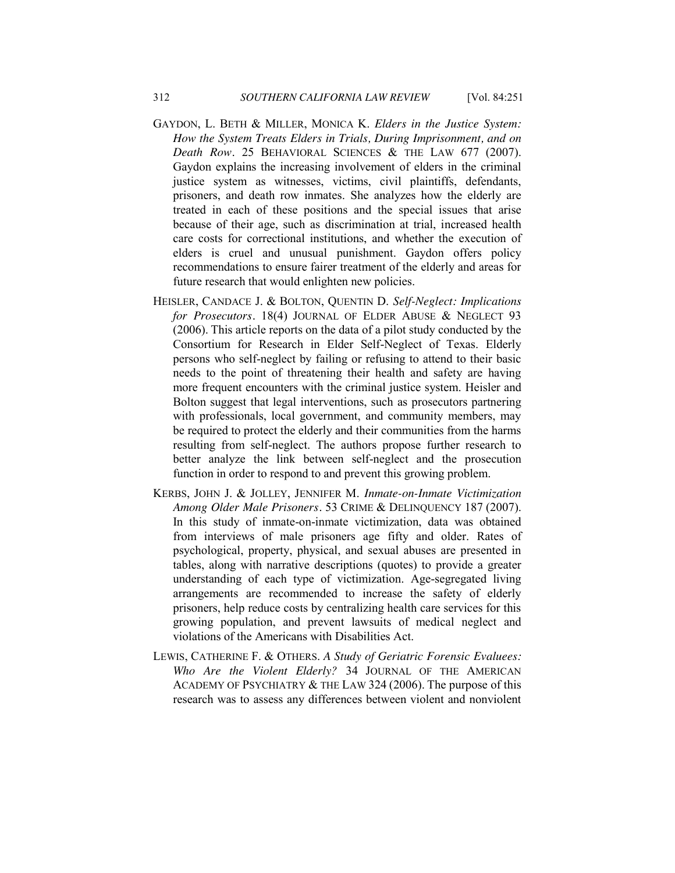- GAYDON, L. BETH & MILLER, MONICA K. *Elders in the Justice System: How the System Treats Elders in Trials, During Imprisonment, and on Death Row.* 25 BEHAVIORAL SCIENCES & THE LAW 677 (2007). Gaydon explains the increasing involvement of elders in the criminal justice system as witnesses, victims, civil plaintiffs, defendants, prisoners, and death row inmates. She analyzes how the elderly are treated in each of these positions and the special issues that arise because of their age, such as discrimination at trial, increased health care costs for correctional institutions, and whether the execution of elders is cruel and unusual punishment. Gaydon offers policy recommendations to ensure fairer treatment of the elderly and areas for future research that would enlighten new policies.
- HEISLER, CANDACE J. & BOLTON, QUENTIN D. *Self-Neglect: Implications for Prosecutors.* 18(4) JOURNAL OF ELDER ABUSE & NEGLECT 93 (2006). This article reports on the data of a pilot study conducted by the Consortium for Research in Elder Self-Neglect of Texas. Elderly persons who self-neglect by failing or refusing to attend to their basic needs to the point of threatening their health and safety are having more frequent encounters with the criminal justice system. Heisler and Bolton suggest that legal interventions, such as prosecutors partnering with professionals, local government, and community members, may be required to protect the elderly and their communities from the harms resulting from self-neglect. The authors propose further research to better analyze the link between self-neglect and the prosecution function in order to respond to and prevent this growing problem.
- KERBS, JOHN J. & JOLLEY, JENNIFER M. *Inmate-on-Inmate Victimization Among Older Male Prisoners.* 53 CRIME & DELINQUENCY 187 (2007). In this study of inmate-on-inmate victimization, data was obtained from interviews of male prisoners age fifty and older. Rates of psychological, property, physical, and sexual abuses are presented in tables, along with narrative descriptions (quotes) to provide a greater understanding of each type of victimization. Age-segregated living arrangements are recommended to increase the safety of elderly prisoners, help reduce costs by centralizing health care services for this growing population, and prevent lawsuits of medical neglect and violations of the Americans with Disabilities Act.
- LEWIS, CATHERINE F. & OTHERS. *A Study of Geriatric Forensic Evaluees: Who Are the Violent Elderly?* 34 JOURNAL OF THE AMERICAN ACADEMY OF PSYCHIATRY & THE LAW 324 (2006). The purpose of this research was to assess any differences between violent and nonviolent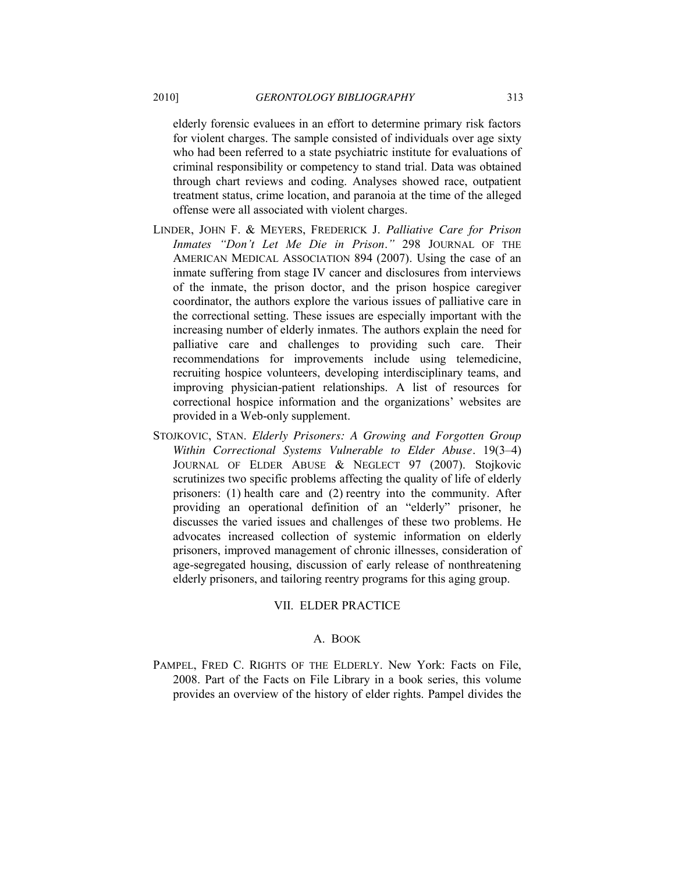elderly forensic evaluees in an effort to determine primary risk factors for violent charges. The sample consisted of individuals over age sixty who had been referred to a state psychiatric institute for evaluations of criminal responsibility or competency to stand trial. Data was obtained through chart reviews and coding. Analyses showed race, outpatient treatment status, crime location, and paranoia at the time of the alleged offense were all associated with violent charges.

- LINDER, JOHN F. & MEYERS, FREDERICK J. *Palliative Care for Prison Inmates ―Don't Let Me Die in Prison*.*‖* 298 JOURNAL OF THE AMERICAN MEDICAL ASSOCIATION 894 (2007). Using the case of an inmate suffering from stage IV cancer and disclosures from interviews of the inmate, the prison doctor, and the prison hospice caregiver coordinator, the authors explore the various issues of palliative care in the correctional setting. These issues are especially important with the increasing number of elderly inmates. The authors explain the need for palliative care and challenges to providing such care. Their recommendations for improvements include using telemedicine, recruiting hospice volunteers, developing interdisciplinary teams, and improving physician-patient relationships. A list of resources for correctional hospice information and the organizations' websites are provided in a Web-only supplement.
- STOJKOVIC, STAN. *Elderly Prisoners: A Growing and Forgotten Group Within Correctional Systems Vulnerable to Elder Abuse.* 19(3–4) JOURNAL OF ELDER ABUSE & NEGLECT 97 (2007). Stojkovic scrutinizes two specific problems affecting the quality of life of elderly prisoners: (1) health care and (2) reentry into the community. After providing an operational definition of an "elderly" prisoner, he discusses the varied issues and challenges of these two problems. He advocates increased collection of systemic information on elderly prisoners, improved management of chronic illnesses, consideration of age-segregated housing, discussion of early release of nonthreatening elderly prisoners, and tailoring reentry programs for this aging group.

## VII. ELDER PRACTICE

#### A. BOOK

PAMPEL, FRED C. RIGHTS OF THE ELDERLY. New York: Facts on File, 2008. Part of the Facts on File Library in a book series, this volume provides an overview of the history of elder rights. Pampel divides the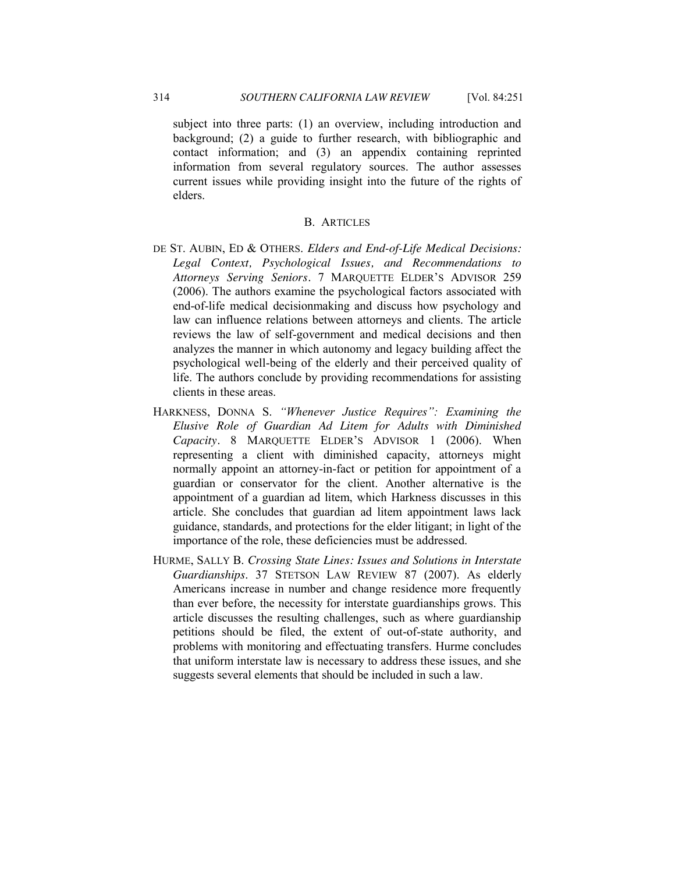subject into three parts: (1) an overview, including introduction and background; (2) a guide to further research, with bibliographic and contact information; and (3) an appendix containing reprinted information from several regulatory sources. The author assesses current issues while providing insight into the future of the rights of elders.

## B. ARTICLES

- DE ST. AUBIN, ED & OTHERS. *Elders and End-of-Life Medical Decisions: Legal Context, Psychological Issues, and Recommendations to Attorneys Serving Seniors.* 7 MARQUETTE ELDER'S ADVISOR 259 (2006). The authors examine the psychological factors associated with end-of-life medical decisionmaking and discuss how psychology and law can influence relations between attorneys and clients. The article reviews the law of self-government and medical decisions and then analyzes the manner in which autonomy and legacy building affect the psychological well-being of the elderly and their perceived quality of life. The authors conclude by providing recommendations for assisting clients in these areas.
- HARKNESS, DONNA S. "Whenever Justice Requires": Examining the *Elusive Role of Guardian Ad Litem for Adults with Diminished Capacity.* 8 MARQUETTE ELDER'S ADVISOR 1 (2006). When representing a client with diminished capacity, attorneys might normally appoint an attorney-in-fact or petition for appointment of a guardian or conservator for the client. Another alternative is the appointment of a guardian ad litem, which Harkness discusses in this article. She concludes that guardian ad litem appointment laws lack guidance, standards, and protections for the elder litigant; in light of the importance of the role, these deficiencies must be addressed.
- HURME, SALLY B. *Crossing State Lines: Issues and Solutions in Interstate Guardianships*. 37 STETSON LAW REVIEW 87 (2007). As elderly Americans increase in number and change residence more frequently than ever before, the necessity for interstate guardianships grows. This article discusses the resulting challenges, such as where guardianship petitions should be filed, the extent of out-of-state authority, and problems with monitoring and effectuating transfers. Hurme concludes that uniform interstate law is necessary to address these issues, and she suggests several elements that should be included in such a law.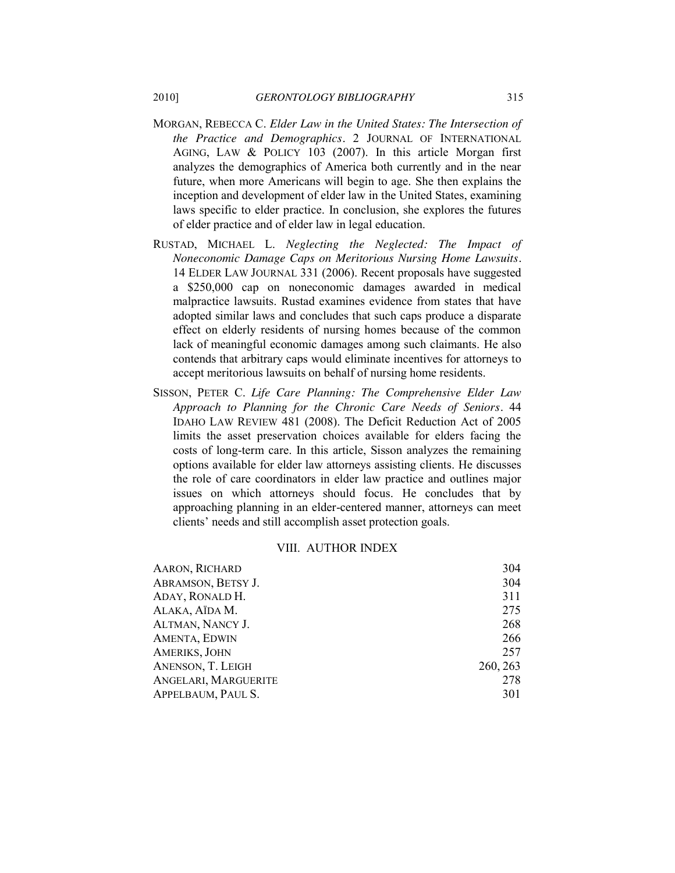- MORGAN, REBECCA C. *Elder Law in the United States: The Intersection of the Practice and Demographics.* 2 JOURNAL OF INTERNATIONAL AGING, LAW & POLICY 103 (2007). In this article Morgan first analyzes the demographics of America both currently and in the near future, when more Americans will begin to age. She then explains the inception and development of elder law in the United States, examining laws specific to elder practice. In conclusion, she explores the futures of elder practice and of elder law in legal education.
- RUSTAD, MICHAEL L. *Neglecting the Neglected: The Impact of Noneconomic Damage Caps on Meritorious Nursing Home Lawsuits.* 14 ELDER LAW JOURNAL 331 (2006). Recent proposals have suggested a \$250,000 cap on noneconomic damages awarded in medical malpractice lawsuits. Rustad examines evidence from states that have adopted similar laws and concludes that such caps produce a disparate effect on elderly residents of nursing homes because of the common lack of meaningful economic damages among such claimants. He also contends that arbitrary caps would eliminate incentives for attorneys to accept meritorious lawsuits on behalf of nursing home residents.
- SISSON, PETER C. *Life Care Planning: The Comprehensive Elder Law Approach to Planning for the Chronic Care Needs of Seniors.* 44 IDAHO LAW REVIEW 481 (2008). The Deficit Reduction Act of 2005 limits the asset preservation choices available for elders facing the costs of long-term care. In this article, Sisson analyzes the remaining options available for elder law attorneys assisting clients. He discusses the role of care coordinators in elder law practice and outlines major issues on which attorneys should focus. He concludes that by approaching planning in an elder-centered manner, attorneys can meet clients' needs and still accomplish asset protection goals.

# VIII. AUTHOR INDEX

| <b>AARON, RICHARD</b> | 304      |
|-----------------------|----------|
| ABRAMSON, BETSY J.    | 304      |
| ADAY, RONALD H.       | 311      |
| ALAKA, AÏDA M.        | 275      |
| ALTMAN, NANCY J.      | 268      |
| AMENTA, EDWIN         | 266      |
| AMERIKS, JOHN         | 257      |
| ANENSON, T. LEIGH     | 260, 263 |
| ANGELARI, MARGUERITE  | 278      |
| APPELBAUM, PAUL S.    | 301      |
|                       |          |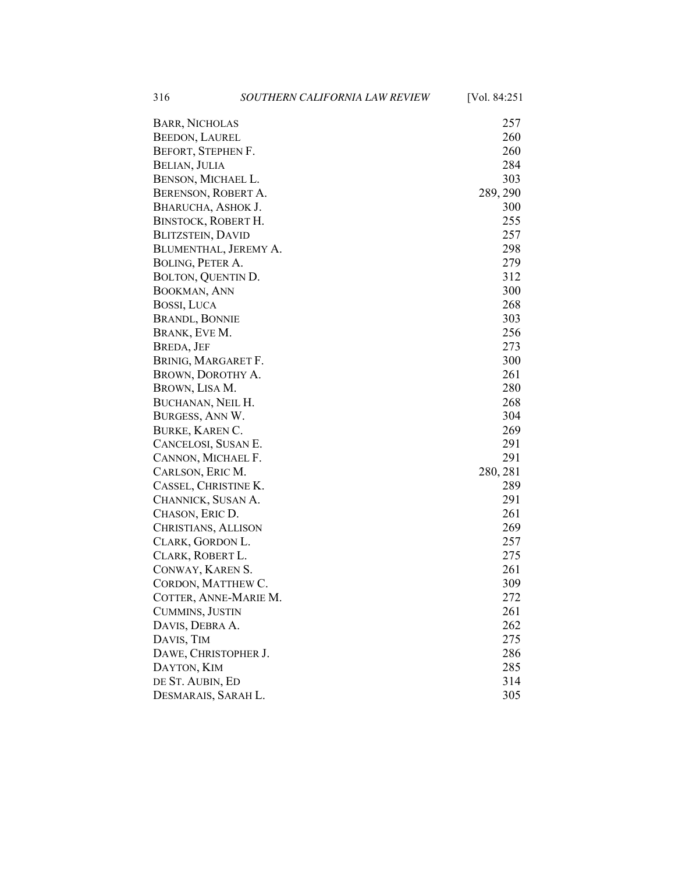316 *SOUTHERN CALIFORNIA LAW REVIEW* [Vol. 84:251

| <b>BARR, NICHOLAS</b>    | 257      |
|--------------------------|----------|
| <b>BEEDON, LAUREL</b>    | 260      |
| BEFORT, STEPHEN F.       | 260      |
| BELIAN, JULIA            | 284      |
| BENSON, MICHAEL L.       | 303      |
| BERENSON, ROBERT A.      | 289, 290 |
| BHARUCHA, ASHOK J.       | 300      |
| BINSTOCK, ROBERT H.      | 255      |
| <b>BLITZSTEIN, DAVID</b> | 257      |
| BLUMENTHAL, JEREMY A.    | 298      |
| BOLING, PETER A.         | 279      |
| BOLTON, QUENTIN D.       | 312      |
| BOOKMAN, ANN             | 300      |
| <b>BOSSI, LUCA</b>       | 268      |
| <b>BRANDL, BONNIE</b>    | 303      |
| BRANK, EVE M.            | 256      |
| <b>BREDA, JEF</b>        | 273      |
| BRINIG, MARGARET F.      | 300      |
| BROWN, DOROTHY A.        | 261      |
| BROWN, LISA M.           | 280      |
| BUCHANAN, NEIL H.        | 268      |
| BURGESS, ANN W.          | 304      |
| <b>BURKE, KAREN C.</b>   | 269      |
| CANCELOSI, SUSAN E.      | 291      |
| CANNON, MICHAEL F.       | 291      |
| CARLSON, ERIC M.         | 280, 281 |
| CASSEL, CHRISTINE K.     | 289      |
| CHANNICK, SUSAN A.       | 291      |
| CHASON, ERIC D.          | 261      |
| CHRISTIANS, ALLISON      | 269      |
| CLARK, GORDON L.         | 257      |
| CLARK, ROBERT L.         | 275      |
| CONWAY, KAREN S.         | 261      |
| CORDON, MATTHEW C.       | 309      |
| COTTER, ANNE-MARIE M.    | 272      |
| CUMMINS, JUSTIN          | 261      |
| DAVIS, DEBRA A.          | 262      |
| DAVIS, TIM               | 275      |
| DAWE, CHRISTOPHER J.     | 286      |
| DAYTON, KIM              | 285      |
| DE ST. AUBIN, ED         | 314      |
| DESMARAIS, SARAH L.      | 305      |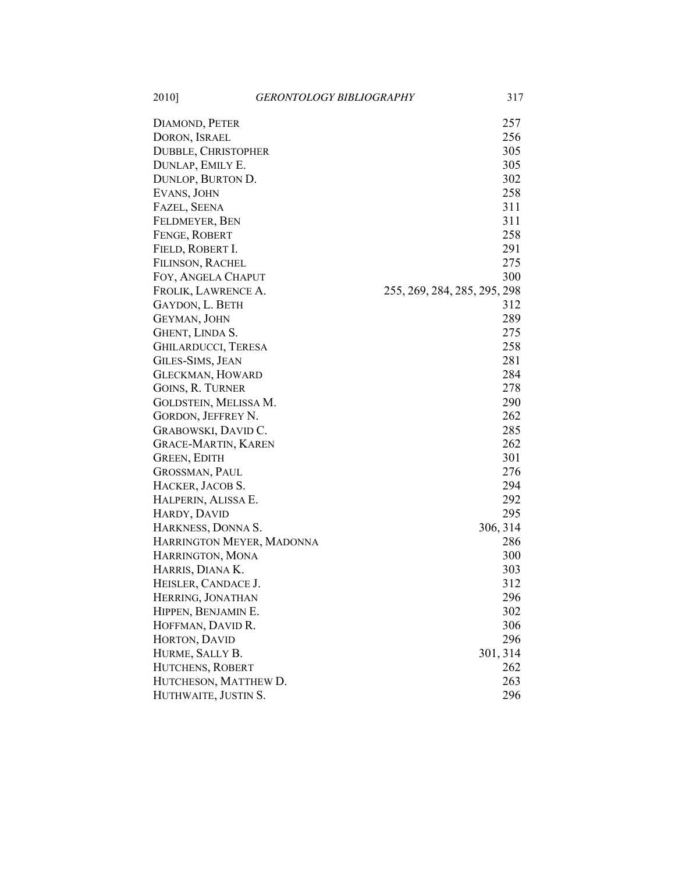2010] *GERONTOLOGY BIBLIOGRAPHY* 317

| DIAMOND, PETER             | 257                          |
|----------------------------|------------------------------|
| DORON, ISRAEL              | 256                          |
| <b>DUBBLE, CHRISTOPHER</b> | 305                          |
| DUNLAP, EMILY E.           | 305                          |
| DUNLOP, BURTON D.          | 302                          |
| EVANS, JOHN                | 258                          |
| FAZEL, SEENA               | 311                          |
| FELDMEYER, BEN             | 311                          |
| FENGE, ROBERT              | 258                          |
| FIELD, ROBERT I.           | 291                          |
| <b>FILINSON, RACHEL</b>    | 275                          |
| FOY, ANGELA CHAPUT         | 300                          |
| FROLIK, LAWRENCE A.        | 255, 269, 284, 285, 295, 298 |
| GAYDON, L. BETH            | 312                          |
| GEYMAN, JOHN               | 289                          |
| GHENT, LINDA S.            | 275                          |
| <b>GHILARDUCCI, TERESA</b> | 258                          |
| GILES-SIMS, JEAN           | 281                          |
| <b>GLECKMAN, HOWARD</b>    | 284                          |
| GOINS, R. TURNER           | 278                          |
| GOLDSTEIN, MELISSA M.      | 290                          |
| GORDON, JEFFREY N.         | 262                          |
| GRABOWSKI, DAVID C.        | 285                          |
| <b>GRACE-MARTIN, KAREN</b> | 262                          |
| <b>GREEN, EDITH</b>        | 301                          |
| GROSSMAN, PAUL             | 276                          |
| HACKER, JACOB S.           | 294                          |
| HALPERIN, ALISSA E.        | 292                          |
| HARDY, DAVID               | 295                          |
| HARKNESS, DONNA S.         | 306, 314                     |
| HARRINGTON MEYER, MADONNA  | 286                          |
| HARRINGTON, MONA           | 300                          |
| HARRIS, DIANA K.           | 303                          |
| HEISLER, CANDACE J.        | 312                          |
| HERRING, JONATHAN          | 296                          |
| HIPPEN, BENJAMIN E.        | 302                          |
| HOFFMAN, DAVID R.          | 306                          |
| HORTON, DAVID              | 296                          |
| HURME, SALLY B.            | 301, 314                     |
| HUTCHENS, ROBERT           | 262                          |
| HUTCHESON, MATTHEW D.      | 263                          |
| HUTHWAITE, JUSTIN S.       | 296                          |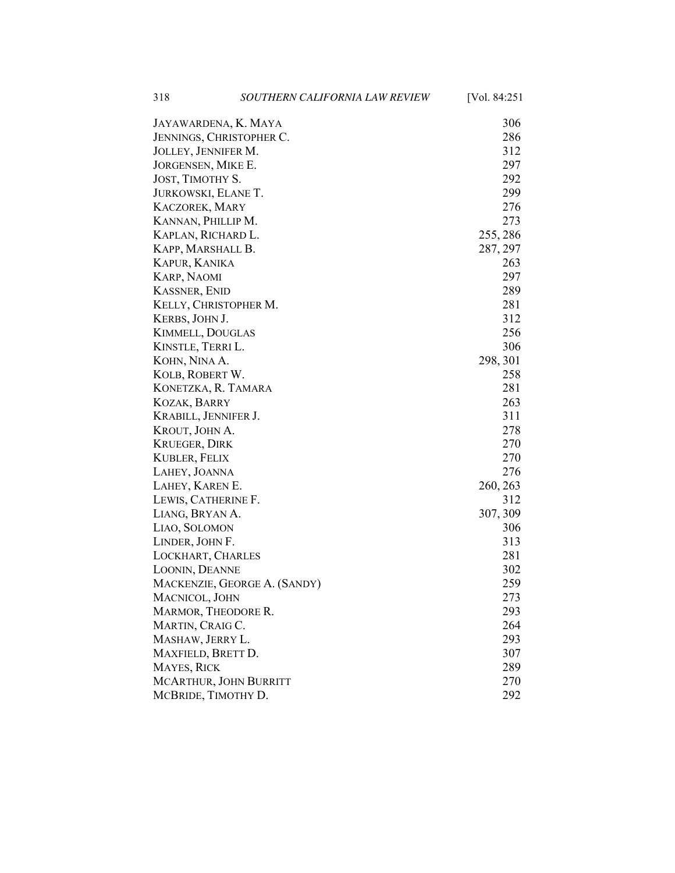318 *SOUTHERN CALIFORNIA LAW REVIEW* [Vol. 84:251

| JAYAWARDENA, K. MAYA         | 306      |
|------------------------------|----------|
| JENNINGS, CHRISTOPHER C.     | 286      |
| JOLLEY, JENNIFER M.          | 312      |
| JORGENSEN, MIKE E.           | 297      |
| JOST, TIMOTHY S.             | 292      |
| JURKOWSKI, ELANE T.          | 299      |
| <b>KACZOREK, MARY</b>        | 276      |
| KANNAN, PHILLIP M.           | 273      |
| KAPLAN, RICHARD L.           | 255, 286 |
| KAPP, MARSHALL B.            | 287, 297 |
| <b>KAPUR, KANIKA</b>         | 263      |
| <b>KARP, NAOMI</b>           | 297      |
| <b>KASSNER, ENID</b>         | 289      |
| KELLY, CHRISTOPHER M.        | 281      |
| KERBS, JOHN J.               | 312      |
| <b>KIMMELL, DOUGLAS</b>      | 256      |
| KINSTLE, TERRI L.            | 306      |
| KOHN, NINA A.                | 298, 301 |
| KOLB, ROBERT W.              | 258      |
| KONETZKA, R. TAMARA          | 281      |
| <b>KOZAK, BARRY</b>          | 263      |
| KRABILL, JENNIFER J.         | 311      |
| KROUT, JOHN A.               | 278      |
| <b>KRUEGER, DIRK</b>         | 270      |
| <b>KUBLER, FELIX</b>         | 270      |
| LAHEY, JOANNA                | 276      |
| LAHEY, KAREN E.              | 260, 263 |
| LEWIS, CATHERINE F.          | 312      |
| LIANG, BRYAN A.              | 307, 309 |
| LIAO, SOLOMON                | 306      |
| LINDER, JOHN F.              | 313      |
| LOCKHART, CHARLES            | 281      |
| LOONIN, DEANNE               | 302      |
| MACKENZIE, GEORGE A. (SANDY) | 259      |
| MACNICOL, JOHN               | 273      |
| MARMOR, THEODORE R.          | 293      |
| MARTIN, CRAIG C.             | 264      |
| MASHAW, JERRY L.             | 293      |
| MAXFIELD, BRETT D.           | 307      |
| MAYES, RICK                  | 289      |
| MCARTHUR, JOHN BURRITT       | 270      |
| MCBRIDE, TIMOTHY D.          | 292      |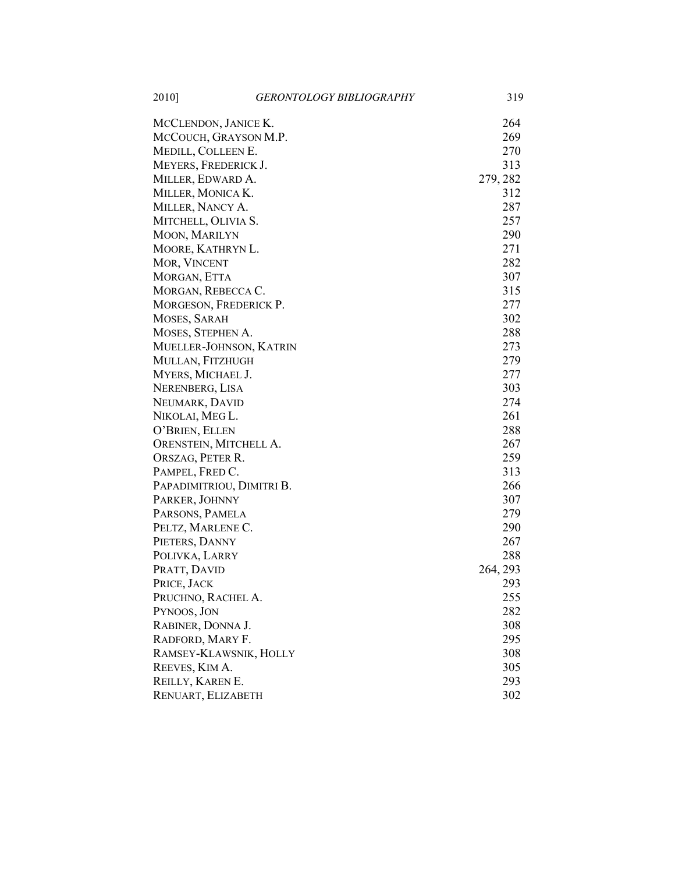2010] *GERONTOLOGY BIBLIOGRAPHY* 319

| MCCLENDON, JANICE K.      | 264      |
|---------------------------|----------|
| MCCOUCH, GRAYSON M.P.     | 269      |
| MEDILL, COLLEEN E.        | 270      |
| MEYERS, FREDERICK J.      | 313      |
| MILLER, EDWARD A.         | 279, 282 |
| MILLER, MONICA K.         | 312      |
| MILLER, NANCY A.          | 287      |
| MITCHELL, OLIVIA S.       | 257      |
| MOON, MARILYN             | 290      |
| MOORE, KATHRYN L.         | 271      |
| MOR, VINCENT              | 282      |
| MORGAN, ETTA              | 307      |
| MORGAN, REBECCA C.        | 315      |
| MORGESON, FREDERICK P.    | 277      |
| MOSES, SARAH              | 302      |
| MOSES, STEPHEN A.         | 288      |
| MUELLER-JOHNSON, KATRIN   | 273      |
| MULLAN, FITZHUGH          | 279      |
| MYERS, MICHAEL J.         | 277      |
| NERENBERG, LISA           | 303      |
| NEUMARK, DAVID            | 274      |
| NIKOLAI, MEG L.           | 261      |
| O'BRIEN, ELLEN            | 288      |
| ORENSTEIN, MITCHELL A.    | 267      |
| ORSZAG, PETER R.          | 259      |
| PAMPEL, FRED C.           | 313      |
| PAPADIMITRIOU, DIMITRI B. | 266      |
| PARKER, JOHNNY            | 307      |
| PARSONS, PAMELA           | 279      |
| PELTZ, MARLENE C.         | 290      |
| PIETERS, DANNY            | 267      |
| POLIVKA, LARRY            | 288      |
| PRATT, DAVID              | 264, 293 |
| PRICE, JACK               | 293      |
| PRUCHNO, RACHEL A.        | 255      |
| PYNOOS, JON               | 282      |
| RABINER, DONNA J.         | 308      |
| RADFORD, MARY F.          | 295      |
| RAMSEY-KLAWSNIK, HOLLY    | 308      |
| REEVES, KIM A.            | 305      |
| REILLY, KAREN E.          | 293      |
| RENUART, ELIZABETH        | 302      |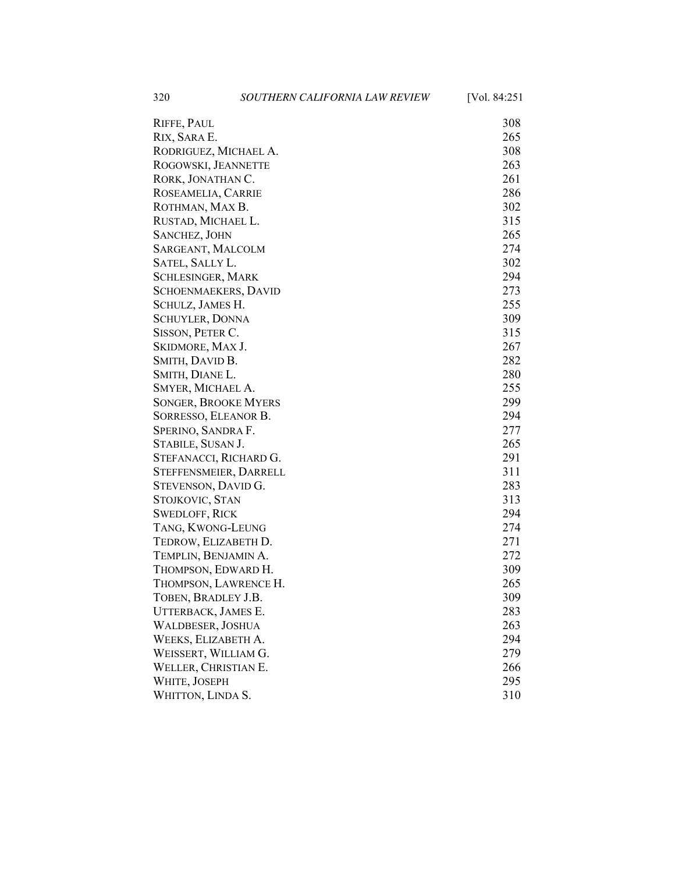320 *SOUTHERN CALIFORNIA LAW REVIEW* [Vol. 84:251

| RIFFE, PAUL                 | 308 |
|-----------------------------|-----|
| RIX, SARA E.                | 265 |
| RODRIGUEZ, MICHAEL A.       | 308 |
| ROGOWSKI, JEANNETTE         | 263 |
| RORK, JONATHAN C.           | 261 |
| ROSEAMELIA, CARRIE          | 286 |
| ROTHMAN, MAX B.             | 302 |
| RUSTAD, MICHAEL L.          | 315 |
| <b>SANCHEZ, JOHN</b>        | 265 |
| SARGEANT, MALCOLM           | 274 |
| SATEL, SALLY L.             | 302 |
| SCHLESINGER, MARK           | 294 |
| SCHOENMAEKERS, DAVID        | 273 |
| SCHULZ, JAMES H.            | 255 |
| <b>SCHUYLER, DONNA</b>      | 309 |
| SISSON, PETER C.            | 315 |
| SKIDMORE, MAX J.            | 267 |
| SMITH, DAVID B.             | 282 |
| SMITH, DIANE L.             | 280 |
| SMYER, MICHAEL A.           | 255 |
| <b>SONGER, BROOKE MYERS</b> | 299 |
| SORRESSO, ELEANOR B.        | 294 |
| SPERINO, SANDRA F.          | 277 |
| STABILE, SUSAN J.           | 265 |
| STEFANACCI, RICHARD G.      | 291 |
| STEFFENSMEIER, DARRELL      | 311 |
| STEVENSON, DAVID G.         | 283 |
| STOJKOVIC, STAN             | 313 |
| <b>SWEDLOFF, RICK</b>       | 294 |
| TANG, KWONG-LEUNG           | 274 |
| TEDROW, ELIZABETH D.        | 271 |
| TEMPLIN, BENJAMIN A.        | 272 |
| THOMPSON, EDWARD H.         | 309 |
| THOMPSON, LAWRENCE H.       | 265 |
| TOBEN, BRADLEY J.B.         | 309 |
| UTTERBACK, JAMES E.         | 283 |
| WALDBESER, JOSHUA           | 263 |
| WEEKS, ELIZABETH A.         | 294 |
| WEISSERT, WILLIAM G.        | 279 |
| WELLER, CHRISTIAN E.        | 266 |
| WHITE, JOSEPH               | 295 |
| WHITTON, LINDA S.           | 310 |